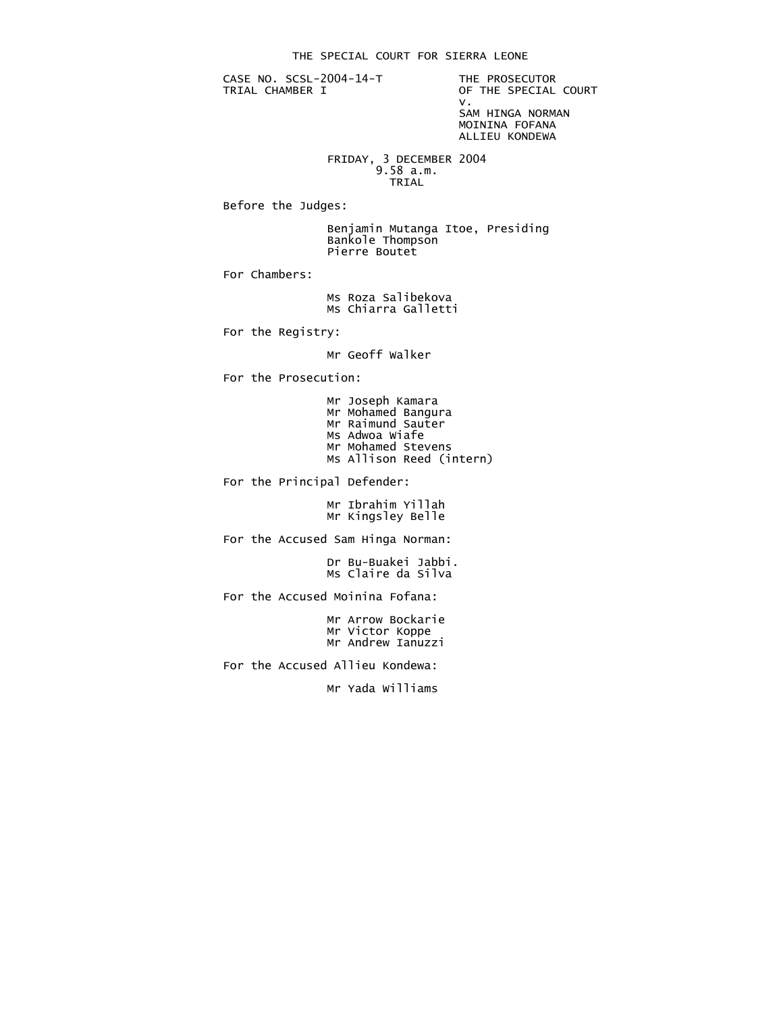CASE NO. SCSL-2004-14-T THE PROSECUTOR<br>TRIAL CHAMBER I OF THE SPECIAL

OF THE SPECIAL COURT<br>V. v. SAM HINGA NORMAN MOININA FOFANA

ALLIEU KONDEWA

 FRIDAY, 3 DECEMBER 2004 9.58 a.m. **TRIAL** 

Before the Judges:

 Benjamin Mutanga Itoe, Presiding Bankole Thompson Pierre Boutet

For Chambers:

 Ms Roza Salibekova Ms Chiarra Galletti

For the Registry:

Mr Geoff Walker

For the Prosecution:

 Mr Joseph Kamara Mr Mohamed Bangura Mr Raimund Sauter Ms Adwoa Wiafe Mr Mohamed Stevens Ms Allison Reed (intern)

For the Principal Defender:

 Mr Ibrahim Yillah Mr Kingsley Belle

For the Accused Sam Hinga Norman:

 Dr Bu-Buakei Jabbi. Ms Claire da Silva

For the Accused Moinina Fofana:

 Mr Arrow Bockarie Mr Victor Koppe Mr Andrew Ianuzzi

For the Accused Allieu Kondewa:

Mr Yada Williams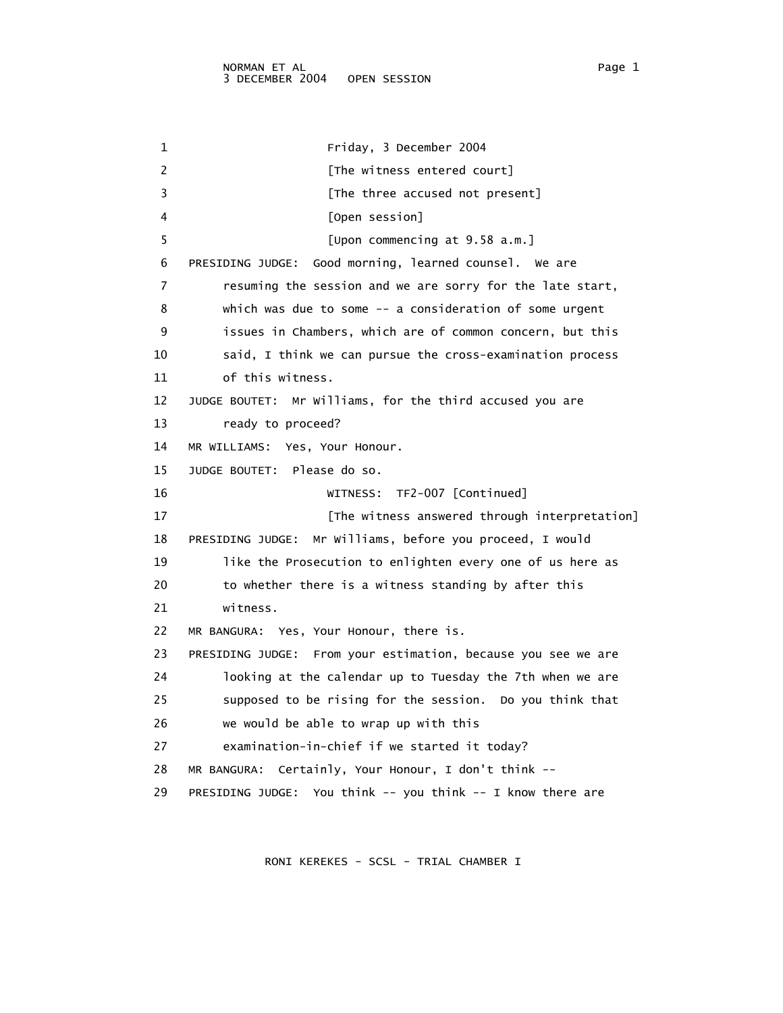1 Friday, 3 December 2004 2 [The witness entered court] 3 **Example 1** [The three accused not present] 4 [Open session] 5 [Upon commencing at 9.58 a.m.] 6 PRESIDING JUDGE: Good morning, learned counsel. We are 7 resuming the session and we are sorry for the late start, 8 which was due to some -- a consideration of some urgent 9 issues in Chambers, which are of common concern, but this 10 said, I think we can pursue the cross-examination process 11 of this witness. 12 JUDGE BOUTET: Mr Williams, for the third accused you are 13 ready to proceed? 14 MR WILLIAMS: Yes, Your Honour. 15 JUDGE BOUTET: Please do so. 16 WITNESS: TF2-007 [Continued] 17 **17 Example 20 EXEC 17 EXECUTE:** [The witness answered through interpretation] 18 PRESIDING JUDGE: Mr Williams, before you proceed, I would 19 like the Prosecution to enlighten every one of us here as 20 to whether there is a witness standing by after this 21 witness. 22 MR BANGURA: Yes, Your Honour, there is. 23 PRESIDING JUDGE: From your estimation, because you see we are 24 looking at the calendar up to Tuesday the 7th when we are 25 supposed to be rising for the session. Do you think that 26 we would be able to wrap up with this 27 examination-in-chief if we started it today? 28 MR BANGURA: Certainly, Your Honour, I don't think -- 29 PRESIDING JUDGE: You think -- you think -- I know there are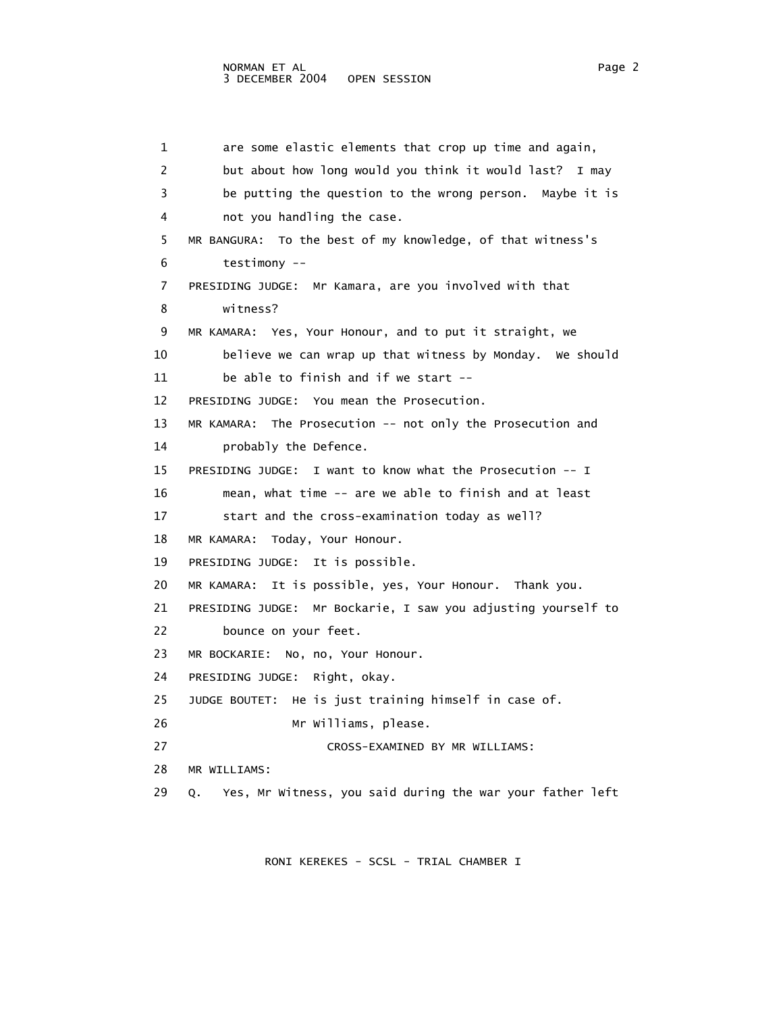1 are some elastic elements that crop up time and again, 2 but about how long would you think it would last? I may 3 be putting the question to the wrong person. Maybe it is 4 not you handling the case. 5 MR BANGURA: To the best of my knowledge, of that witness's 6 testimony -- 7 PRESIDING JUDGE: Mr Kamara, are you involved with that 8 witness? 9 MR KAMARA: Yes, Your Honour, and to put it straight, we 10 believe we can wrap up that witness by Monday. We should 11 be able to finish and if we start -- 12 PRESIDING JUDGE: You mean the Prosecution. 13 MR KAMARA: The Prosecution -- not only the Prosecution and 14 probably the Defence. 15 PRESIDING JUDGE: I want to know what the Prosecution -- I 16 mean, what time -- are we able to finish and at least 17 start and the cross-examination today as well? 18 MR KAMARA: Today, Your Honour. 19 PRESIDING JUDGE: It is possible. 20 MR KAMARA: It is possible, yes, Your Honour. Thank you. 21 PRESIDING JUDGE: Mr Bockarie, I saw you adjusting yourself to 22 bounce on your feet. 23 MR BOCKARIE: No, no, Your Honour. 24 PRESIDING JUDGE: Right, okay. 25 JUDGE BOUTET: He is just training himself in case of. 26 Mr Williams, please. 27 CROSS-EXAMINED BY MR WILLIAMS: 28 MR WILLIAMS: 29 Q. Yes, Mr Witness, you said during the war your father left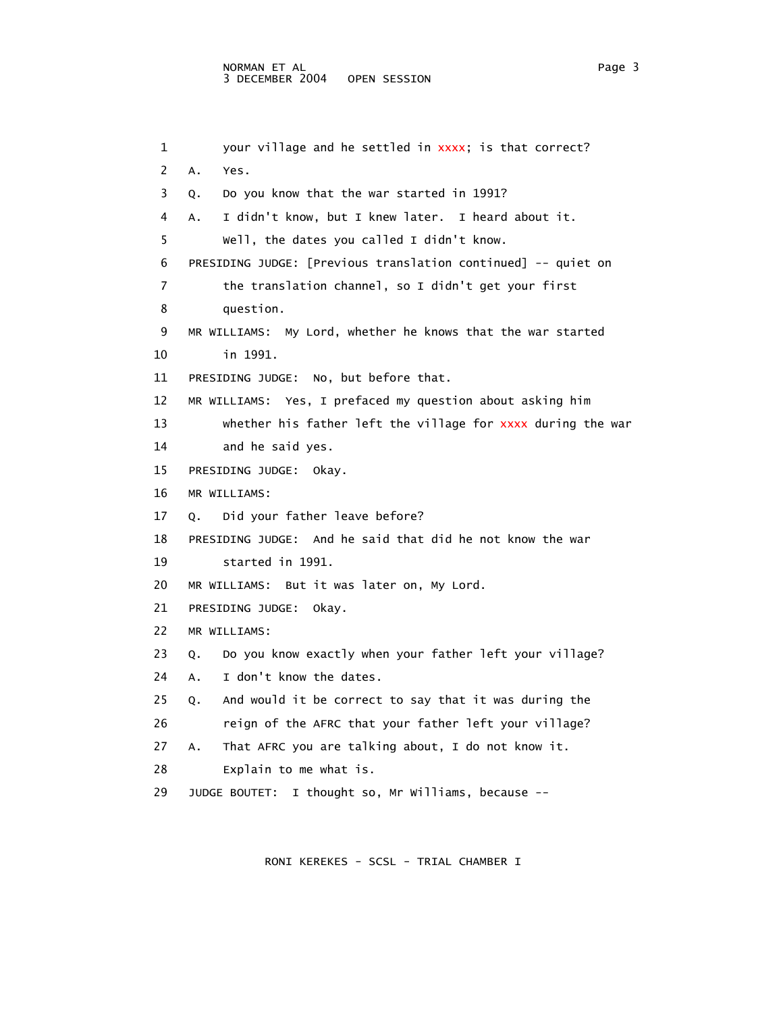```
1 your village and he settled in xxxx; is that correct?
 2 A. Yes. 
 3 Q. Do you know that the war started in 1991? 
 4 A. I didn't know, but I knew later. I heard about it. 
  5 Well, the dates you called I didn't know. 
 6 PRESIDING JUDGE: [Previous translation continued] -- quiet on 
 7 the translation channel, so I didn't get your first 
 8 question. 
 9 MR WILLIAMS: My Lord, whether he knows that the war started 
 10 in 1991. 
 11 PRESIDING JUDGE: No, but before that. 
 12 MR WILLIAMS: Yes, I prefaced my question about asking him 
13 whether his father left the village for xxxx during the war
 14 and he said yes. 
 15 PRESIDING JUDGE: Okay. 
 16 MR WILLIAMS: 
 17 Q. Did your father leave before? 
 18 PRESIDING JUDGE: And he said that did he not know the war 
 19 started in 1991. 
 20 MR WILLIAMS: But it was later on, My Lord. 
 21 PRESIDING JUDGE: Okay. 
 22 MR WILLIAMS: 
 23 Q. Do you know exactly when your father left your village? 
 24 A. I don't know the dates. 
 25 Q. And would it be correct to say that it was during the 
 26 reign of the AFRC that your father left your village? 
 27 A. That AFRC you are talking about, I do not know it. 
 28 Explain to me what is. 
 29 JUDGE BOUTET: I thought so, Mr Williams, because --
```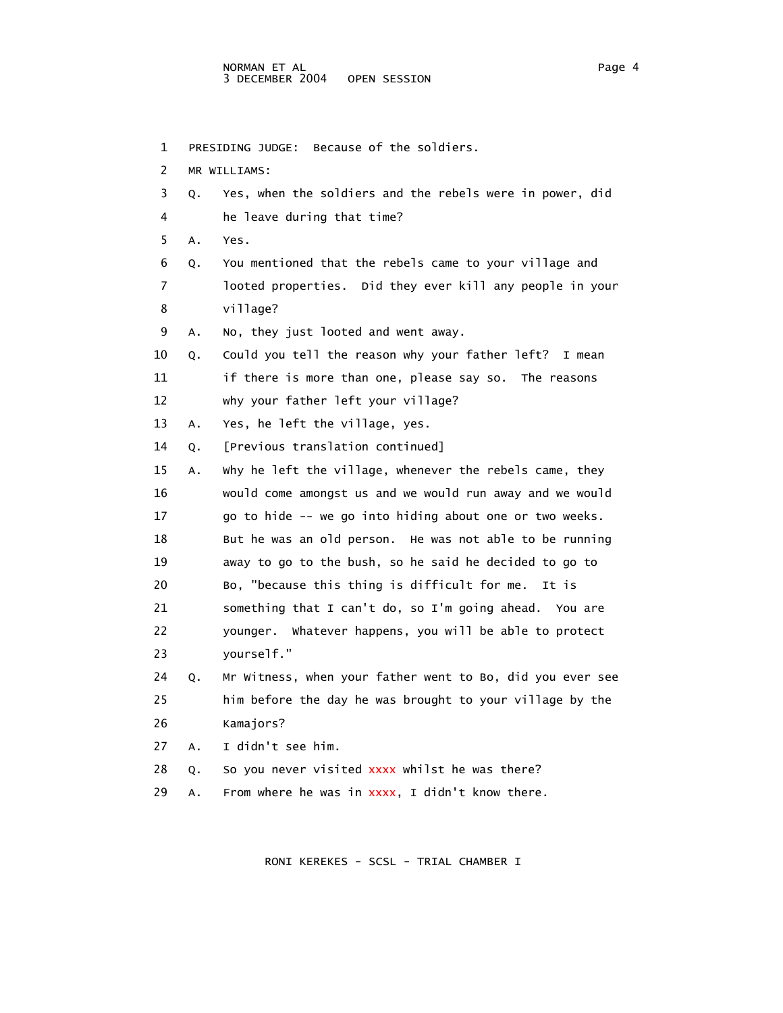1 PRESIDING JUDGE: Because of the soldiers. 2 MR WILLIAMS: 3 Q. Yes, when the soldiers and the rebels were in power, did 4 he leave during that time? 5 A. Yes. 6 Q. You mentioned that the rebels came to your village and 7 looted properties. Did they ever kill any people in your 8 village? 9 A. No, they just looted and went away. 10 Q. Could you tell the reason why your father left? I mean 11 if there is more than one, please say so. The reasons 12 why your father left your village? 13 A. Yes, he left the village, yes. 14 Q. [Previous translation continued] 15 A. Why he left the village, whenever the rebels came, they 16 would come amongst us and we would run away and we would 17 go to hide -- we go into hiding about one or two weeks. 18 But he was an old person. He was not able to be running 19 away to go to the bush, so he said he decided to go to 20 Bo, "because this thing is difficult for me. It is 21 something that I can't do, so I'm going ahead. You are 22 younger. Whatever happens, you will be able to protect 23 yourself." 24 Q. Mr Witness, when your father went to Bo, did you ever see 25 him before the day he was brought to your village by the 26 Kamajors? 27 A. I didn't see him. 28 Q. So you never visited xxxx whilst he was there? 29 A. From where he was in  $xxxxx$ , I didn't know there.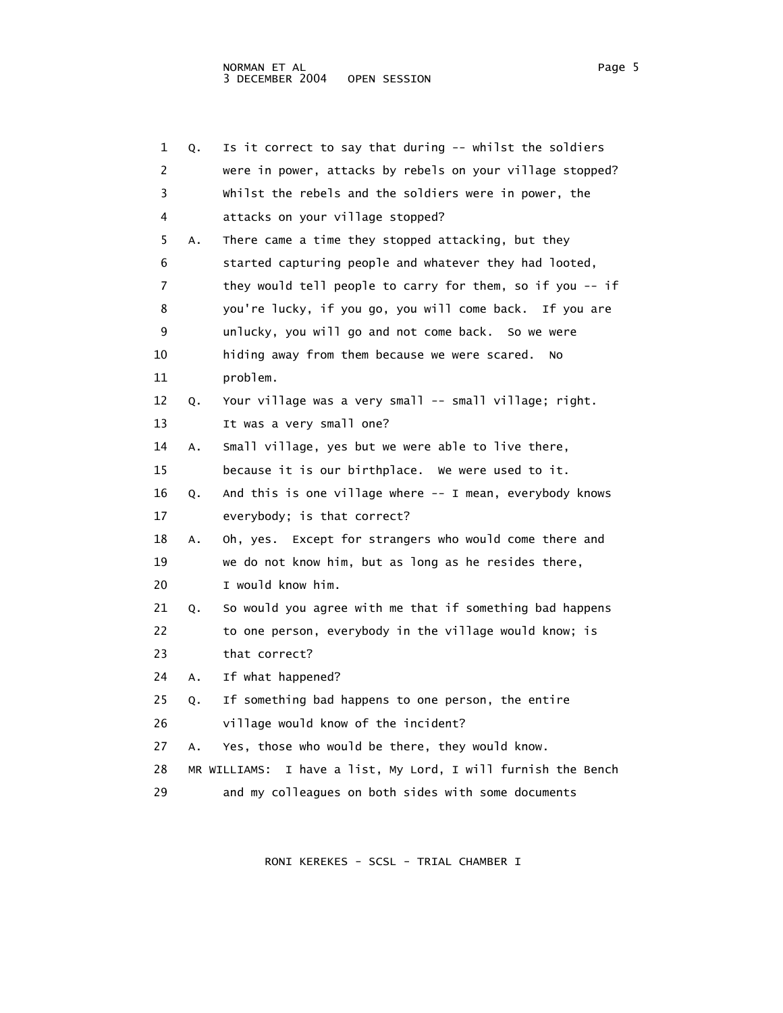| 1  | Q. | Is it correct to say that during -- whilst the soldiers          |
|----|----|------------------------------------------------------------------|
| 2  |    | were in power, attacks by rebels on your village stopped?        |
| 3  |    | whilst the rebels and the soldiers were in power, the            |
| 4  |    | attacks on your village stopped?                                 |
| 5  | А. | There came a time they stopped attacking, but they               |
| 6  |    | started capturing people and whatever they had looted,           |
| 7  |    | they would tell people to carry for them, so if you -- if        |
| 8  |    | you're lucky, if you go, you will come back. If you are          |
| 9  |    | unlucky, you will go and not come back. So we were               |
| 10 |    | hiding away from them because we were scared.<br>No              |
| 11 |    | problem.                                                         |
| 12 | Q. | Your village was a very small -- small village; right.           |
| 13 |    | It was a very small one?                                         |
| 14 | Α. | Small village, yes but we were able to live there,               |
| 15 |    | because it is our birthplace. We were used to it.                |
| 16 | Q. | And this is one village where -- I mean, everybody knows         |
| 17 |    | everybody; is that correct?                                      |
| 18 | Α. | Oh, yes. Except for strangers who would come there and           |
| 19 |    | we do not know him, but as long as he resides there,             |
| 20 |    | I would know him.                                                |
| 21 | Q. | So would you agree with me that if something bad happens         |
| 22 |    | to one person, everybody in the village would know; is           |
| 23 |    | that correct?                                                    |
| 24 | A. | If what happened?                                                |
| 25 | Q. | If something bad happens to one person, the entire               |
| 26 |    | village would know of the incident?                              |
| 27 | Α. | Yes, those who would be there, they would know.                  |
| 28 |    | I have a list, My Lord, I will furnish the Bench<br>MR WILLIAMS: |
| 29 |    | and my colleagues on both sides with some documents              |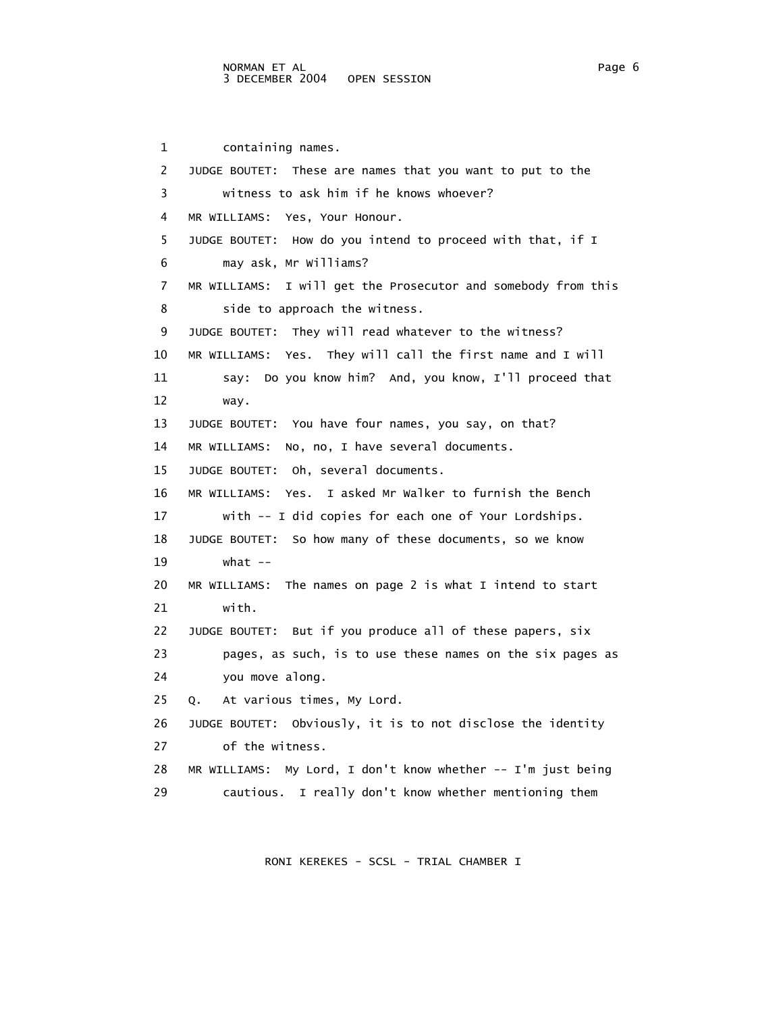1 containing names. 2 JUDGE BOUTET: These are names that you want to put to the 3 witness to ask him if he knows whoever? 4 MR WILLIAMS: Yes, Your Honour. 5 JUDGE BOUTET: How do you intend to proceed with that, if I 6 may ask, Mr Williams? 7 MR WILLIAMS: I will get the Prosecutor and somebody from this 8 side to approach the witness. 9 JUDGE BOUTET: They will read whatever to the witness? 10 MR WILLIAMS: Yes. They will call the first name and I will 11 say: Do you know him? And, you know, I'll proceed that 12 way. 13 JUDGE BOUTET: You have four names, you say, on that? 14 MR WILLIAMS: No, no, I have several documents. 15 JUDGE BOUTET: Oh, several documents. 16 MR WILLIAMS: Yes. I asked Mr Walker to furnish the Bench 17 with -- I did copies for each one of Your Lordships. 18 JUDGE BOUTET: So how many of these documents, so we know 19 what -- 20 MR WILLIAMS: The names on page 2 is what I intend to start 21 with. 22 JUDGE BOUTET: But if you produce all of these papers, six 23 pages, as such, is to use these names on the six pages as 24 you move along. 25 Q. At various times, My Lord. 26 JUDGE BOUTET: Obviously, it is to not disclose the identity 27 of the witness. 28 MR WILLIAMS: My Lord, I don't know whether -- I'm just being 29 cautious. I really don't know whether mentioning them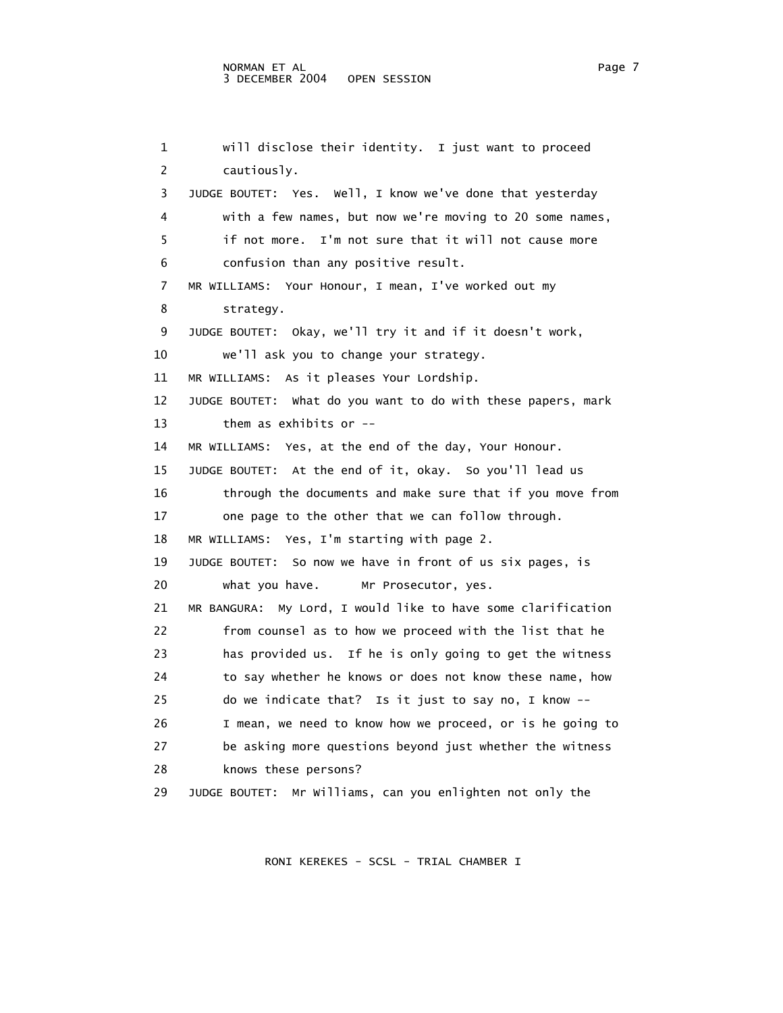```
 1 will disclose their identity. I just want to proceed 
 2 cautiously. 
 3 JUDGE BOUTET: Yes. Well, I know we've done that yesterday 
 4 with a few names, but now we're moving to 20 some names, 
  5 if not more. I'm not sure that it will not cause more 
 6 confusion than any positive result. 
 7 MR WILLIAMS: Your Honour, I mean, I've worked out my 
 8 strategy. 
 9 JUDGE BOUTET: Okay, we'll try it and if it doesn't work, 
 10 we'll ask you to change your strategy. 
 11 MR WILLIAMS: As it pleases Your Lordship. 
 12 JUDGE BOUTET: What do you want to do with these papers, mark 
 13 them as exhibits or -- 
 14 MR WILLIAMS: Yes, at the end of the day, Your Honour. 
 15 JUDGE BOUTET: At the end of it, okay. So you'll lead us 
 16 through the documents and make sure that if you move from 
 17 one page to the other that we can follow through. 
 18 MR WILLIAMS: Yes, I'm starting with page 2. 
 19 JUDGE BOUTET: So now we have in front of us six pages, is 
 20 what you have. Mr Prosecutor, yes. 
 21 MR BANGURA: My Lord, I would like to have some clarification 
 22 from counsel as to how we proceed with the list that he 
 23 has provided us. If he is only going to get the witness 
 24 to say whether he knows or does not know these name, how 
 25 do we indicate that? Is it just to say no, I know -- 
 26 I mean, we need to know how we proceed, or is he going to 
 27 be asking more questions beyond just whether the witness 
 28 knows these persons? 
 29 JUDGE BOUTET: Mr Williams, can you enlighten not only the
```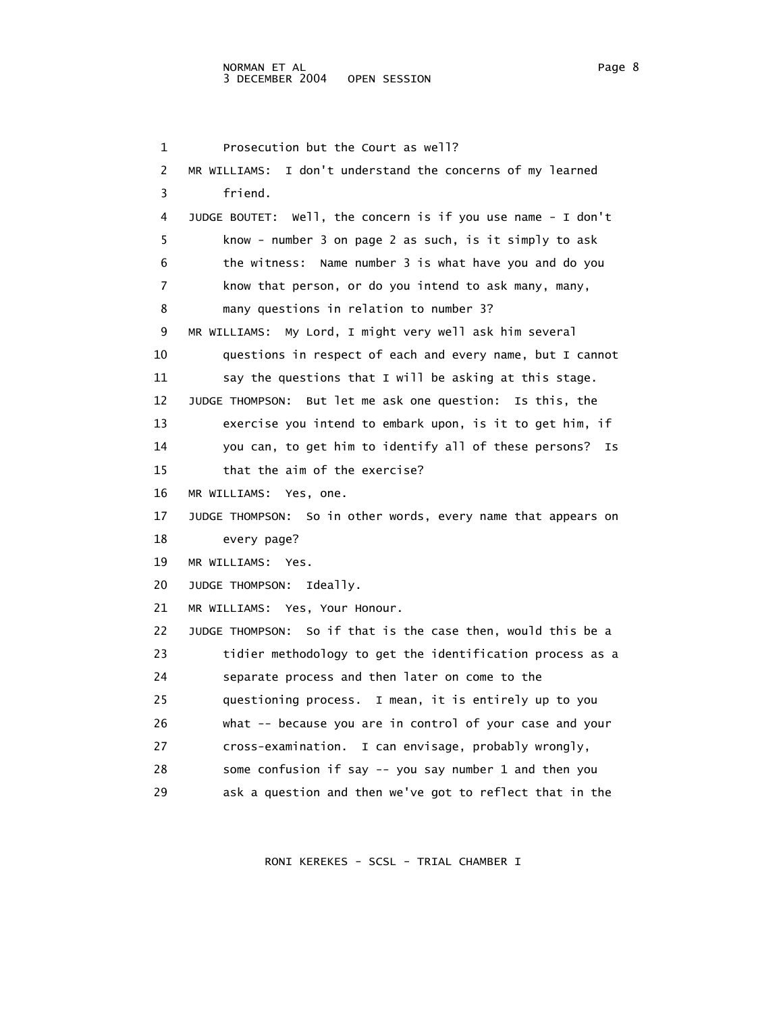1 Prosecution but the Court as well? 2 MR WILLIAMS: I don't understand the concerns of my learned 3 friend. 4 JUDGE BOUTET: Well, the concern is if you use name - I don't 5 know - number 3 on page 2 as such, is it simply to ask 6 the witness: Name number 3 is what have you and do you 7 know that person, or do you intend to ask many, many, 8 many questions in relation to number 3? 9 MR WILLIAMS: My Lord, I might very well ask him several 10 questions in respect of each and every name, but I cannot 11 say the questions that I will be asking at this stage. 12 JUDGE THOMPSON: But let me ask one question: Is this, the 13 exercise you intend to embark upon, is it to get him, if 14 you can, to get him to identify all of these persons? Is 15 that the aim of the exercise? 16 MR WILLIAMS: Yes, one. 17 JUDGE THOMPSON: So in other words, every name that appears on 18 every page? 19 MR WILLIAMS: Yes. 20 JUDGE THOMPSON: Ideally. 21 MR WILLIAMS: Yes, Your Honour. 22 JUDGE THOMPSON: So if that is the case then, would this be a 23 tidier methodology to get the identification process as a 24 separate process and then later on come to the 25 questioning process. I mean, it is entirely up to you 26 what -- because you are in control of your case and your 27 cross-examination. I can envisage, probably wrongly, 28 some confusion if say -- you say number 1 and then you 29 ask a question and then we've got to reflect that in the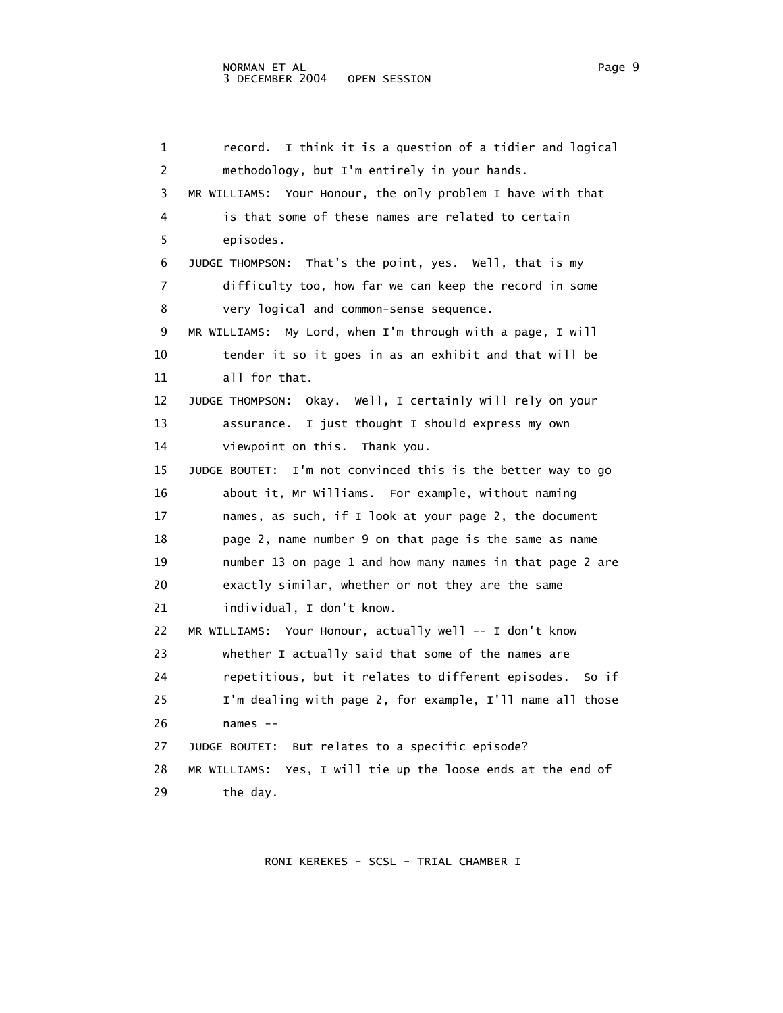1 record. I think it is a question of a tidier and logical 2 methodology, but I'm entirely in your hands. 3 MR WILLIAMS: Your Honour, the only problem I have with that 4 is that some of these names are related to certain 5 episodes. 6 JUDGE THOMPSON: That's the point, yes. Well, that is my 7 difficulty too, how far we can keep the record in some 8 very logical and common-sense sequence. 9 MR WILLIAMS: My Lord, when I'm through with a page, I will 10 tender it so it goes in as an exhibit and that will be 11 all for that. 12 JUDGE THOMPSON: Okay. Well, I certainly will rely on your 13 assurance. I just thought I should express my own 14 viewpoint on this. Thank you. 15 JUDGE BOUTET: I'm not convinced this is the better way to go 16 about it, Mr Williams. For example, without naming 17 names, as such, if I look at your page 2, the document 18 page 2, name number 9 on that page is the same as name 19 number 13 on page 1 and how many names in that page 2 are 20 exactly similar, whether or not they are the same 21 individual, I don't know. 22 MR WILLIAMS: Your Honour, actually well -- I don't know 23 whether I actually said that some of the names are 24 repetitious, but it relates to different episodes. So if 25 I'm dealing with page 2, for example, I'll name all those 26 names -- 27 JUDGE BOUTET: But relates to a specific episode? 28 MR WILLIAMS: Yes, I will tie up the loose ends at the end of 29 the day.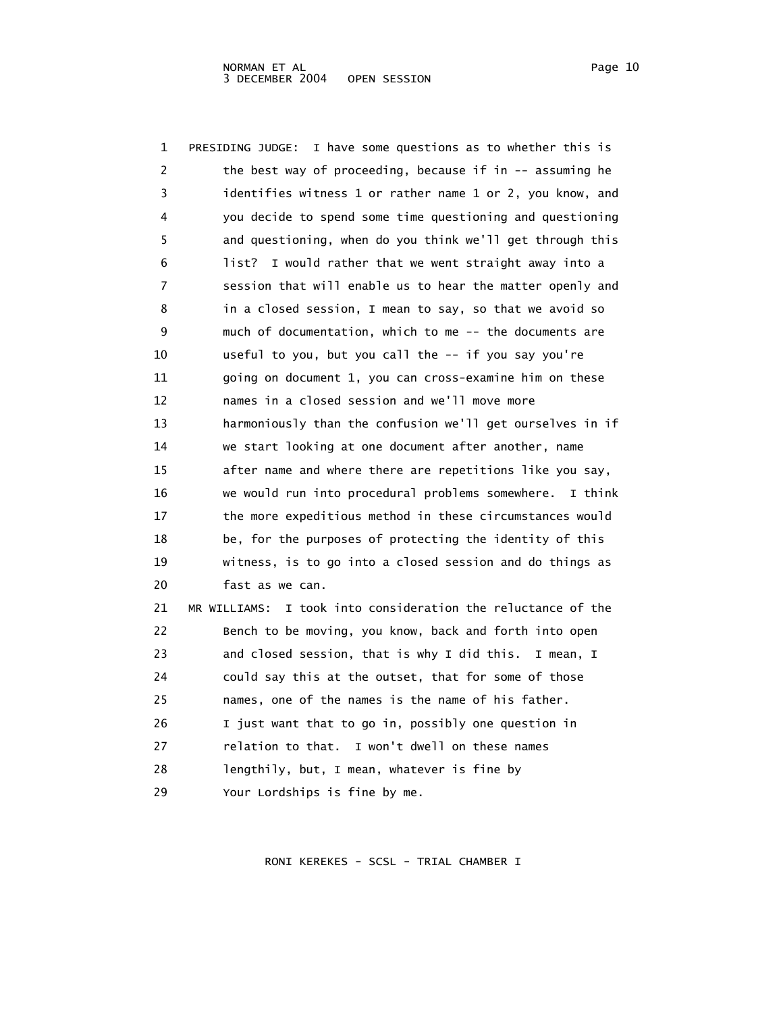| Page |  |
|------|--|
|      |  |

 1 PRESIDING JUDGE: I have some questions as to whether this is 2 the best way of proceeding, because if in -- assuming he 3 identifies witness 1 or rather name 1 or 2, you know, and 4 you decide to spend some time questioning and questioning 5 and questioning, when do you think we'll get through this 6 list? I would rather that we went straight away into a 7 session that will enable us to hear the matter openly and 8 in a closed session, I mean to say, so that we avoid so 9 much of documentation, which to me -- the documents are 10 useful to you, but you call the -- if you say you're 11 going on document 1, you can cross-examine him on these 12 names in a closed session and we'll move more 13 harmoniously than the confusion we'll get ourselves in if 14 we start looking at one document after another, name 15 after name and where there are repetitions like you say, 16 we would run into procedural problems somewhere. I think 17 the more expeditious method in these circumstances would 18 be, for the purposes of protecting the identity of this 19 witness, is to go into a closed session and do things as 20 fast as we can. 21 MR WILLIAMS: I took into consideration the reluctance of the 22 Bench to be moving, you know, back and forth into open 23 and closed session, that is why I did this. I mean, I 24 could say this at the outset, that for some of those 25 names, one of the names is the name of his father. 26 I just want that to go in, possibly one question in 27 relation to that. I won't dwell on these names 28 lengthily, but, I mean, whatever is fine by 29 Your Lordships is fine by me.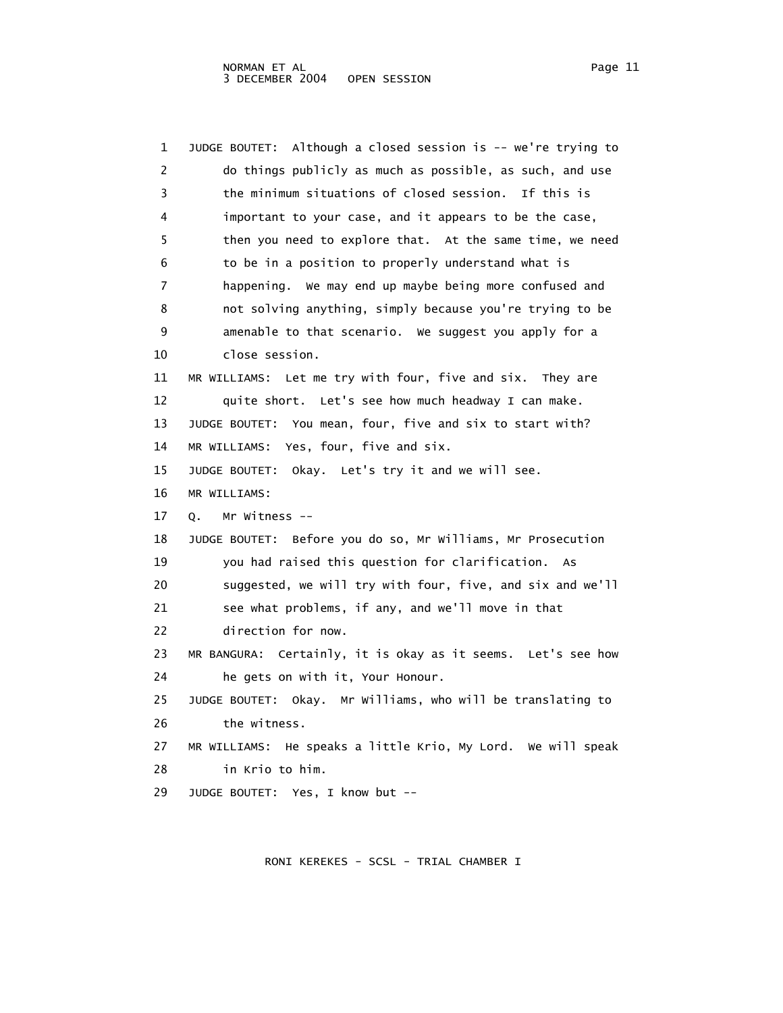1 JUDGE BOUTET: Although a closed session is -- we're trying to 2 do things publicly as much as possible, as such, and use 3 the minimum situations of closed session. If this is 4 important to your case, and it appears to be the case, 5 then you need to explore that. At the same time, we need 6 to be in a position to properly understand what is 7 happening. We may end up maybe being more confused and 8 not solving anything, simply because you're trying to be 9 amenable to that scenario. We suggest you apply for a 10 close session. 11 MR WILLIAMS: Let me try with four, five and six. They are 12 quite short. Let's see how much headway I can make. 13 JUDGE BOUTET: You mean, four, five and six to start with? 14 MR WILLIAMS: Yes, four, five and six. 15 JUDGE BOUTET: Okay. Let's try it and we will see. 16 MR WILLIAMS: 17 Q. Mr Witness -- 18 JUDGE BOUTET: Before you do so, Mr Williams, Mr Prosecution 19 you had raised this question for clarification. As 20 suggested, we will try with four, five, and six and we'll 21 see what problems, if any, and we'll move in that 22 direction for now. 23 MR BANGURA: Certainly, it is okay as it seems. Let's see how 24 he gets on with it, Your Honour. 25 JUDGE BOUTET: Okay. Mr Williams, who will be translating to 26 the witness. 27 MR WILLIAMS: He speaks a little Krio, My Lord. We will speak 28 in Krio to him. 29 JUDGE BOUTET: Yes, I know but --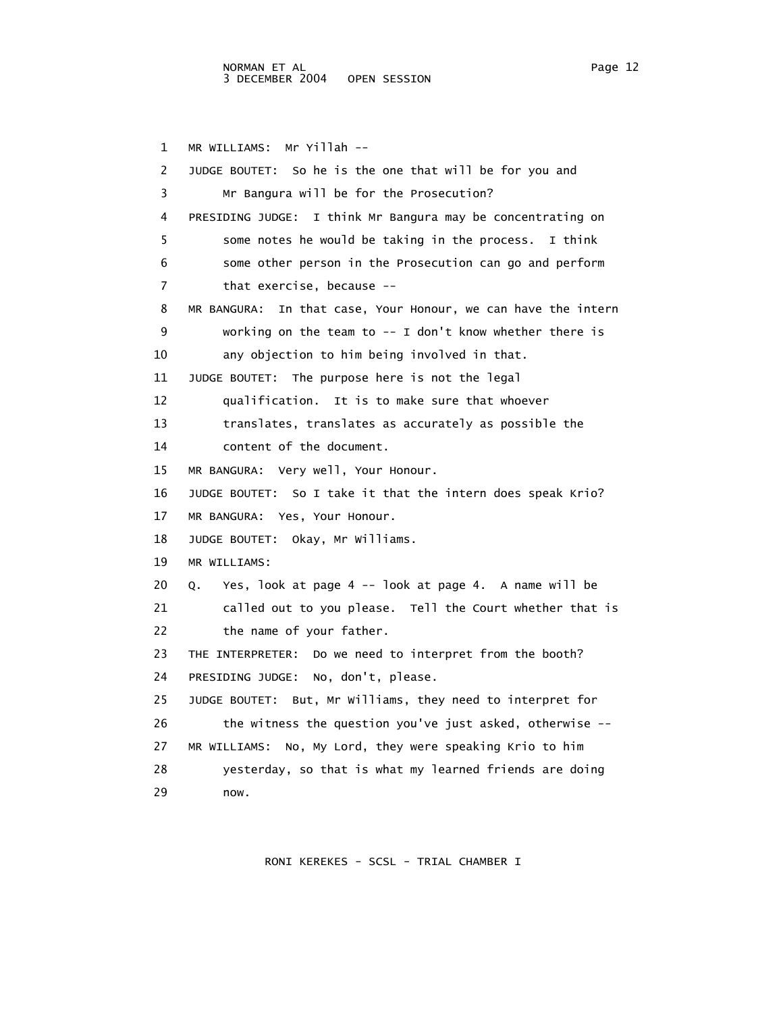## NORMAN ET AL Page 12 3 DECEMBER 2004 OPEN SESSION

 1 MR WILLIAMS: Mr Yillah -- 2 JUDGE BOUTET: So he is the one that will be for you and 3 Mr Bangura will be for the Prosecution? 4 PRESIDING JUDGE: I think Mr Bangura may be concentrating on 5 some notes he would be taking in the process. I think 6 some other person in the Prosecution can go and perform 7 that exercise, because -- 8 MR BANGURA: In that case, Your Honour, we can have the intern 9 working on the team to -- I don't know whether there is 10 any objection to him being involved in that. 11 JUDGE BOUTET: The purpose here is not the legal 12 qualification. It is to make sure that whoever 13 translates, translates as accurately as possible the 14 content of the document. 15 MR BANGURA: Very well, Your Honour. 16 JUDGE BOUTET: So I take it that the intern does speak Krio? 17 MR BANGURA: Yes, Your Honour. 18 JUDGE BOUTET: Okay, Mr Williams. 19 MR WILLIAMS: 20 Q. Yes, look at page 4 -- look at page 4. A name will be 21 called out to you please. Tell the Court whether that is 22 the name of your father. 23 THE INTERPRETER: Do we need to interpret from the booth? 24 PRESIDING JUDGE: No, don't, please. 25 JUDGE BOUTET: But, Mr Williams, they need to interpret for 26 the witness the question you've just asked, otherwise -- 27 MR WILLIAMS: No, My Lord, they were speaking Krio to him 28 yesterday, so that is what my learned friends are doing 29 now.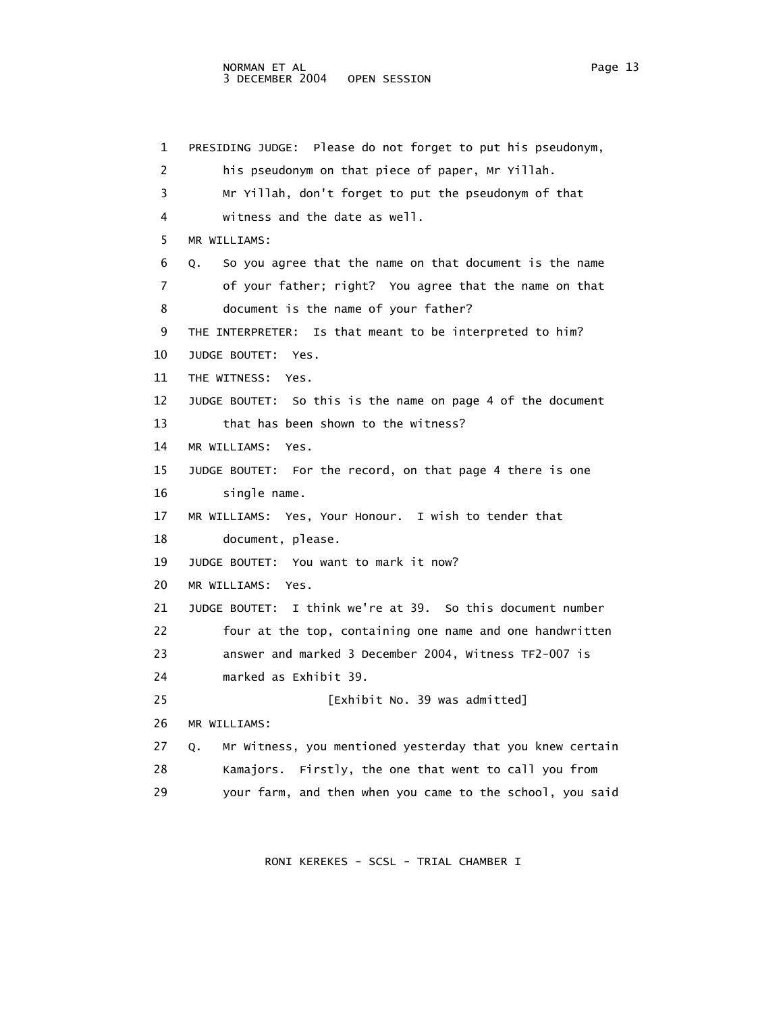1 PRESIDING JUDGE: Please do not forget to put his pseudonym, 2 his pseudonym on that piece of paper, Mr Yillah. 3 Mr Yillah, don't forget to put the pseudonym of that 4 witness and the date as well. 5 MR WILLIAMS: 6 Q. So you agree that the name on that document is the name 7 of your father; right? You agree that the name on that 8 document is the name of your father? 9 THE INTERPRETER: Is that meant to be interpreted to him? 10 JUDGE BOUTET: Yes. 11 THE WITNESS: Yes. 12 JUDGE BOUTET: So this is the name on page 4 of the document 13 that has been shown to the witness? 14 MR WILLIAMS: Yes. 15 JUDGE BOUTET: For the record, on that page 4 there is one 16 single name. 17 MR WILLIAMS: Yes, Your Honour. I wish to tender that 18 document, please. 19 JUDGE BOUTET: You want to mark it now? 20 MR WILLIAMS: Yes. 21 JUDGE BOUTET: I think we're at 39. So this document number 22 four at the top, containing one name and one handwritten 23 answer and marked 3 December 2004, Witness TF2-007 is 24 marked as Exhibit 39. 25 [Exhibit No. 39 was admitted] 26 MR WILLIAMS: 27 Q. Mr Witness, you mentioned yesterday that you knew certain 28 Kamajors. Firstly, the one that went to call you from 29 your farm, and then when you came to the school, you said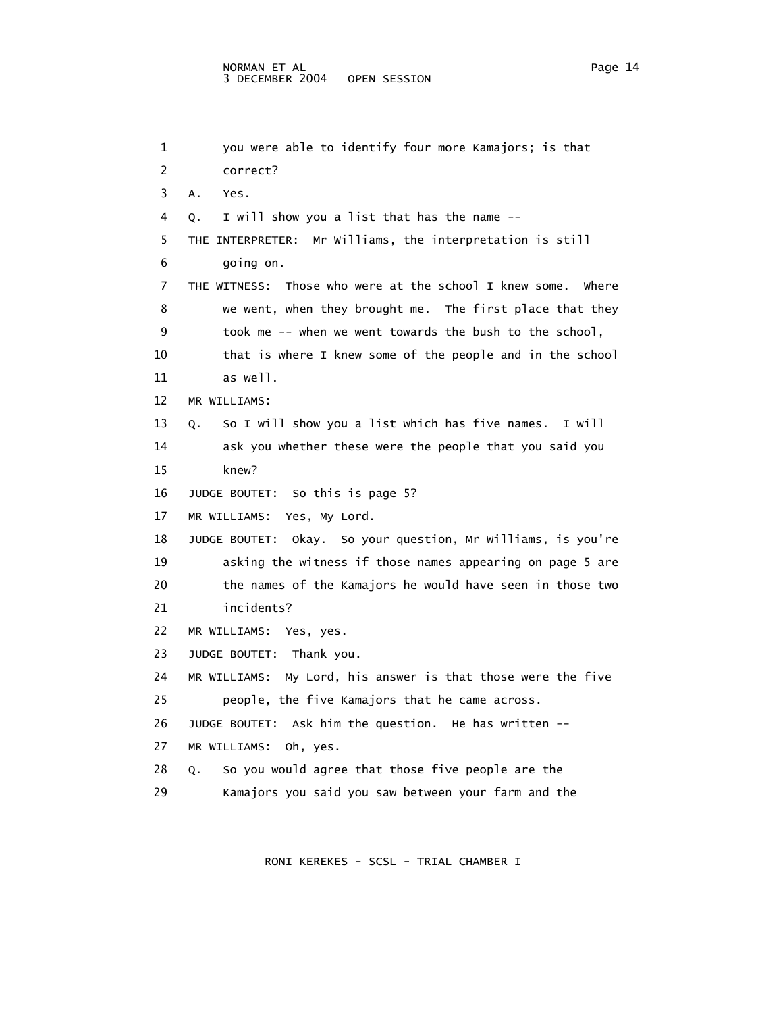```
 1 you were able to identify four more Kamajors; is that 
 2 correct? 
 3 A. Yes. 
 4 Q. I will show you a list that has the name -- 
 5 THE INTERPRETER: Mr Williams, the interpretation is still 
 6 going on. 
 7 THE WITNESS: Those who were at the school I knew some. Where 
 8 we went, when they brought me. The first place that they 
 9 took me -- when we went towards the bush to the school, 
 10 that is where I knew some of the people and in the school 
 11 as well. 
 12 MR WILLIAMS: 
 13 Q. So I will show you a list which has five names. I will 
 14 ask you whether these were the people that you said you 
 15 knew? 
 16 JUDGE BOUTET: So this is page 5? 
 17 MR WILLIAMS: Yes, My Lord. 
 18 JUDGE BOUTET: Okay. So your question, Mr Williams, is you're 
 19 asking the witness if those names appearing on page 5 are 
 20 the names of the Kamajors he would have seen in those two 
 21 incidents? 
 22 MR WILLIAMS: Yes, yes. 
 23 JUDGE BOUTET: Thank you. 
 24 MR WILLIAMS: My Lord, his answer is that those were the five 
 25 people, the five Kamajors that he came across. 
 26 JUDGE BOUTET: Ask him the question. He has written -- 
 27 MR WILLIAMS: Oh, yes. 
 28 Q. So you would agree that those five people are the 
 29 Kamajors you said you saw between your farm and the
```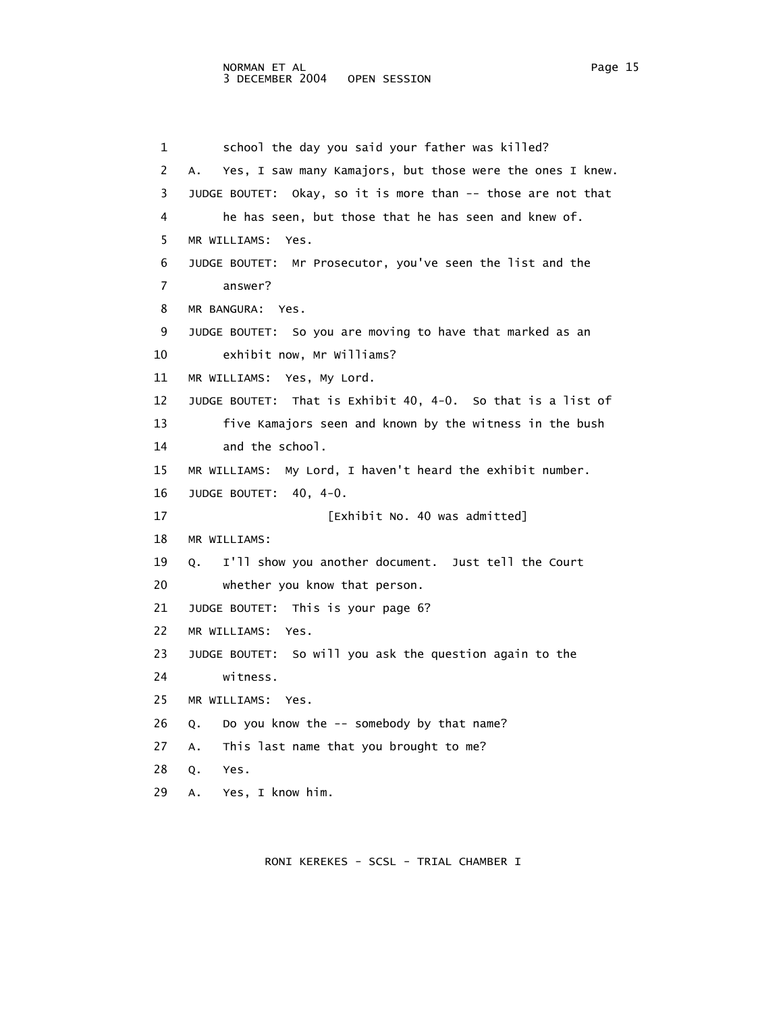1 school the day you said your father was killed? 2 A. Yes, I saw many Kamajors, but those were the ones I knew. 3 JUDGE BOUTET: Okay, so it is more than -- those are not that 4 he has seen, but those that he has seen and knew of. 5 MR WILLIAMS: Yes. 6 JUDGE BOUTET: Mr Prosecutor, you've seen the list and the 7 answer? 8 MR BANGURA: Yes. 9 JUDGE BOUTET: So you are moving to have that marked as an 10 exhibit now, Mr Williams? 11 MR WILLIAMS: Yes, My Lord. 12 JUDGE BOUTET: That is Exhibit 40, 4-0. So that is a list of 13 five Kamajors seen and known by the witness in the bush 14 and the school. 15 MR WILLIAMS: My Lord, I haven't heard the exhibit number. 16 JUDGE BOUTET: 40, 4-0. 17 [Exhibit No. 40 was admitted] 18 MR WILLIAMS: 19 Q. I'll show you another document. Just tell the Court 20 whether you know that person. 21 JUDGE BOUTET: This is your page 6? 22 MR WILLIAMS: Yes. 23 JUDGE BOUTET: So will you ask the question again to the 24 witness. 25 MR WILLIAMS: Yes. 26 Q. Do you know the -- somebody by that name? 27 A. This last name that you brought to me? 28 Q. Yes. 29 A. Yes, I know him.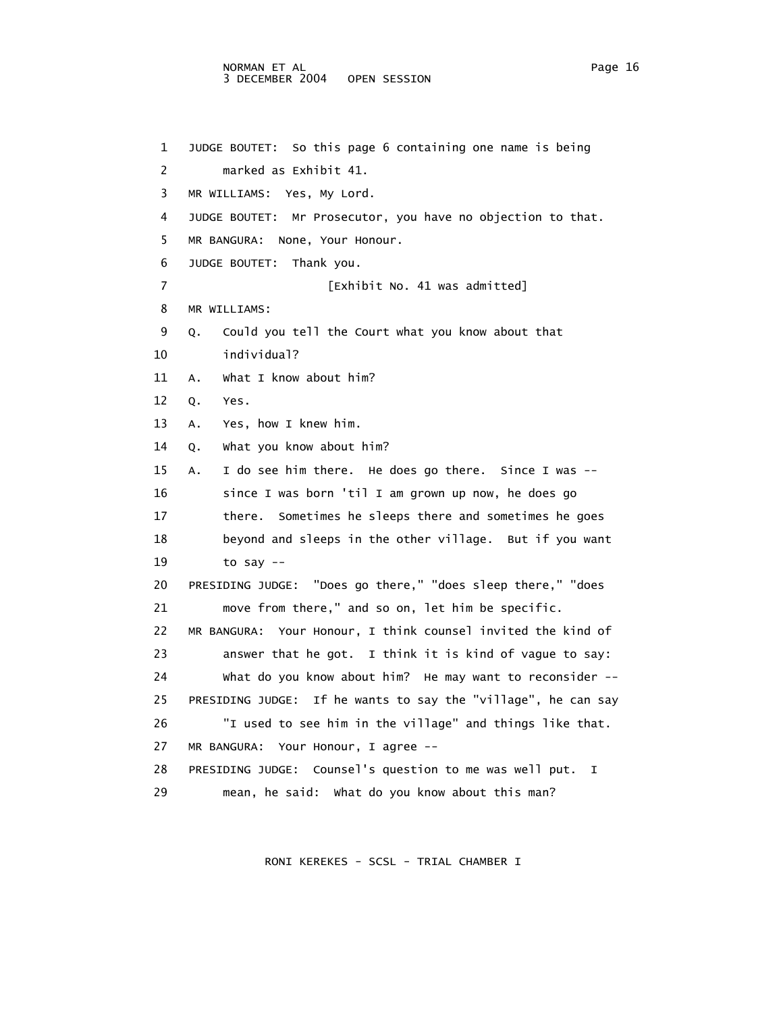## NORMAN ET AL Page 16 3 DECEMBER 2004 OPEN SESSION

 1 JUDGE BOUTET: So this page 6 containing one name is being 2 marked as Exhibit 41. 3 MR WILLIAMS: Yes, My Lord. 4 JUDGE BOUTET: Mr Prosecutor, you have no objection to that. 5 MR BANGURA: None, Your Honour. 6 JUDGE BOUTET: Thank you. 7 **Exhibit No. 41 was admitted**] 8 MR WILLIAMS: 9 Q. Could you tell the Court what you know about that 10 individual? 11 A. What I know about him? 12 Q. Yes. 13 A. Yes, how I knew him. 14 Q. What you know about him? 15 A. I do see him there. He does go there. Since I was -- 16 since I was born 'til I am grown up now, he does go 17 there. Sometimes he sleeps there and sometimes he goes 18 beyond and sleeps in the other village. But if you want 19 to say -- 20 PRESIDING JUDGE: "Does go there," "does sleep there," "does 21 move from there," and so on, let him be specific. 22 MR BANGURA: Your Honour, I think counsel invited the kind of 23 answer that he got. I think it is kind of vague to say: 24 What do you know about him? He may want to reconsider -- 25 PRESIDING JUDGE: If he wants to say the "village", he can say 26 "I used to see him in the village" and things like that. 27 MR BANGURA: Your Honour, I agree -- 28 PRESIDING JUDGE: Counsel's question to me was well put. I 29 mean, he said: What do you know about this man?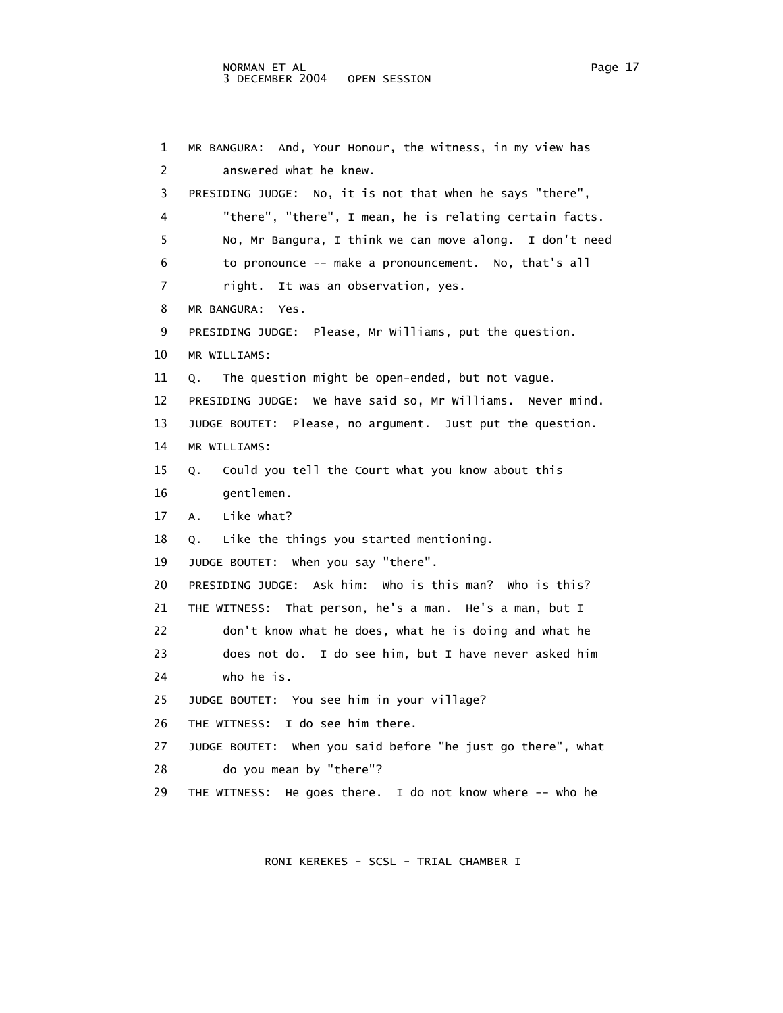```
 1 MR BANGURA: And, Your Honour, the witness, in my view has 
 2 answered what he knew. 
 3 PRESIDING JUDGE: No, it is not that when he says "there", 
 4 "there", "there", I mean, he is relating certain facts. 
 5 No, Mr Bangura, I think we can move along. I don't need 
 6 to pronounce -- make a pronouncement. No, that's all 
 7 right. It was an observation, yes. 
 8 MR BANGURA: Yes. 
 9 PRESIDING JUDGE: Please, Mr Williams, put the question. 
 10 MR WILLIAMS: 
 11 Q. The question might be open-ended, but not vague. 
 12 PRESIDING JUDGE: We have said so, Mr Williams. Never mind. 
 13 JUDGE BOUTET: Please, no argument. Just put the question. 
 14 MR WILLIAMS: 
 15 Q. Could you tell the Court what you know about this 
 16 gentlemen. 
 17 A. Like what? 
 18 Q. Like the things you started mentioning. 
 19 JUDGE BOUTET: When you say "there". 
 20 PRESIDING JUDGE: Ask him: Who is this man? Who is this? 
 21 THE WITNESS: That person, he's a man. He's a man, but I 
 22 don't know what he does, what he is doing and what he 
 23 does not do. I do see him, but I have never asked him 
 24 who he is. 
 25 JUDGE BOUTET: You see him in your village? 
 26 THE WITNESS: I do see him there. 
 27 JUDGE BOUTET: When you said before "he just go there", what 
 28 do you mean by "there"? 
 29 THE WITNESS: He goes there. I do not know where -- who he
```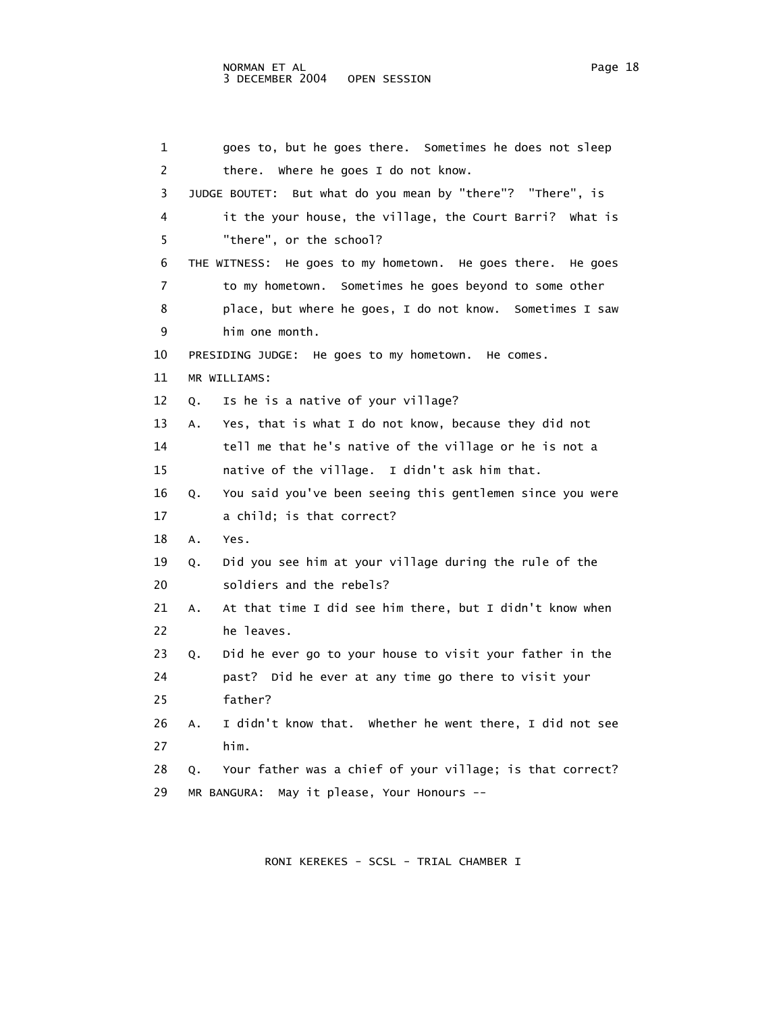5 "there", or the school?

9 him one month.

11 MR WILLIAMS:

 1 goes to, but he goes there. Sometimes he does not sleep 2 there. Where he goes I do not know. 3 JUDGE BOUTET: But what do you mean by "there"? "There", is 4 it the your house, the village, the Court Barri? What is 6 THE WITNESS: He goes to my hometown. He goes there. He goes 7 to my hometown. Sometimes he goes beyond to some other 8 place, but where he goes, I do not know. Sometimes I saw 10 PRESIDING JUDGE: He goes to my hometown. He comes. 12 Q. Is he is a native of your village? 13 A. Yes, that is what I do not know, because they did not

 14 tell me that he's native of the village or he is not a 15 native of the village. I didn't ask him that.

 16 Q. You said you've been seeing this gentlemen since you were 17 a child; is that correct?

18 A. Yes.

 19 Q. Did you see him at your village during the rule of the 20 soldiers and the rebels?

 21 A. At that time I did see him there, but I didn't know when 22 he leaves.

 23 Q. Did he ever go to your house to visit your father in the 24 past? Did he ever at any time go there to visit your 25 father?

 26 A. I didn't know that. Whether he went there, I did not see 27 him.

 28 Q. Your father was a chief of your village; is that correct? 29 MR BANGURA: May it please, Your Honours --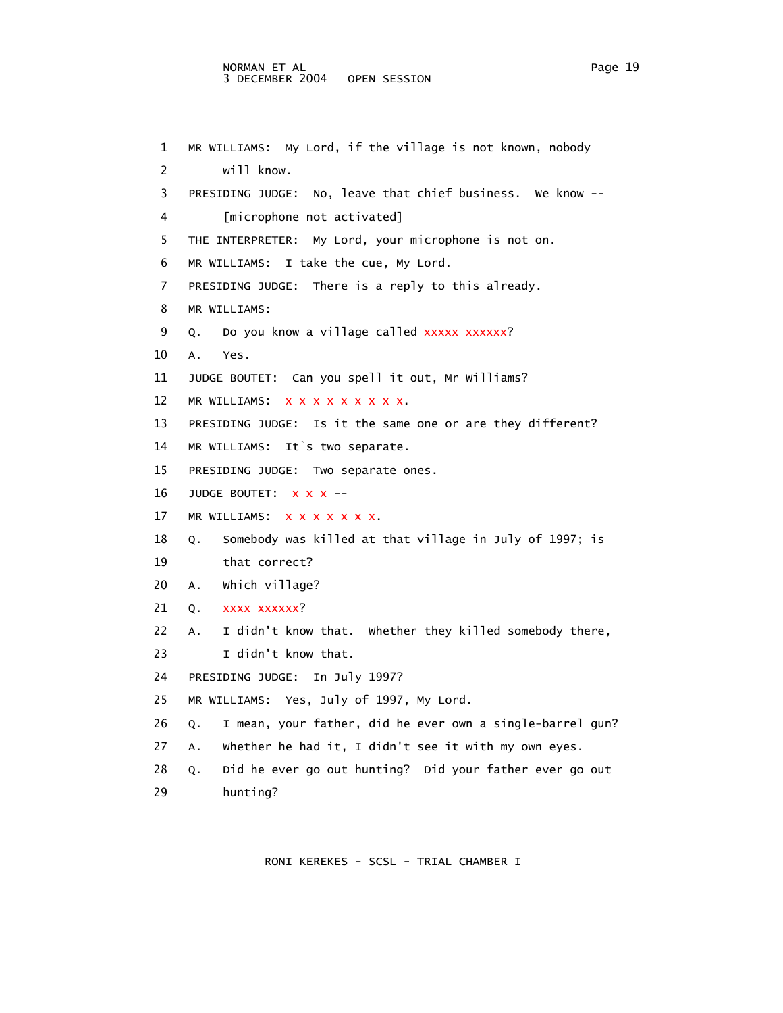## NORMAN ET AL Page 19 3 DECEMBER 2004 OPEN SESSION

```
 1 MR WILLIAMS: My Lord, if the village is not known, nobody 
 2 will know. 
 3 PRESIDING JUDGE: No, leave that chief business. We know -- 
 4 [microphone not activated] 
 5 THE INTERPRETER: My Lord, your microphone is not on. 
 6 MR WILLIAMS: I take the cue, My Lord. 
 7 PRESIDING JUDGE: There is a reply to this already. 
 8 MR WILLIAMS: 
9 Q. Do you know a village called xxxxx xxxxxx?
 10 A. Yes. 
 11 JUDGE BOUTET: Can you spell it out, Mr Williams? 
12 MR WILLIAMS: x x x x x x x x x x.
 13 PRESIDING JUDGE: Is it the same one or are they different? 
 14 MR WILLIAMS: It`s two separate. 
 15 PRESIDING JUDGE: Two separate ones. 
16 JUDGE BOUTET: x x x --
17 MR WILLIAMS: X X X X X X X.
 18 Q. Somebody was killed at that village in July of 1997; is 
 19 that correct? 
 20 A. Which village? 
21 Q. xxxx xxxxxx?
 22 A. I didn't know that. Whether they killed somebody there, 
23 I didn't know that.
 24 PRESIDING JUDGE: In July 1997? 
 25 MR WILLIAMS: Yes, July of 1997, My Lord. 
 26 Q. I mean, your father, did he ever own a single-barrel gun? 
 27 A. Whether he had it, I didn't see it with my own eyes. 
 28 Q. Did he ever go out hunting? Did your father ever go out 
 29 hunting?
```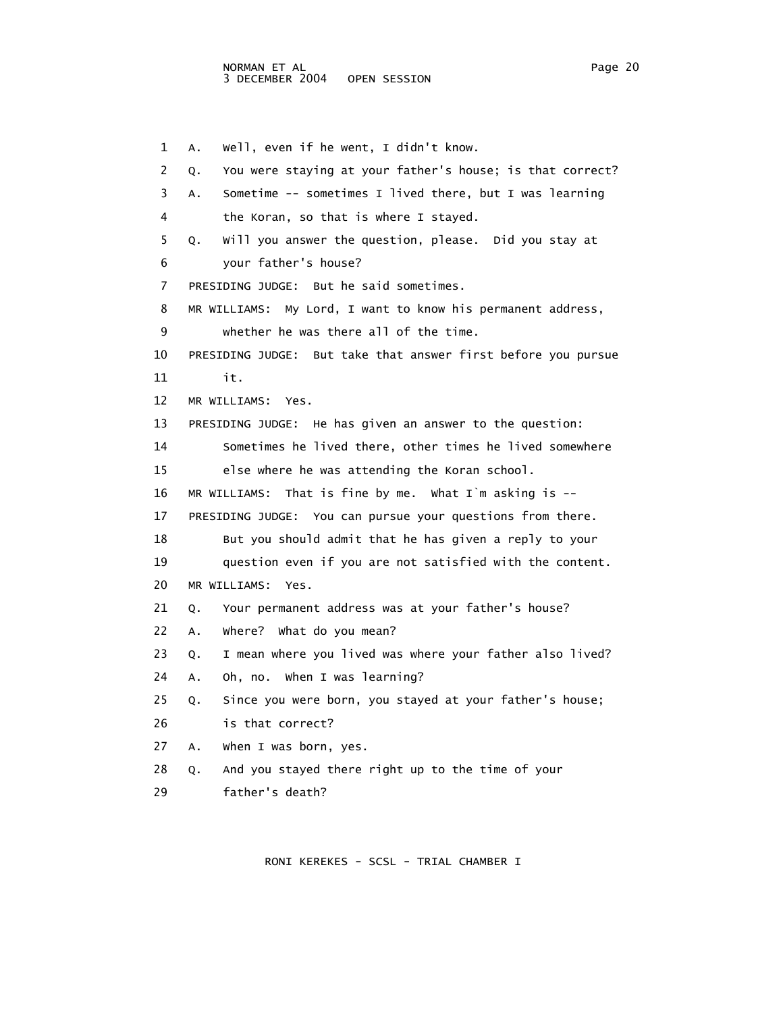1 A. Well, even if he went, I didn't know. 2 Q. You were staying at your father's house; is that correct? 3 A. Sometime -- sometimes I lived there, but I was learning 4 the Koran, so that is where I stayed. 5 Q. Will you answer the question, please. Did you stay at 6 your father's house? 7 PRESIDING JUDGE: But he said sometimes. 8 MR WILLIAMS: My Lord, I want to know his permanent address, 9 whether he was there all of the time. 10 PRESIDING JUDGE: But take that answer first before you pursue 11 it. 12 MR WILLIAMS: Yes. 13 PRESIDING JUDGE: He has given an answer to the question: 14 Sometimes he lived there, other times he lived somewhere 15 else where he was attending the Koran school. 16 MR WILLIAMS: That is fine by me. What I`m asking is -- 17 PRESIDING JUDGE: You can pursue your questions from there. 18 But you should admit that he has given a reply to your 19 question even if you are not satisfied with the content. 20 MR WILLIAMS: Yes. 21 Q. Your permanent address was at your father's house? 22 A. Where? What do you mean? 23 Q. I mean where you lived was where your father also lived? 24 A. Oh, no. When I was learning? 25 Q. Since you were born, you stayed at your father's house; 26 is that correct? 27 A. When I was born, yes. 28 Q. And you stayed there right up to the time of your 29 father's death?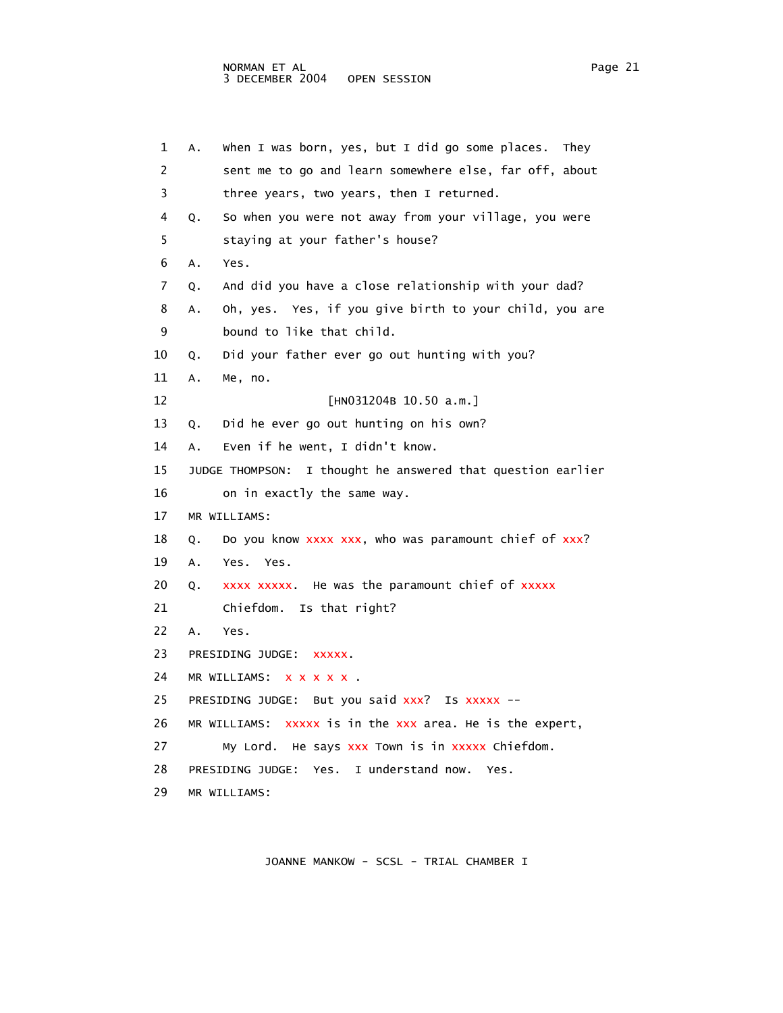1 A. When I was born, yes, but I did go some places. They 2 sent me to go and learn somewhere else, far off, about 3 three years, two years, then I returned. 4 Q. So when you were not away from your village, you were 5 staying at your father's house? 6 A. Yes. 7 Q. And did you have a close relationship with your dad? 8 A. Oh, yes. Yes, if you give birth to your child, you are 9 bound to like that child. 10 Q. Did your father ever go out hunting with you? 11 A. Me, no. 12 [HN031204B 10.50 a.m.] 13 Q. Did he ever go out hunting on his own? 14 A. Even if he went, I didn't know. 15 JUDGE THOMPSON: I thought he answered that question earlier 16 on in exactly the same way. 17 MR WILLIAMS: 18 Q. Do you know xxxx xxx, who was paramount chief of xxx? 19 A. Yes. Yes. 20 Q. xxxx xxxxx. He was the paramount chief of xxxxx 21 Chiefdom. Is that right? 22 A. Yes. 23 PRESIDING JUDGE: xxxxx. 24 MR WILLIAMS: x x x x x . 25 PRESIDING JUDGE: But you said xxx? Is xxxxx --26 MR WILLIAMS: xxxxx is in the xxx area. He is the expert, 27 My Lord. He says xxx Town is in xxxxx Chiefdom. 28 PRESIDING JUDGE: Yes. I understand now. Yes. 29 MR WILLIAMS: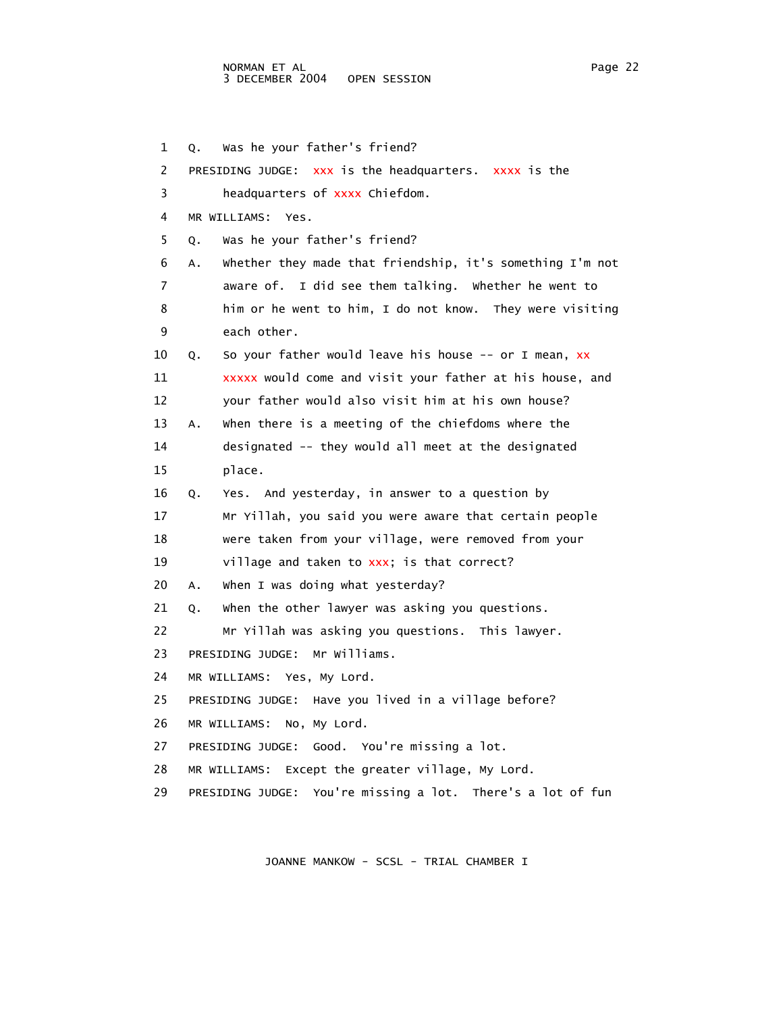1 Q. Was he your father's friend? 2 PRESIDING JUDGE: xxx is the headquarters. xxxx is the 3 headquarters of xxxx Chiefdom. 4 MR WILLIAMS: Yes. 5 Q. Was he your father's friend? 6 A. Whether they made that friendship, it's something I'm not 7 aware of. I did see them talking. Whether he went to 8 him or he went to him, I do not know. They were visiting 9 each other. 10 Q. So your father would leave his house -- or I mean, xx 11 xxxxx would come and visit your father at his house, and 12 your father would also visit him at his own house? 13 A. When there is a meeting of the chiefdoms where the 14 designated -- they would all meet at the designated 15 place. 16 Q. Yes. And yesterday, in answer to a question by 17 Mr Yillah, you said you were aware that certain people 18 were taken from your village, were removed from your 19 village and taken to xxx; is that correct? 20 A. When I was doing what yesterday? 21 Q. When the other lawyer was asking you questions. 22 Mr Yillah was asking you questions. This lawyer. 23 PRESIDING JUDGE: Mr Williams. 24 MR WILLIAMS: Yes, My Lord. 25 PRESIDING JUDGE: Have you lived in a village before? 26 MR WILLIAMS: No, My Lord.

- 27 PRESIDING JUDGE: Good. You're missing a lot.
- 28 MR WILLIAMS: Except the greater village, My Lord.
- 29 PRESIDING JUDGE: You're missing a lot. There's a lot of fun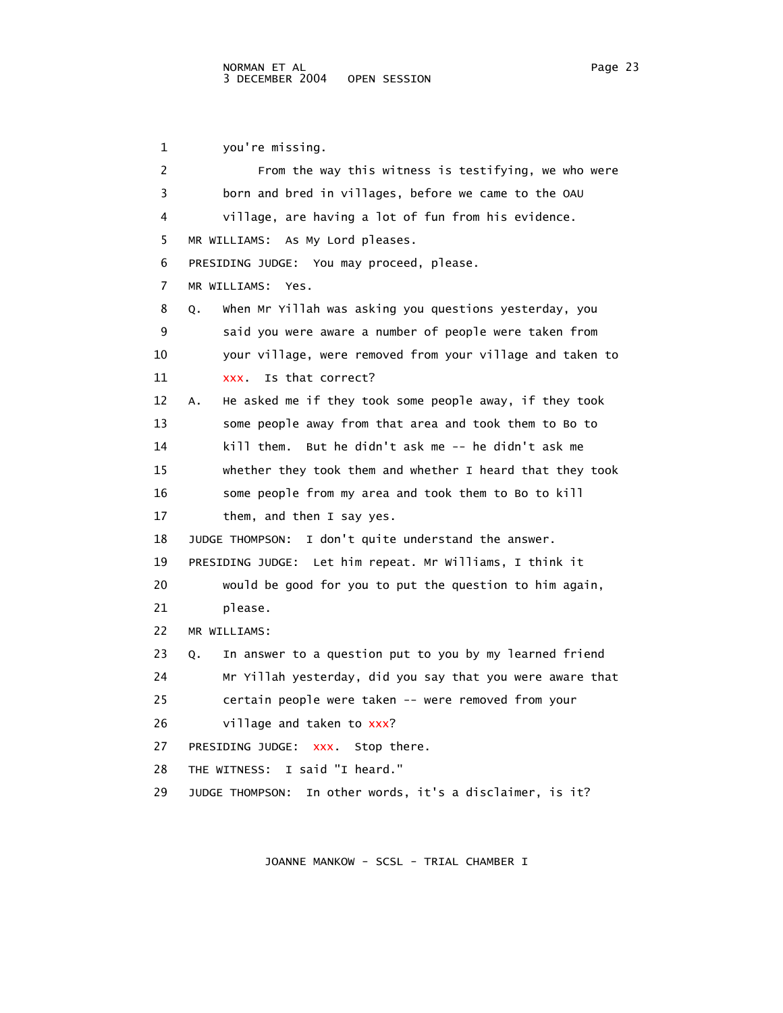1 you're missing. 2 From the way this witness is testifying, we who were 3 born and bred in villages, before we came to the OAU 4 village, are having a lot of fun from his evidence. 5 MR WILLIAMS: As My Lord pleases. 6 PRESIDING JUDGE: You may proceed, please. 7 MR WILLIAMS: Yes. 8 Q. When Mr Yillah was asking you questions yesterday, you 9 said you were aware a number of people were taken from 10 your village, were removed from your village and taken to 11 xxx. Is that correct? 12 A. He asked me if they took some people away, if they took 13 some people away from that area and took them to Bo to 14 kill them. But he didn't ask me -- he didn't ask me 15 whether they took them and whether I heard that they took 16 some people from my area and took them to Bo to kill 17 them, and then I say yes. 18 JUDGE THOMPSON: I don't quite understand the answer. 19 PRESIDING JUDGE: Let him repeat. Mr Williams, I think it 20 would be good for you to put the question to him again, 21 please. 22 MR WILLIAMS: 23 Q. In answer to a question put to you by my learned friend 24 Mr Yillah yesterday, did you say that you were aware that 25 certain people were taken -- were removed from your 26 village and taken to xxx? 27 PRESIDING JUDGE: xxx. Stop there. 28 THE WITNESS: I said "I heard." 29 JUDGE THOMPSON: In other words, it's a disclaimer, is it?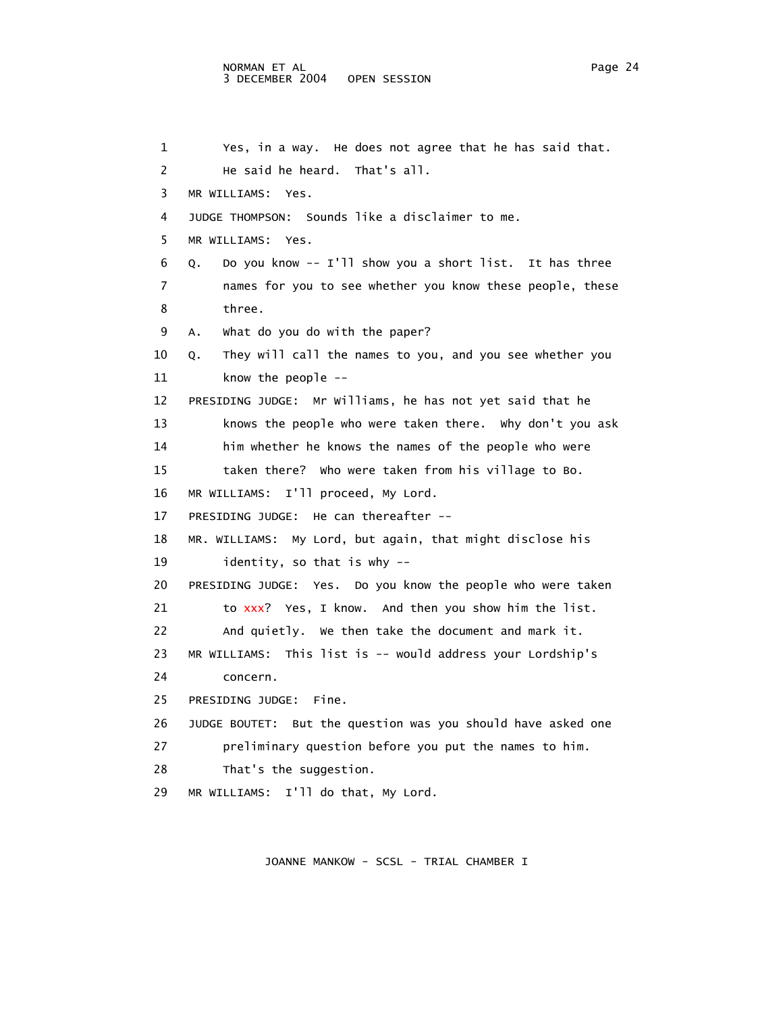```
 1 Yes, in a way. He does not agree that he has said that. 
 2 He said he heard. That's all. 
 3 MR WILLIAMS: Yes. 
 4 JUDGE THOMPSON: Sounds like a disclaimer to me. 
  5 MR WILLIAMS: Yes. 
 6 Q. Do you know -- I'll show you a short list. It has three 
 7 names for you to see whether you know these people, these 
 8 three. 
 9 A. What do you do with the paper? 
 10 Q. They will call the names to you, and you see whether you 
 11 know the people -- 
 12 PRESIDING JUDGE: Mr Williams, he has not yet said that he 
 13 knows the people who were taken there. Why don't you ask 
 14 him whether he knows the names of the people who were 
 15 taken there? Who were taken from his village to Bo. 
 16 MR WILLIAMS: I'll proceed, My Lord. 
 17 PRESIDING JUDGE: He can thereafter -- 
 18 MR. WILLIAMS: My Lord, but again, that might disclose his 
 19 identity, so that is why -- 
 20 PRESIDING JUDGE: Yes. Do you know the people who were taken 
21 to xxx? Yes, I know. And then you show him the list.
 22 And quietly. We then take the document and mark it. 
 23 MR WILLIAMS: This list is -- would address your Lordship's 
 24 concern. 
 25 PRESIDING JUDGE: Fine. 
 26 JUDGE BOUTET: But the question was you should have asked one 
 27 preliminary question before you put the names to him. 
28 That's the suggestion.
 29 MR WILLIAMS: I'll do that, My Lord.
```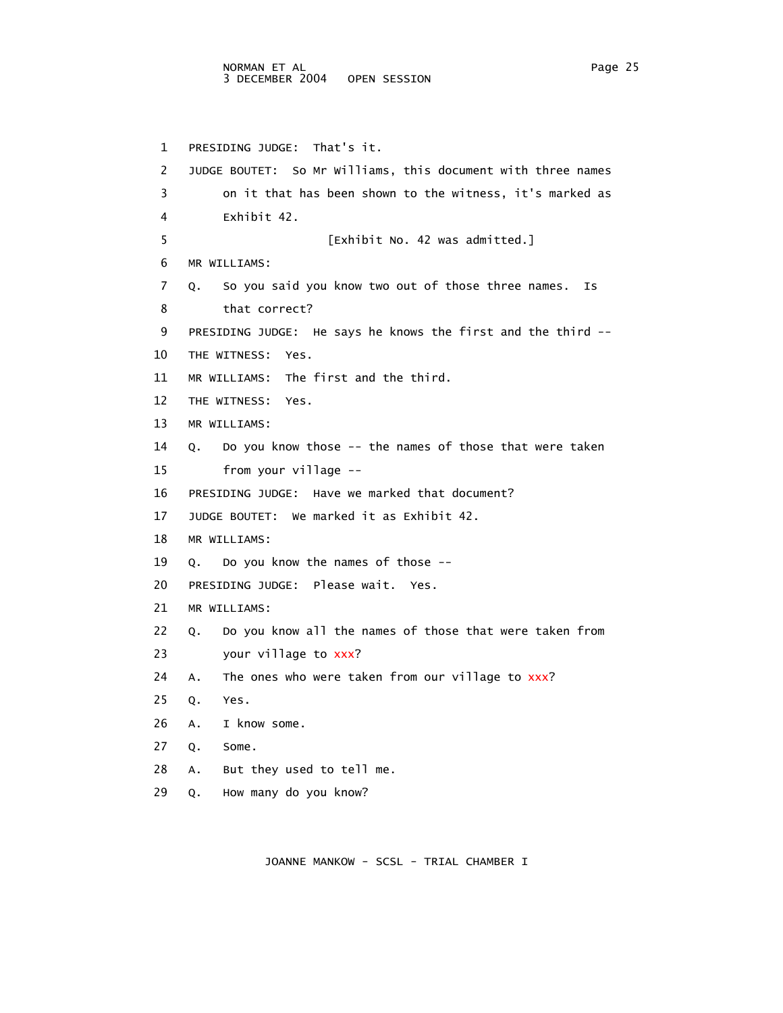1 PRESIDING JUDGE: That's it. 2 JUDGE BOUTET: So Mr Williams, this document with three names 3 on it that has been shown to the witness, it's marked as 4 Exhibit 42. 5 [Exhibit No. 42 was admitted.] 6 MR WILLIAMS: 7 Q. So you said you know two out of those three names. Is 8 that correct? 9 PRESIDING JUDGE: He says he knows the first and the third -- 10 THE WITNESS: Yes. 11 MR WILLIAMS: The first and the third. 12 THE WITNESS: Yes. 13 MR WILLIAMS: 14 Q. Do you know those -- the names of those that were taken 15 from your village -- 16 PRESIDING JUDGE: Have we marked that document? 17 JUDGE BOUTET: We marked it as Exhibit 42. 18 MR WILLIAMS: 19 Q. Do you know the names of those -- 20 PRESIDING JUDGE: Please wait. Yes. 21 MR WILLIAMS: 22 Q. Do you know all the names of those that were taken from 23 your village to xxx? 24 A. The ones who were taken from our village to xxx? 25 Q. Yes. 26 A. I know some. 27 Q. Some. 28 A. But they used to tell me. 29 Q. How many do you know?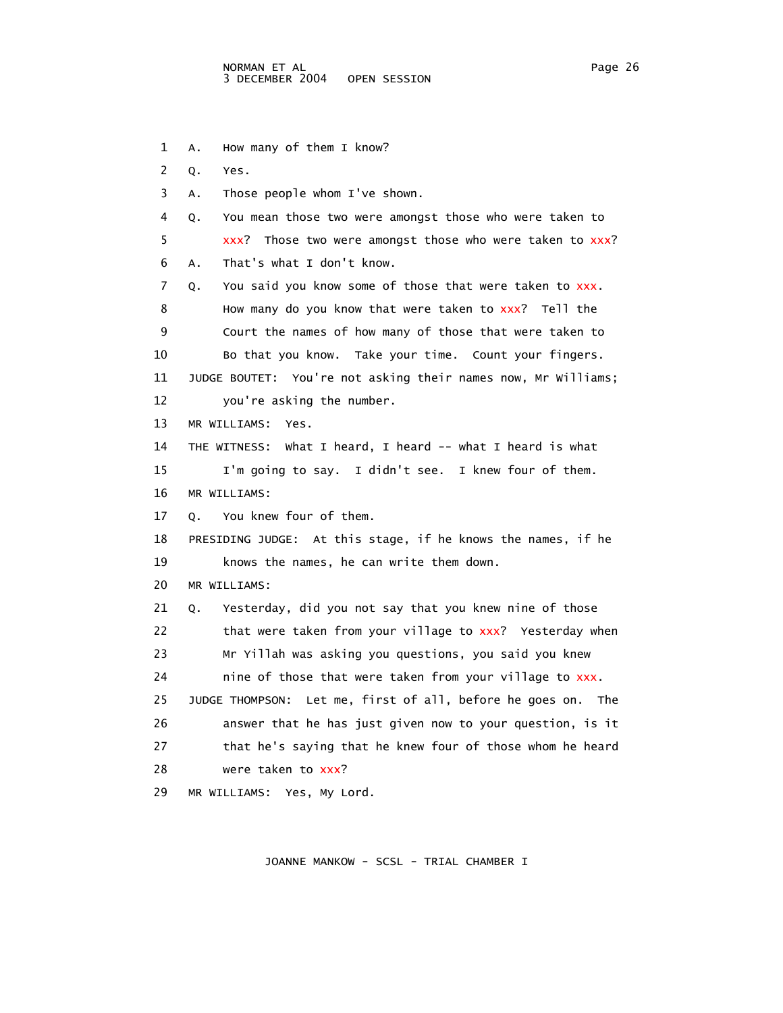1 A. How many of them I know? 2 Q. Yes. 3 A. Those people whom I've shown. 4 Q. You mean those two were amongst those who were taken to 5 xxx? Those two were amongst those who were taken to xxx? 6 A. That's what I don't know. 7 Q. You said you know some of those that were taken to xxx. 8 How many do you know that were taken to xxx? Tell the 9 Court the names of how many of those that were taken to 10 Bo that you know. Take your time. Count your fingers. 11 JUDGE BOUTET: You're not asking their names now, Mr Williams; 12 you're asking the number. 13 MR WILLIAMS: Yes. 14 THE WITNESS: What I heard, I heard -- what I heard is what 15 I'm going to say. I didn't see. I knew four of them. 16 MR WILLIAMS: 17 Q. You knew four of them. 18 PRESIDING JUDGE: At this stage, if he knows the names, if he 19 knows the names, he can write them down. 20 MR WILLIAMS: 21 Q. Yesterday, did you not say that you knew nine of those 22 that were taken from your village to xxx? Yesterday when 23 Mr Yillah was asking you questions, you said you knew 24 nine of those that were taken from your village to xxx. 25 JUDGE THOMPSON: Let me, first of all, before he goes on. The 26 answer that he has just given now to your question, is it 27 that he's saying that he knew four of those whom he heard 28 were taken to xxx? 29 MR WILLIAMS: Yes, My Lord.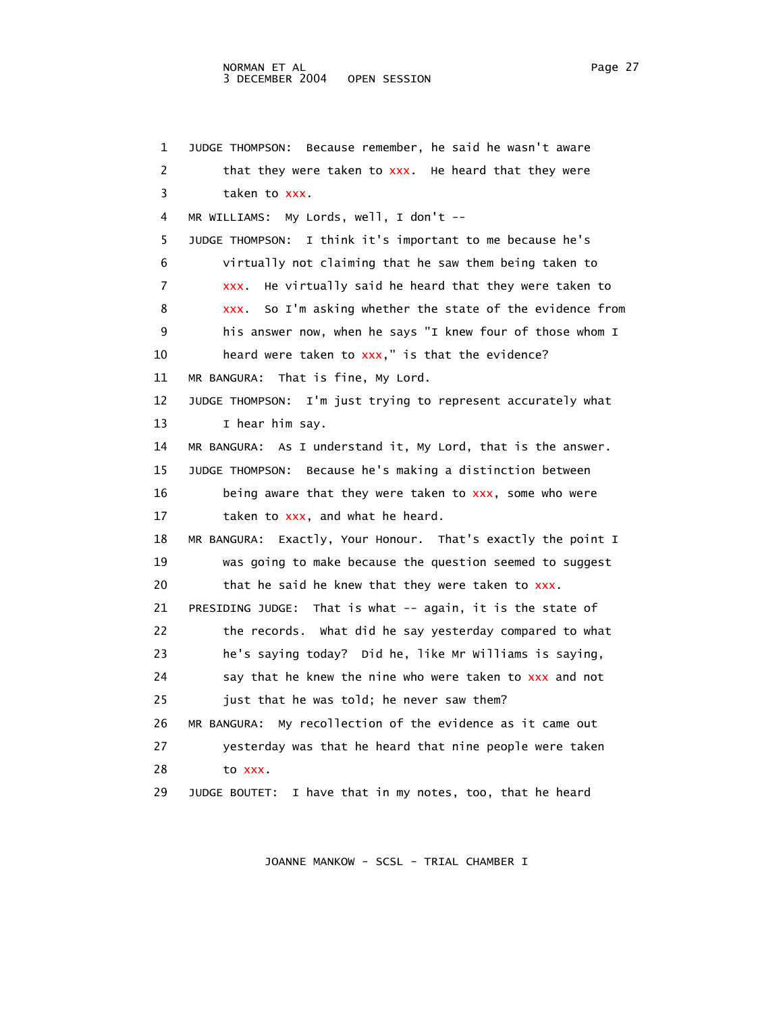## NORMAN ET AL Page 27 3 DECEMBER 2004 OPEN SESSION

 1 JUDGE THOMPSON: Because remember, he said he wasn't aware 2 that they were taken to xxx. He heard that they were 3 taken to xxx. 4 MR WILLIAMS: My Lords, well, I don't -- 5 JUDGE THOMPSON: I think it's important to me because he's 6 virtually not claiming that he saw them being taken to 7 xxx. He virtually said he heard that they were taken to 8 xxx. So I'm asking whether the state of the evidence from 9 his answer now, when he says "I knew four of those whom I 10 heard were taken to xxx," is that the evidence? 11 MR BANGURA: That is fine, My Lord. 12 JUDGE THOMPSON: I'm just trying to represent accurately what 13 I hear him say. 14 MR BANGURA: As I understand it, My Lord, that is the answer. 15 JUDGE THOMPSON: Because he's making a distinction between 16 being aware that they were taken to xxx, some who were 17 taken to xxx, and what he heard. 18 MR BANGURA: Exactly, Your Honour. That's exactly the point I 19 was going to make because the question seemed to suggest 20 that he said he knew that they were taken to xxx. 21 PRESIDING JUDGE: That is what -- again, it is the state of 22 the records. What did he say yesterday compared to what 23 he's saying today? Did he, like Mr Williams is saying, 24 say that he knew the nine who were taken to  $xxx$  and not 25 just that he was told; he never saw them? 26 MR BANGURA: My recollection of the evidence as it came out 27 yesterday was that he heard that nine people were taken 28 to xxx. 29 JUDGE BOUTET: I have that in my notes, too, that he heard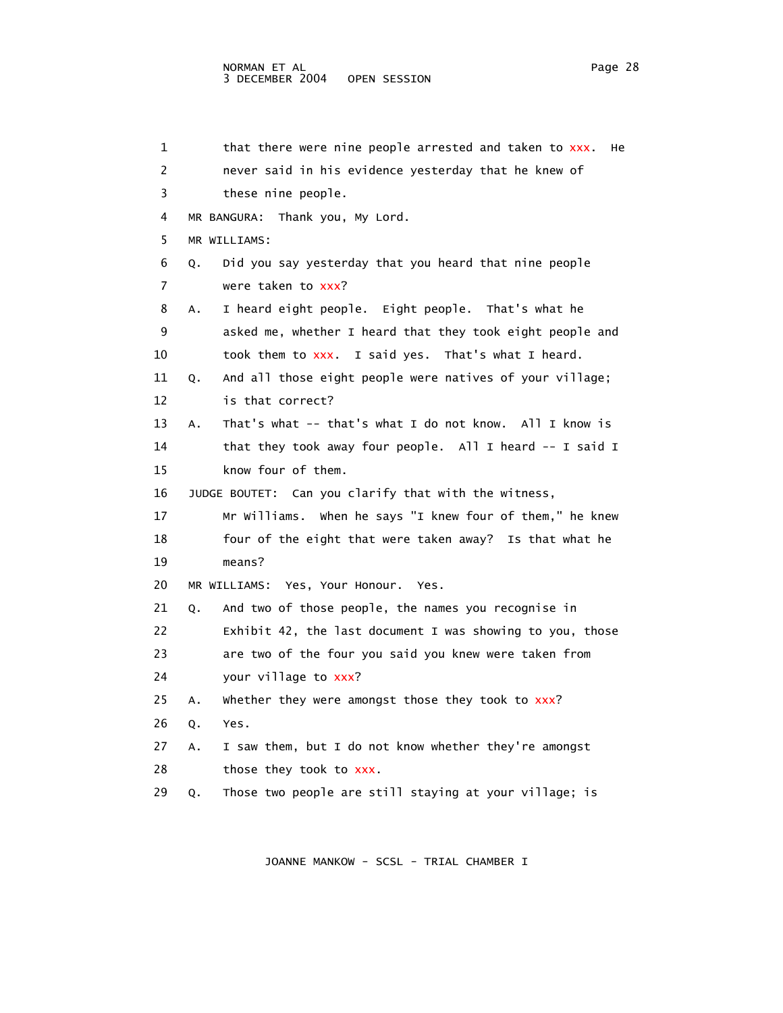```
1 that there were nine people arrested and taken to xxx. He
 2 never said in his evidence yesterday that he knew of 
 3 these nine people. 
 4 MR BANGURA: Thank you, My Lord. 
  5 MR WILLIAMS: 
 6 Q. Did you say yesterday that you heard that nine people 
7 were taken to xxx?
 8 A. I heard eight people. Eight people. That's what he 
 9 asked me, whether I heard that they took eight people and 
10 took them to xxx. I said yes. That's what I heard.
 11 Q. And all those eight people were natives of your village; 
 12 is that correct? 
 13 A. That's what -- that's what I do not know. All I know is 
 14 that they took away four people. All I heard -- I said I 
 15 know four of them. 
 16 JUDGE BOUTET: Can you clarify that with the witness, 
 17 Mr Williams. When he says "I knew four of them," he knew 
 18 four of the eight that were taken away? Is that what he 
 19 means? 
 20 MR WILLIAMS: Yes, Your Honour. Yes. 
 21 Q. And two of those people, the names you recognise in 
 22 Exhibit 42, the last document I was showing to you, those 
 23 are two of the four you said you knew were taken from 
24 your village to xxx?
25 A. Whether they were amongst those they took to xxx?
 26 Q. Yes. 
 27 A. I saw them, but I do not know whether they're amongst 
28 those they took to xxx.
 29 Q. Those two people are still staying at your village; is
```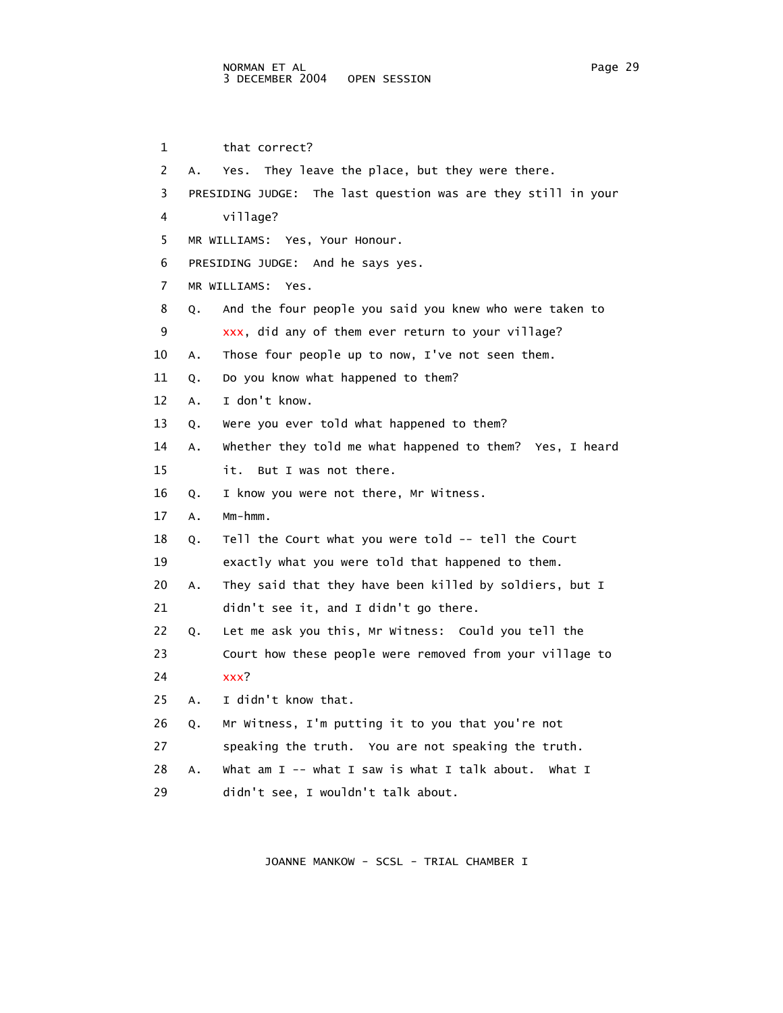1 that correct? 2 A. Yes. They leave the place, but they were there. 3 PRESIDING JUDGE: The last question was are they still in your 4 village? 5 MR WILLIAMS: Yes, Your Honour. 6 PRESIDING JUDGE: And he says yes. 7 MR WILLIAMS: Yes. 8 Q. And the four people you said you knew who were taken to 9 xxx, did any of them ever return to your village? 10 A. Those four people up to now, I've not seen them. 11 Q. Do you know what happened to them? 12 A. I don't know. 13 Q. Were you ever told what happened to them? 14 A. Whether they told me what happened to them? Yes, I heard 15 it. But I was not there. 16 Q. I know you were not there, Mr Witness. 17 A. Mm-hmm. 18 Q. Tell the Court what you were told -- tell the Court 19 exactly what you were told that happened to them. 20 A. They said that they have been killed by soldiers, but I 21 didn't see it, and I didn't go there. 22 Q. Let me ask you this, Mr Witness: Could you tell the 23 Court how these people were removed from your village to 24 xxx? 25 A. I didn't know that. 26 Q. Mr Witness, I'm putting it to you that you're not 27 speaking the truth. You are not speaking the truth. 28 A. What am I -- what I saw is what I talk about. What I 29 didn't see, I wouldn't talk about.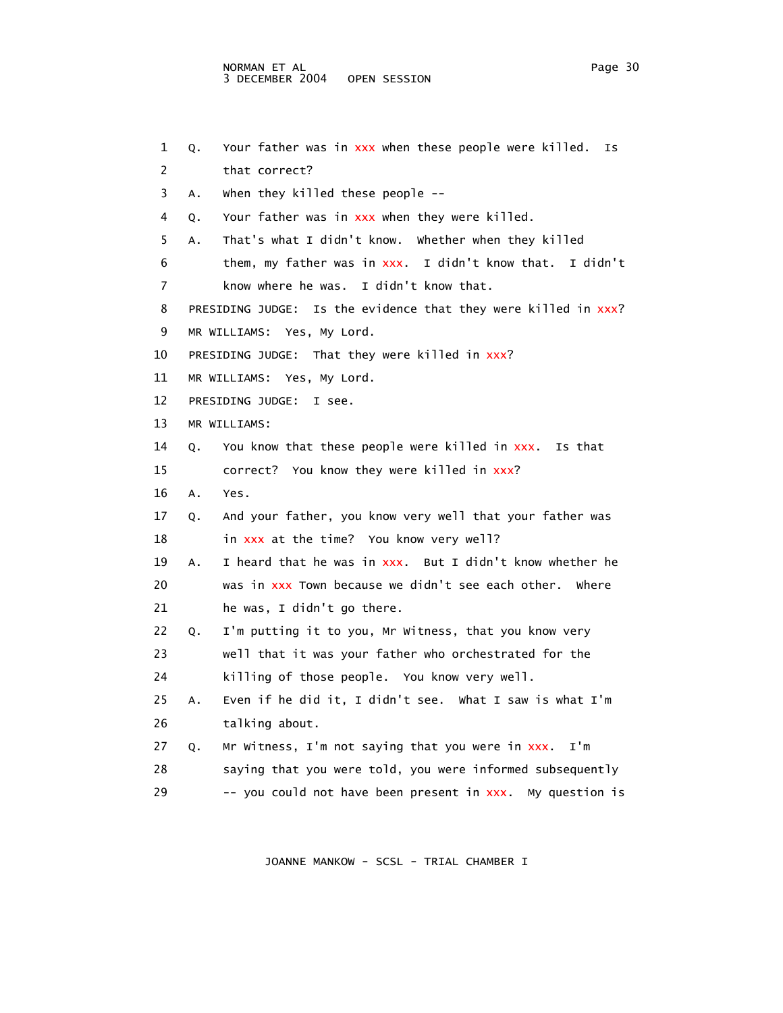```
 2 that correct? 
 3 A. When they killed these people -- 
4 Q. Your father was in xxx when they were killed.
 5 A. That's what I didn't know. Whether when they killed 
 6 them, my father was in xxx. I didn't know that. I didn't 
 7 know where he was. I didn't know that. 
8 PRESIDING JUDGE: Is the evidence that they were killed in xxx?
 9 MR WILLIAMS: Yes, My Lord. 
10 PRESIDING JUDGE: That they were killed in xxx?
 11 MR WILLIAMS: Yes, My Lord. 
 12 PRESIDING JUDGE: I see. 
 13 MR WILLIAMS: 
 14 Q. You know that these people were killed in xxx. Is that 
15 correct? You know they were killed in xxx?
 16 A. Yes. 
 17 Q. And your father, you know very well that your father was 
18 in xxx at the time? You know very well?
 19 A. I heard that he was in xxx. But I didn't know whether he 
 20 was in xxx Town because we didn't see each other. Where 
 21 he was, I didn't go there. 
 22 Q. I'm putting it to you, Mr Witness, that you know very 
 23 well that it was your father who orchestrated for the 
 24 killing of those people. You know very well. 
 25 A. Even if he did it, I didn't see. What I saw is what I'm 
 26 talking about. 
27 Q. Mr Witness, I'm not saying that you were in xxx. I'm
 28 saying that you were told, you were informed subsequently 
29 -- you could not have been present in xxx. My question is
```
1 Q. Your father was in xxx when these people were killed. Is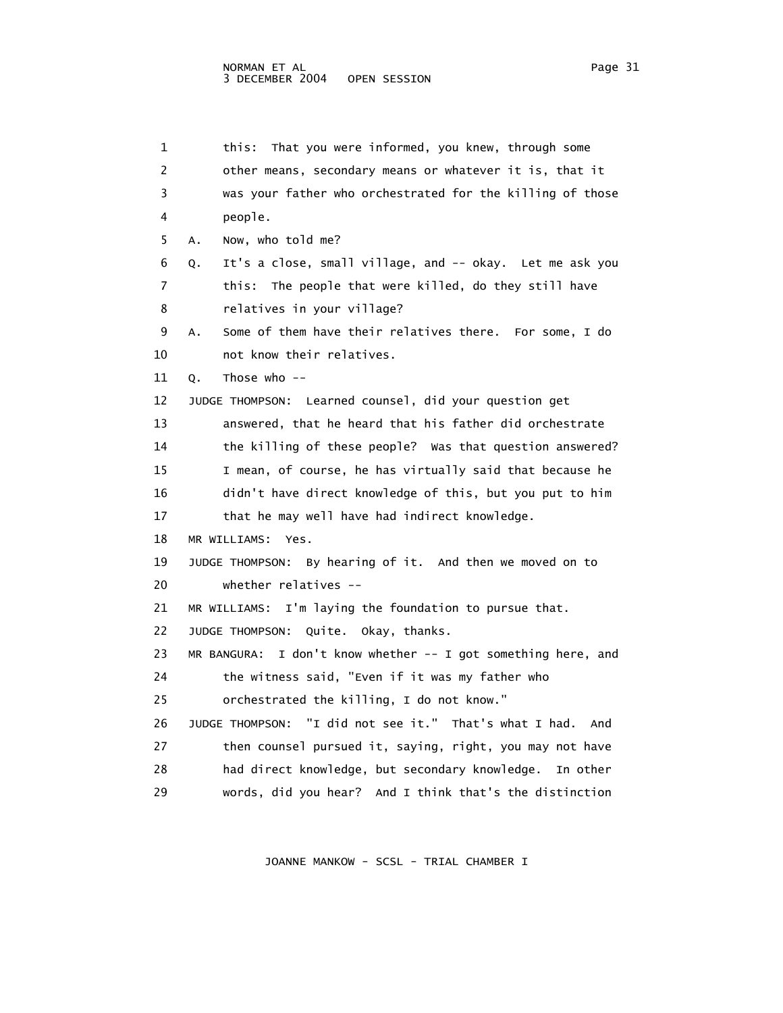1 this: That you were informed, you knew, through some 2 other means, secondary means or whatever it is, that it 3 was your father who orchestrated for the killing of those 4 people. 5 A. Now, who told me? 6 Q. It's a close, small village, and -- okay. Let me ask you 7 this: The people that were killed, do they still have 8 relatives in your village? 9 A. Some of them have their relatives there. For some, I do 10 not know their relatives. 11 Q. Those who -- 12 JUDGE THOMPSON: Learned counsel, did your question get 13 answered, that he heard that his father did orchestrate 14 the killing of these people? Was that question answered? 15 I mean, of course, he has virtually said that because he 16 didn't have direct knowledge of this, but you put to him 17 that he may well have had indirect knowledge. 18 MR WILLIAMS: Yes. 19 JUDGE THOMPSON: By hearing of it. And then we moved on to 20 whether relatives -- 21 MR WILLIAMS: I'm laying the foundation to pursue that. 22 JUDGE THOMPSON: Quite. Okay, thanks. 23 MR BANGURA: I don't know whether -- I got something here, and 24 the witness said, "Even if it was my father who 25 orchestrated the killing, I do not know." 26 JUDGE THOMPSON: "I did not see it." That's what I had. And 27 then counsel pursued it, saying, right, you may not have 28 had direct knowledge, but secondary knowledge. In other 29 words, did you hear? And I think that's the distinction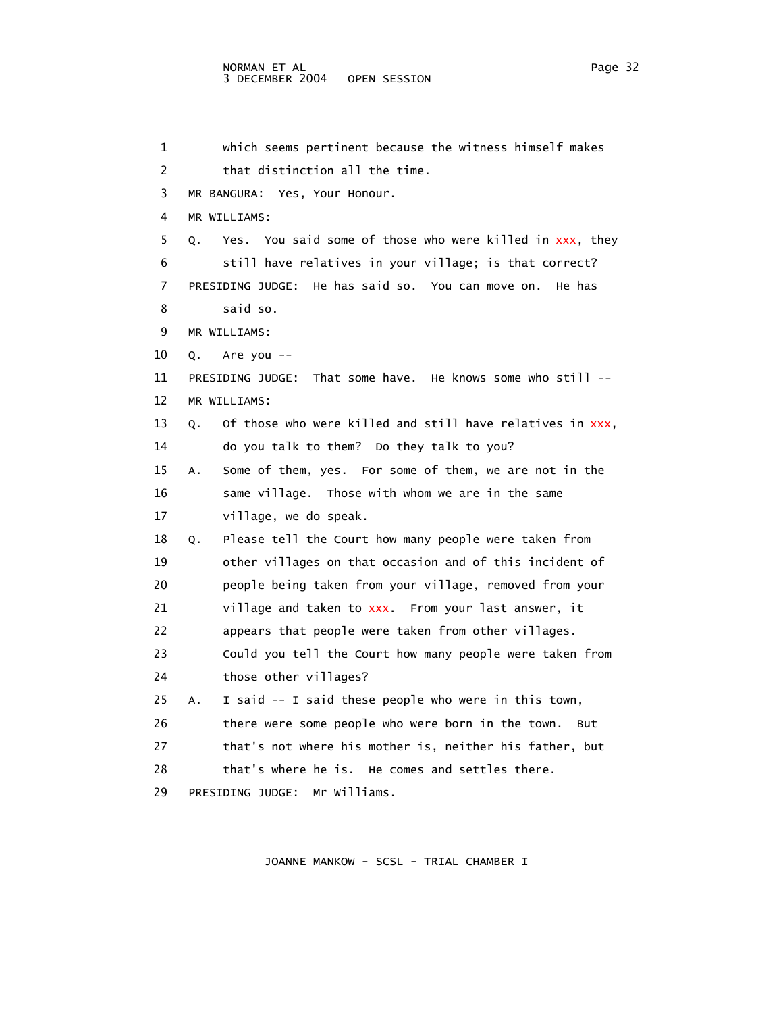| 1  | which seems pertinent because the witness himself makes         |
|----|-----------------------------------------------------------------|
| 2  | that distinction all the time.                                  |
| 3  | MR BANGURA: Yes, Your Honour.                                   |
| 4  | MR WILLIAMS:                                                    |
| 5  | Yes. You said some of those who were killed in xxx, they<br>Q.  |
| 6  | still have relatives in your village; is that correct?          |
| 7  | He has said so. You can move on. He has<br>PRESIDING JUDGE:     |
| 8  | said so.                                                        |
| 9  | MR WILLIAMS:                                                    |
| 10 | Are you --<br>Q.                                                |
| 11 | That some have. He knows some who still $-$<br>PRESIDING JUDGE: |
| 12 | MR WILLIAMS:                                                    |
| 13 | Of those who were killed and still have relatives in xxx,<br>О. |
| 14 | do you talk to them? Do they talk to you?                       |
| 15 | Some of them, yes. For some of them, we are not in the<br>Α.    |
| 16 | same village. Those with whom we are in the same                |
| 17 | village, we do speak.                                           |
| 18 | Please tell the Court how many people were taken from<br>Q.     |
| 19 | other villages on that occasion and of this incident of         |
| 20 | people being taken from your village, removed from your         |
| 21 | village and taken to xxx. From your last answer, it             |
| 22 | appears that people were taken from other villages.             |
| 23 | Could you tell the Court how many people were taken from        |
| 24 | those other villages?                                           |
| 25 | I said -- I said these people who were in this town,<br>А.      |
| 26 | there were some people who were born in the town.<br>But        |
| 27 | that's not where his mother is, neither his father, but         |
| 28 | that's where he is. He comes and settles there.                 |
| 29 | PRESIDING JUDGE:<br>Mr Williams.                                |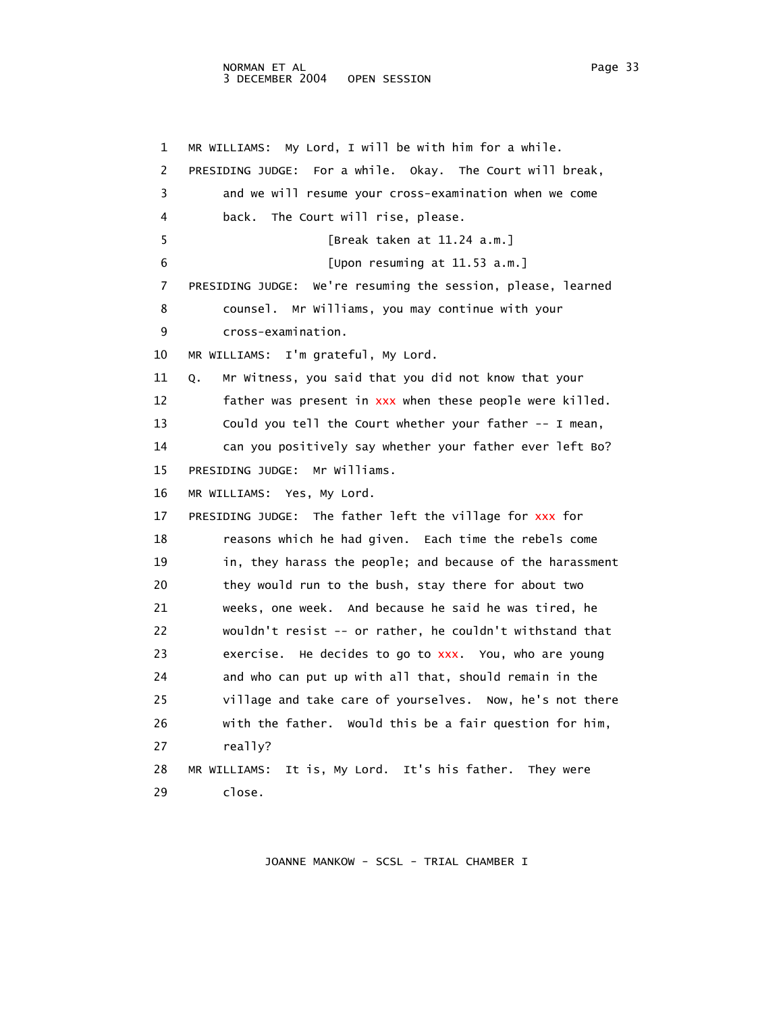1 MR WILLIAMS: My Lord, I will be with him for a while. 2 PRESIDING JUDGE: For a while. Okay. The Court will break, 3 and we will resume your cross-examination when we come 4 back. The Court will rise, please. 5 [Break taken at 11.24 a.m.] 6 [Upon resuming at 11.53 a.m.] 7 PRESIDING JUDGE: We're resuming the session, please, learned 8 counsel. Mr Williams, you may continue with your 9 cross-examination. 10 MR WILLIAMS: I'm grateful, My Lord. 11 Q. Mr Witness, you said that you did not know that your 12 father was present in xxx when these people were killed. 13 Could you tell the Court whether your father -- I mean, 14 can you positively say whether your father ever left Bo? 15 PRESIDING JUDGE: Mr Williams. 16 MR WILLIAMS: Yes, My Lord. 17 PRESIDING JUDGE: The father left the village for xxx for 18 reasons which he had given. Each time the rebels come 19 in, they harass the people; and because of the harassment 20 they would run to the bush, stay there for about two 21 weeks, one week. And because he said he was tired, he 22 wouldn't resist -- or rather, he couldn't withstand that 23 exercise. He decides to go to xxx. You, who are young 24 and who can put up with all that, should remain in the 25 village and take care of yourselves. Now, he's not there 26 with the father. Would this be a fair question for him, 27 really? 28 MR WILLIAMS: It is, My Lord. It's his father. They were 29 close.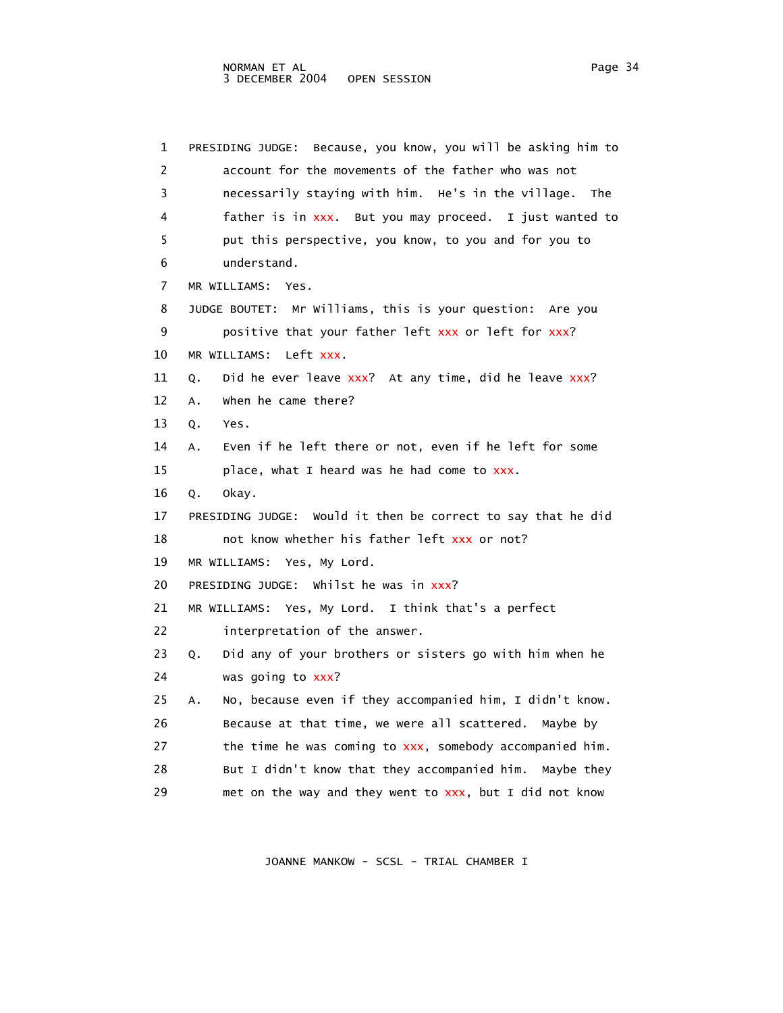| 1  | Because, you know, you will be asking him to<br>PRESIDING JUDGE: |  |
|----|------------------------------------------------------------------|--|
| 2  | account for the movements of the father who was not              |  |
| 3  | necessarily staying with him. He's in the village.<br>The        |  |
| 4  | father is in xxx. But you may proceed. I just wanted to          |  |
| 5  | put this perspective, you know, to you and for you to            |  |
| 6  | understand.                                                      |  |
| 7  | MR WILLIAMS:<br>Yes.                                             |  |
| 8  | JUDGE BOUTET: Mr Williams, this is your question: Are you        |  |
| 9  | positive that your father left xxx or left for xxx?              |  |
| 10 | Left xxx<br>MR WILLIAMS:                                         |  |
| 11 | Did he ever leave xxx? At any time, did he leave xxx?<br>Q.      |  |
| 12 | when he came there?<br>Α.                                        |  |
| 13 | Q.<br>Yes.                                                       |  |
| 14 | Even if he left there or not, even if he left for some<br>Α.     |  |
| 15 | place, what I heard was he had come to xxx.                      |  |
| 16 | okay.<br>Q.                                                      |  |
| 17 | PRESIDING JUDGE: Would it then be correct to say that he did     |  |
| 18 | not know whether his father left xxx or not?                     |  |
| 19 | MR WILLIAMS: Yes, My Lord.                                       |  |
| 20 | PRESIDING JUDGE: Whilst he was in xxx?                           |  |
| 21 | MR WILLIAMS: Yes, My Lord. I think that's a perfect              |  |
| 22 | interpretation of the answer.                                    |  |
| 23 | Did any of your brothers or sisters go with him when he<br>Q.    |  |
| 24 | was going to xxx?                                                |  |
| 25 | No, because even if they accompanied him, I didn't know.<br>Α.   |  |
| 26 | Because at that time, we were all scattered. Maybe by            |  |
| 27 | the time he was coming to xxx, somebody accompanied him.         |  |
| 28 | But I didn't know that they accompanied him. Maybe they          |  |
| 29 | met on the way and they went to xxx, but I did not know          |  |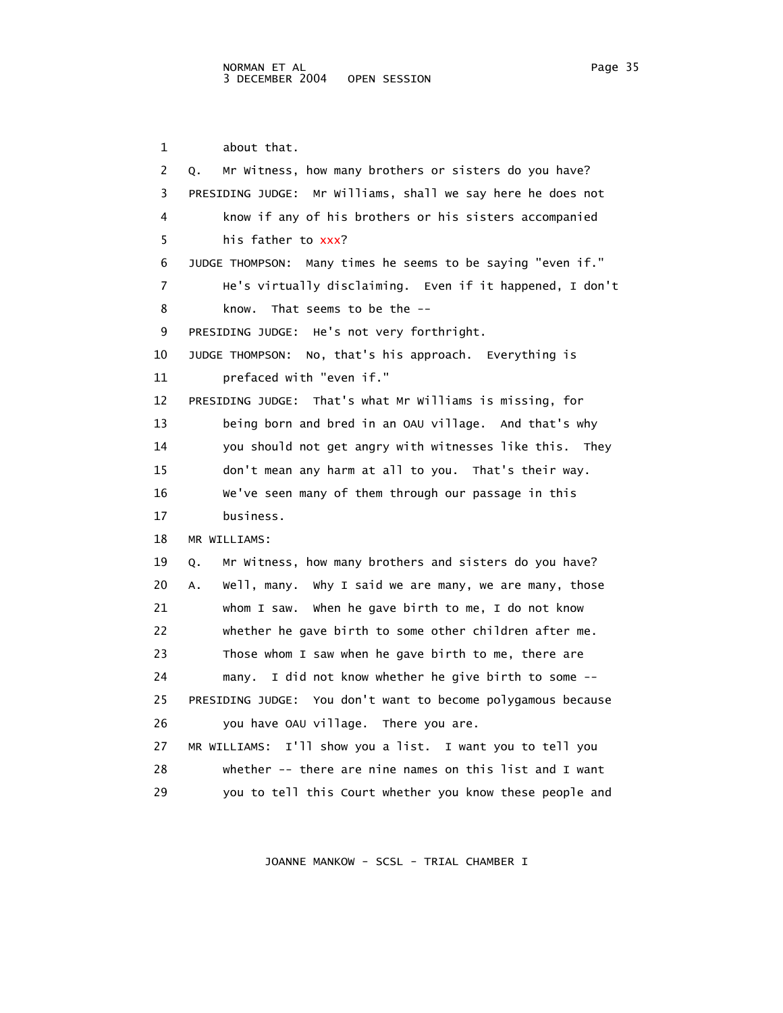1 about that. 2 Q. Mr Witness, how many brothers or sisters do you have? 3 PRESIDING JUDGE: Mr Williams, shall we say here he does not 4 know if any of his brothers or his sisters accompanied 5 his father to xxx? 6 JUDGE THOMPSON: Many times he seems to be saying "even if." 7 He's virtually disclaiming. Even if it happened, I don't 8 know. That seems to be the -- 9 PRESIDING JUDGE: He's not very forthright. 10 JUDGE THOMPSON: No, that's his approach. Everything is 11 prefaced with "even if." 12 PRESIDING JUDGE: That's what Mr Williams is missing, for 13 being born and bred in an OAU village. And that's why 14 you should not get angry with witnesses like this. They 15 don't mean any harm at all to you. That's their way. 16 We've seen many of them through our passage in this 17 business. 18 MR WILLIAMS: 19 Q. Mr Witness, how many brothers and sisters do you have? 20 A. Well, many. Why I said we are many, we are many, those 21 whom I saw. When he gave birth to me, I do not know 22 whether he gave birth to some other children after me. 23 Those whom I saw when he gave birth to me, there are 24 many. I did not know whether he give birth to some -- 25 PRESIDING JUDGE: You don't want to become polygamous because 26 you have OAU village. There you are. 27 MR WILLIAMS: I'll show you a list. I want you to tell you 28 whether -- there are nine names on this list and I want

JOANNE MANKOW - SCSL - TRIAL CHAMBER I

29 you to tell this Court whether you know these people and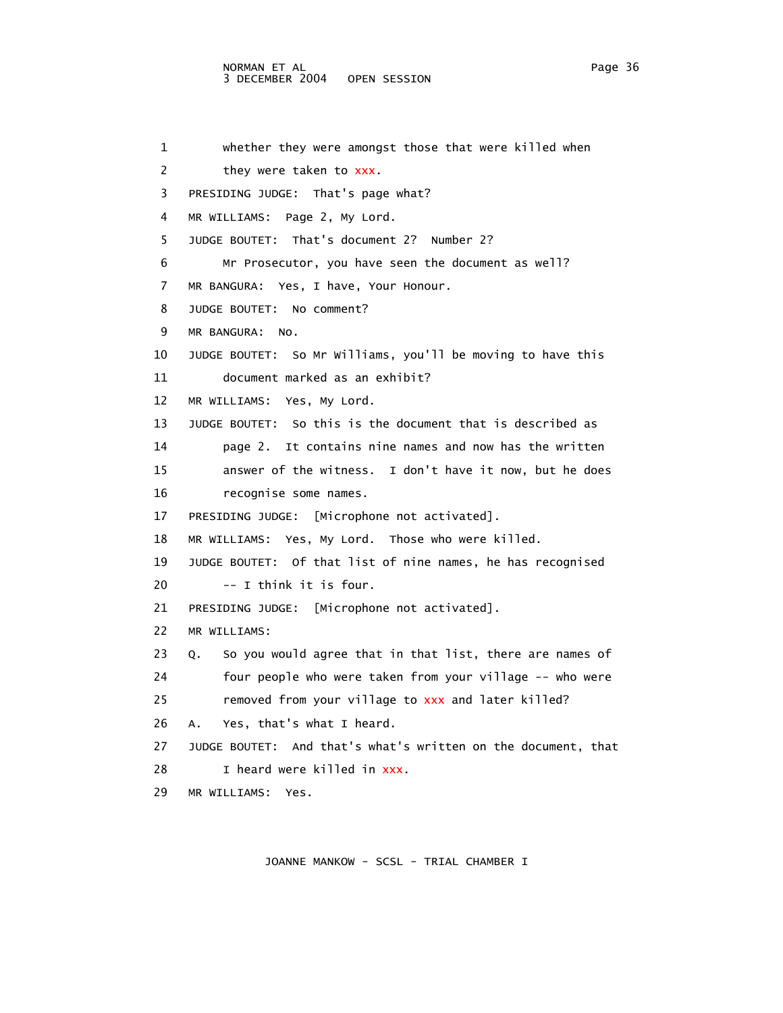## NORMAN ET AL Page 36 3 DECEMBER 2004 OPEN SESSION

 1 whether they were amongst those that were killed when 2 they were taken to xxx. 3 PRESIDING JUDGE: That's page what? 4 MR WILLIAMS: Page 2, My Lord. 5 JUDGE BOUTET: That's document 2? Number 2? 6 Mr Prosecutor, you have seen the document as well? 7 MR BANGURA: Yes, I have, Your Honour. 8 JUDGE BOUTET: No comment? 9 MR BANGURA: No. 10 JUDGE BOUTET: So Mr Williams, you'll be moving to have this 11 document marked as an exhibit? 12 MR WILLIAMS: Yes, My Lord. 13 JUDGE BOUTET: So this is the document that is described as 14 page 2. It contains nine names and now has the written 15 answer of the witness. I don't have it now, but he does 16 recognise some names. 17 PRESIDING JUDGE: [Microphone not activated]. 18 MR WILLIAMS: Yes, My Lord. Those who were killed. 19 JUDGE BOUTET: Of that list of nine names, he has recognised 20 -- I think it is four. 21 PRESIDING JUDGE: [Microphone not activated]. 22 MR WILLIAMS: 23 Q. So you would agree that in that list, there are names of 24 four people who were taken from your village -- who were 25 removed from your village to xxx and later killed? 26 A. Yes, that's what I heard. 27 JUDGE BOUTET: And that's what's written on the document, that 28 I heard were killed in xxx. 29 MR WILLIAMS: Yes.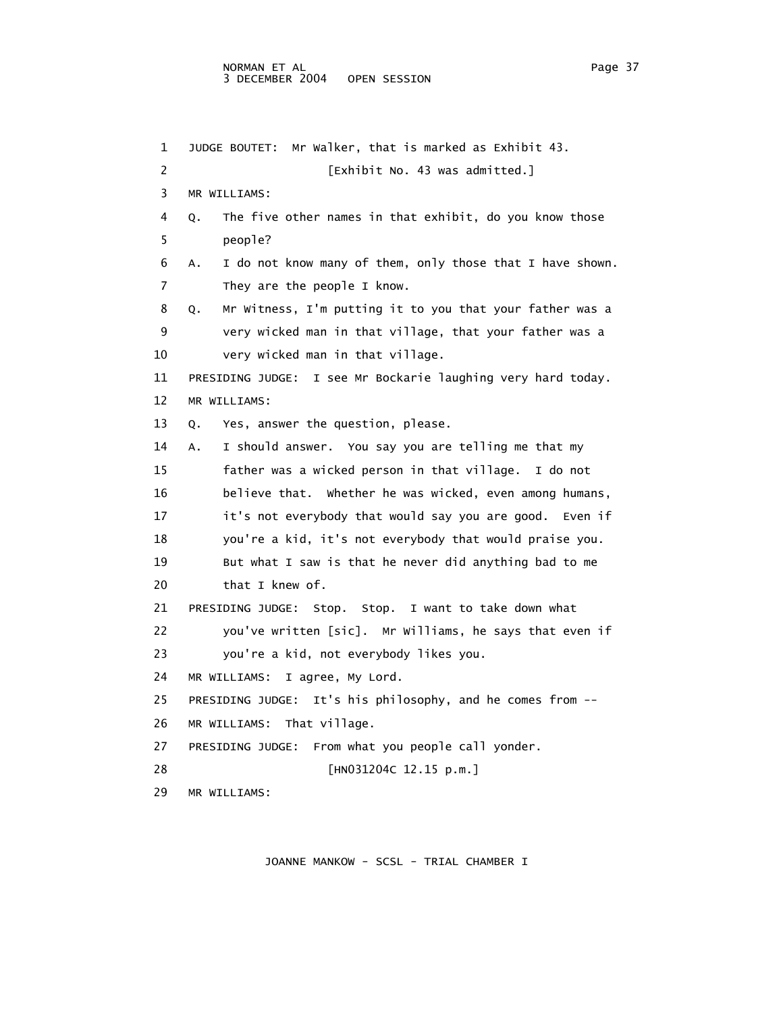1 JUDGE BOUTET: Mr Walker, that is marked as Exhibit 43. 2 **Exhibit No. 43 was admitted.**] 3 MR WILLIAMS: 4 Q. The five other names in that exhibit, do you know those 5 people? 6 A. I do not know many of them, only those that I have shown. 7 They are the people I know. 8 Q. Mr Witness, I'm putting it to you that your father was a 9 very wicked man in that village, that your father was a 10 very wicked man in that village. 11 PRESIDING JUDGE: I see Mr Bockarie laughing very hard today. 12 MR WILLIAMS: 13 Q. Yes, answer the question, please. 14 A. I should answer. You say you are telling me that my 15 father was a wicked person in that village. I do not 16 believe that. Whether he was wicked, even among humans, 17 it's not everybody that would say you are good. Even if 18 you're a kid, it's not everybody that would praise you. 19 But what I saw is that he never did anything bad to me 20 that I knew of. 21 PRESIDING JUDGE: Stop. Stop. I want to take down what 22 you've written [sic]. Mr Williams, he says that even if 23 you're a kid, not everybody likes you. 24 MR WILLIAMS: I agree, My Lord. 25 PRESIDING JUDGE: It's his philosophy, and he comes from -- 26 MR WILLIAMS: That village. 27 PRESIDING JUDGE: From what you people call yonder. 28 [HN031204C 12.15 p.m.] 29 MR WILLIAMS: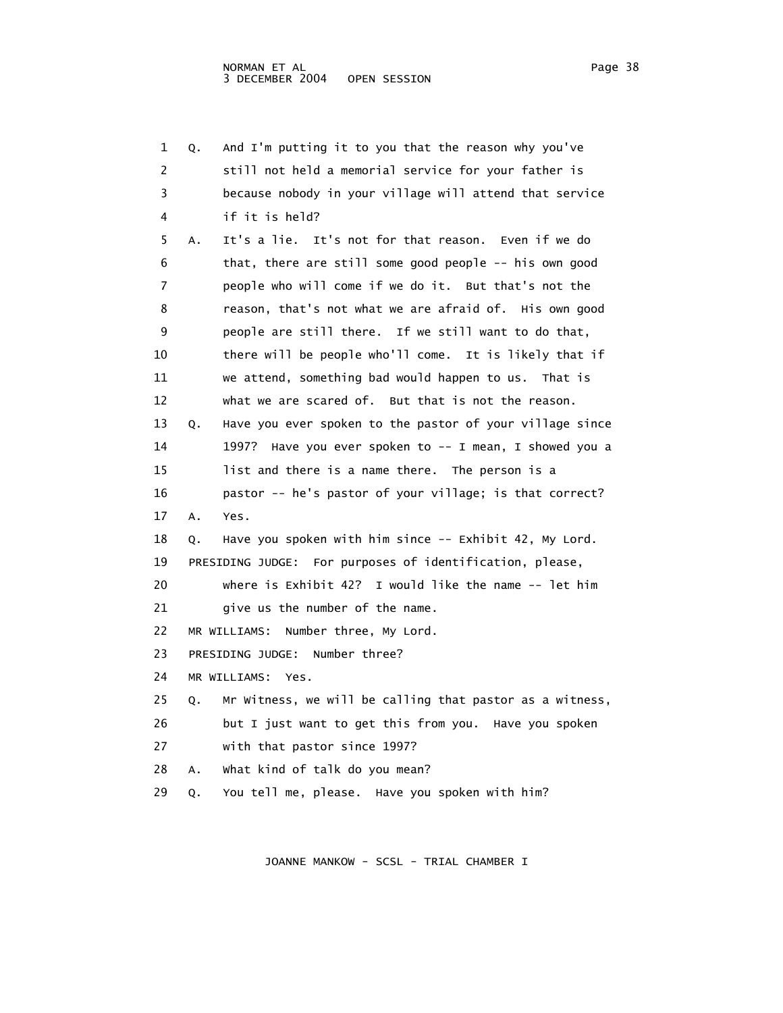| 1  | Q. | And I'm putting it to you that the reason why you've        |
|----|----|-------------------------------------------------------------|
| 2  |    | still not held a memorial service for your father is        |
| 3  |    | because nobody in your village will attend that service     |
| 4  |    | if it is held?                                              |
| 5  | Α. | It's a lie. It's not for that reason. Even if we do         |
| 6  |    | that, there are still some good people -- his own good      |
| 7  |    | people who will come if we do it. But that's not the        |
| 8  |    | reason, that's not what we are afraid of. His own good      |
| 9  |    | people are still there. If we still want to do that,        |
| 10 |    | there will be people who'll come. It is likely that if      |
| 11 |    | we attend, something bad would happen to us. That is        |
| 12 |    | what we are scared of. But that is not the reason.          |
| 13 | Q. | Have you ever spoken to the pastor of your village since    |
| 14 |    | 1997? Have you ever spoken to -- I mean, I showed you a     |
| 15 |    | list and there is a name there. The person is a             |
| 16 |    | pastor -- he's pastor of your village; is that correct?     |
| 17 | Α. | Yes.                                                        |
| 18 | Q. | Have you spoken with him since -- Exhibit 42, My Lord.      |
| 19 |    | PRESIDING JUDGE: For purposes of identification, please,    |
| 20 |    | where is Exhibit $42$ ? I would like the name $-$ - let him |
| 21 |    | give us the number of the name.                             |
| 22 |    | MR WILLIAMS:<br>Number three, My Lord.                      |
| 23 |    | PRESIDING JUDGE:<br>Number three?                           |
| 24 |    | MR WILLIAMS: Yes.                                           |
| 25 | Q. | Mr Witness, we will be calling that pastor as a witness,    |
| 26 |    | but I just want to get this from you. Have you spoken       |
| 27 |    | with that pastor since 1997?                                |
| 28 | А. | What kind of talk do you mean?                              |
| 29 | Q. | You tell me, please. Have you spoken with him?              |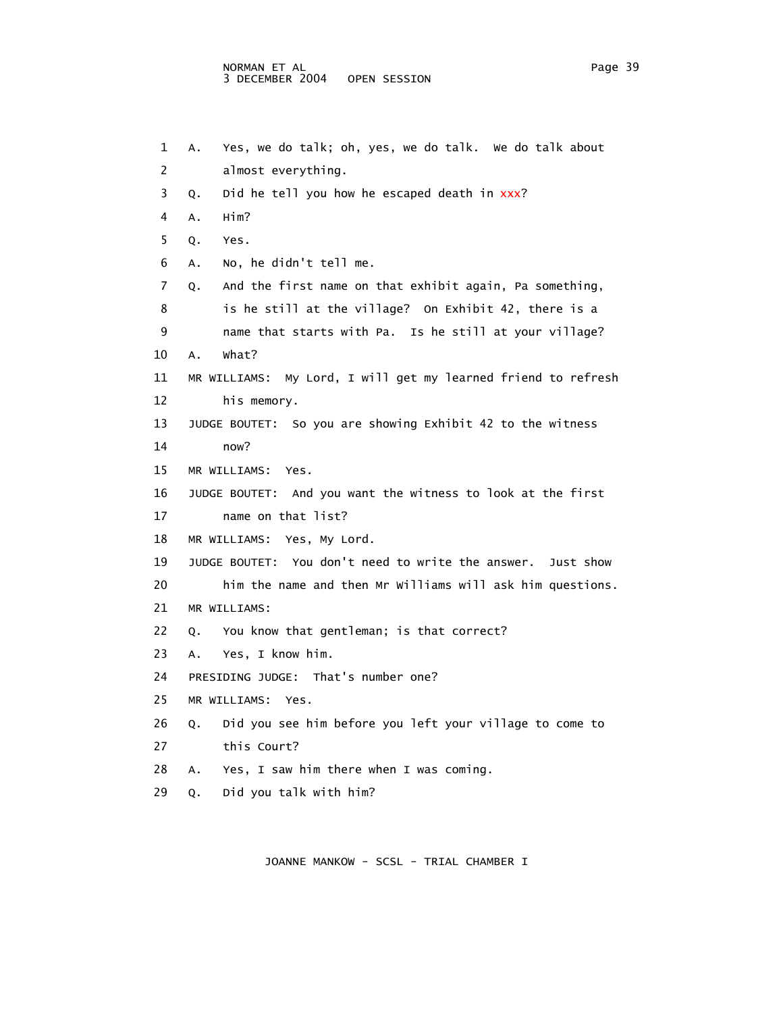```
 1 A. Yes, we do talk; oh, yes, we do talk. We do talk about 
 2 almost everything. 
3 Q. Did he tell you how he escaped death in xxx?
 4 A. Him? 
 5 Q. Yes. 
 6 A. No, he didn't tell me. 
 7 Q. And the first name on that exhibit again, Pa something, 
8 is he still at the village? On Exhibit 42, there is a
 9 name that starts with Pa. Is he still at your village? 
 10 A. What? 
 11 MR WILLIAMS: My Lord, I will get my learned friend to refresh 
 12 his memory. 
 13 JUDGE BOUTET: So you are showing Exhibit 42 to the witness 
 14 now? 
 15 MR WILLIAMS: Yes. 
 16 JUDGE BOUTET: And you want the witness to look at the first 
 17 name on that list? 
 18 MR WILLIAMS: Yes, My Lord. 
 19 JUDGE BOUTET: You don't need to write the answer. Just show 
 20 him the name and then Mr Williams will ask him questions. 
 21 MR WILLIAMS: 
 22 Q. You know that gentleman; is that correct? 
 23 A. Yes, I know him. 
 24 PRESIDING JUDGE: That's number one? 
 25 MR WILLIAMS: Yes. 
 26 Q. Did you see him before you left your village to come to 
 27 this Court? 
 28 A. Yes, I saw him there when I was coming. 
 29 Q. Did you talk with him?
```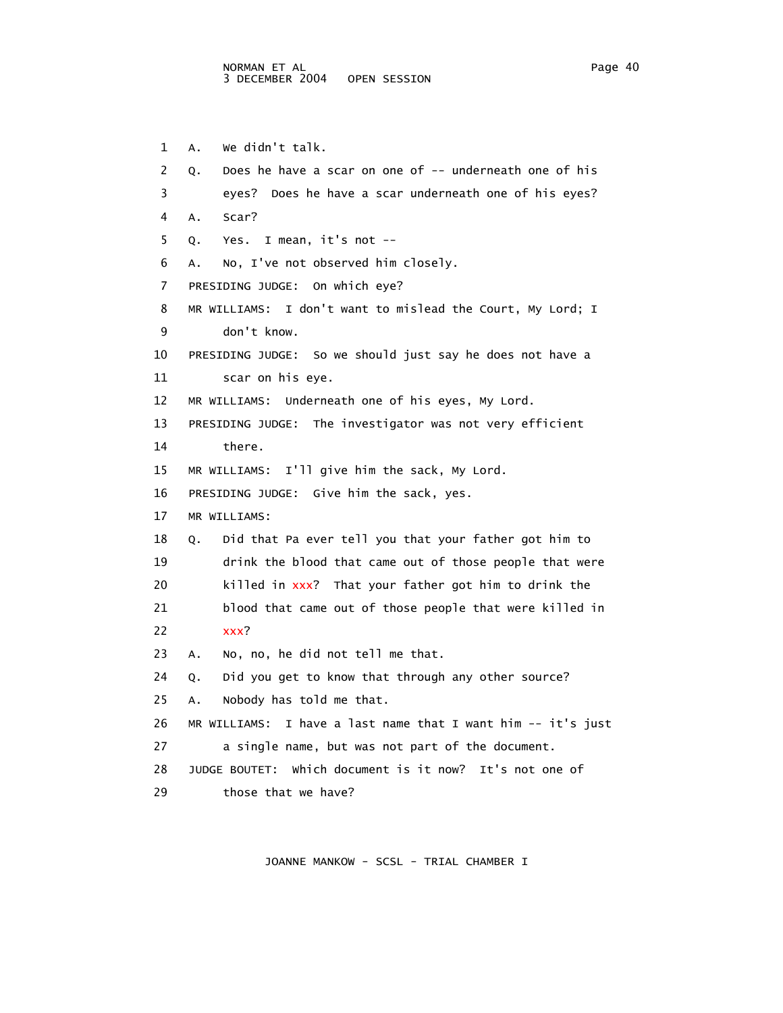1 A. We didn't talk. 2 Q. Does he have a scar on one of -- underneath one of his 3 eyes? Does he have a scar underneath one of his eyes? 4 A. Scar? 5 Q. Yes. I mean, it's not -- 6 A. No, I've not observed him closely. 7 PRESIDING JUDGE: On which eye? 8 MR WILLIAMS: I don't want to mislead the Court, My Lord; I 9 don't know. 10 PRESIDING JUDGE: So we should just say he does not have a 11 scar on his eye. 12 MR WILLIAMS: Underneath one of his eyes, My Lord. 13 PRESIDING JUDGE: The investigator was not very efficient 14 there. 15 MR WILLIAMS: I'll give him the sack, My Lord. 16 PRESIDING JUDGE: Give him the sack, yes. 17 MR WILLIAMS: 18 Q. Did that Pa ever tell you that your father got him to 19 drink the blood that came out of those people that were 20 killed in xxx? That your father got him to drink the 21 blood that came out of those people that were killed in 22 xxx? 23 A. No, no, he did not tell me that. 24 Q. Did you get to know that through any other source? 25 A. Nobody has told me that. 26 MR WILLIAMS: I have a last name that I want him -- it's just 27 a single name, but was not part of the document. 28 JUDGE BOUTET: Which document is it now? It's not one of 29 those that we have?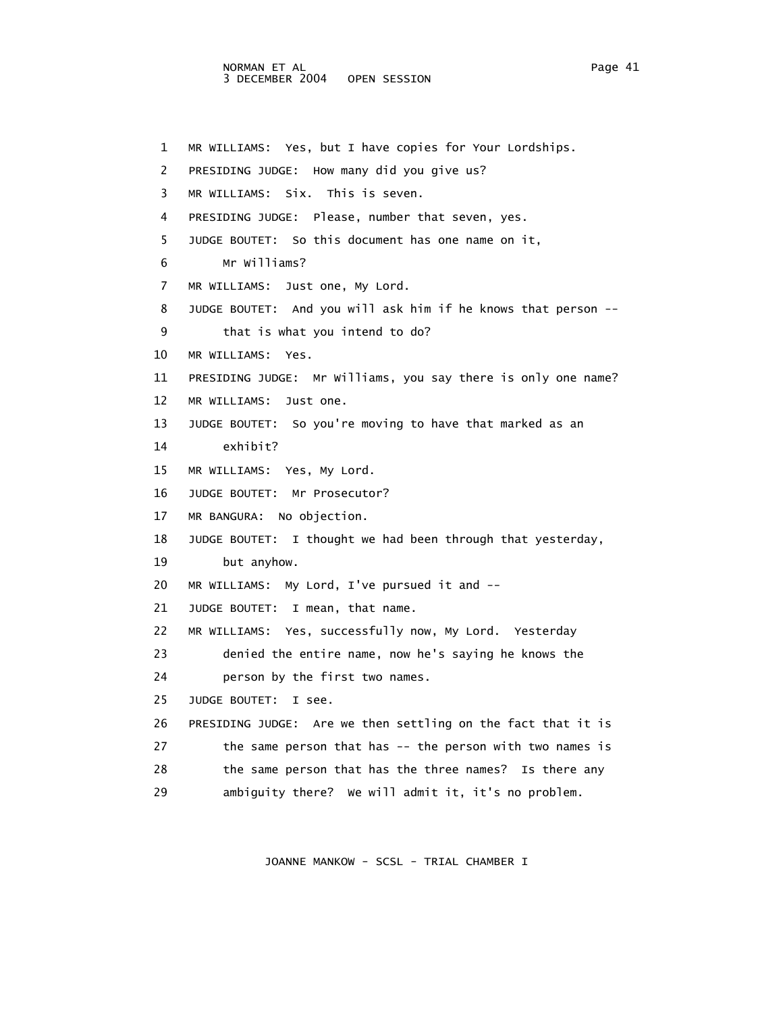1 MR WILLIAMS: Yes, but I have copies for Your Lordships. 2 PRESIDING JUDGE: How many did you give us? 3 MR WILLIAMS: Six. This is seven. 4 PRESIDING JUDGE: Please, number that seven, yes. 5 JUDGE BOUTET: So this document has one name on it, 6 Mr Williams? 7 MR WILLIAMS: Just one, My Lord. 8 JUDGE BOUTET: And you will ask him if he knows that person -- 9 that is what you intend to do? 10 MR WILLIAMS: Yes. 11 PRESIDING JUDGE: Mr Williams, you say there is only one name? 12 MR WILLIAMS: Just one. 13 JUDGE BOUTET: So you're moving to have that marked as an 14 exhibit? 15 MR WILLIAMS: Yes, My Lord. 16 JUDGE BOUTET: Mr Prosecutor? 17 MR BANGURA: No objection. 18 JUDGE BOUTET: I thought we had been through that yesterday, 19 but anyhow. 20 MR WILLIAMS: My Lord, I've pursued it and -- 21 JUDGE BOUTET: I mean, that name. 22 MR WILLIAMS: Yes, successfully now, My Lord. Yesterday 23 denied the entire name, now he's saying he knows the 24 person by the first two names. 25 JUDGE BOUTET: I see. 26 PRESIDING JUDGE: Are we then settling on the fact that it is 27 the same person that has -- the person with two names is 28 the same person that has the three names? Is there any 29 ambiguity there? We will admit it, it's no problem.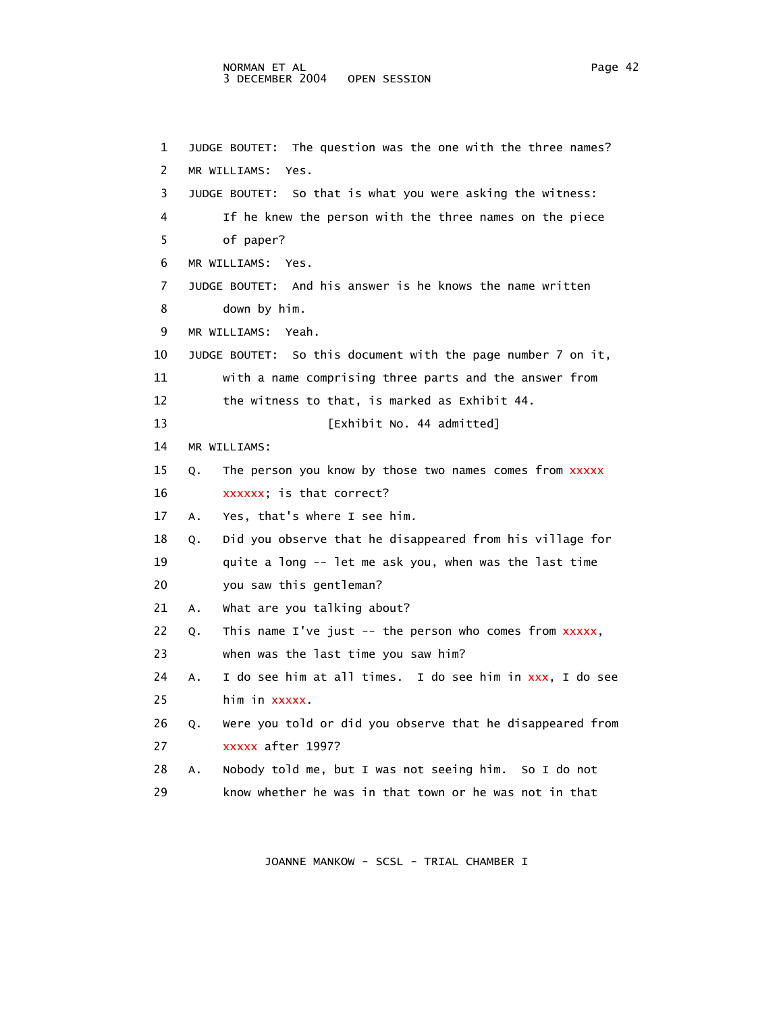```
 1 JUDGE BOUTET: The question was the one with the three names? 
 2 MR WILLIAMS: Yes. 
 3 JUDGE BOUTET: So that is what you were asking the witness: 
 4 If he knew the person with the three names on the piece 
  5 of paper? 
 6 MR WILLIAMS: Yes. 
 7 JUDGE BOUTET: And his answer is he knows the name written 
 8 down by him. 
 9 MR WILLIAMS: Yeah. 
 10 JUDGE BOUTET: So this document with the page number 7 on it, 
 11 with a name comprising three parts and the answer from 
 12 the witness to that, is marked as Exhibit 44. 
 13 [Exhibit No. 44 admitted] 
 14 MR WILLIAMS: 
15 Q. The person you know by those two names comes from xxxxx
16 xxxxxx; is that correct?
 17 A. Yes, that's where I see him. 
 18 Q. Did you observe that he disappeared from his village for 
 19 quite a long -- let me ask you, when was the last time 
 20 you saw this gentleman? 
 21 A. What are you talking about? 
22 Q. This name I've just -- the person who comes from xxxxx,
 23 when was the last time you saw him? 
24 A. I do see him at all times. I do see him in xxx, I do see
 25 him in xxxxx. 
 26 Q. Were you told or did you observe that he disappeared from 
 27 xxxxx after 1997? 
 28 A. Nobody told me, but I was not seeing him. So I do not 
 29 know whether he was in that town or he was not in that
```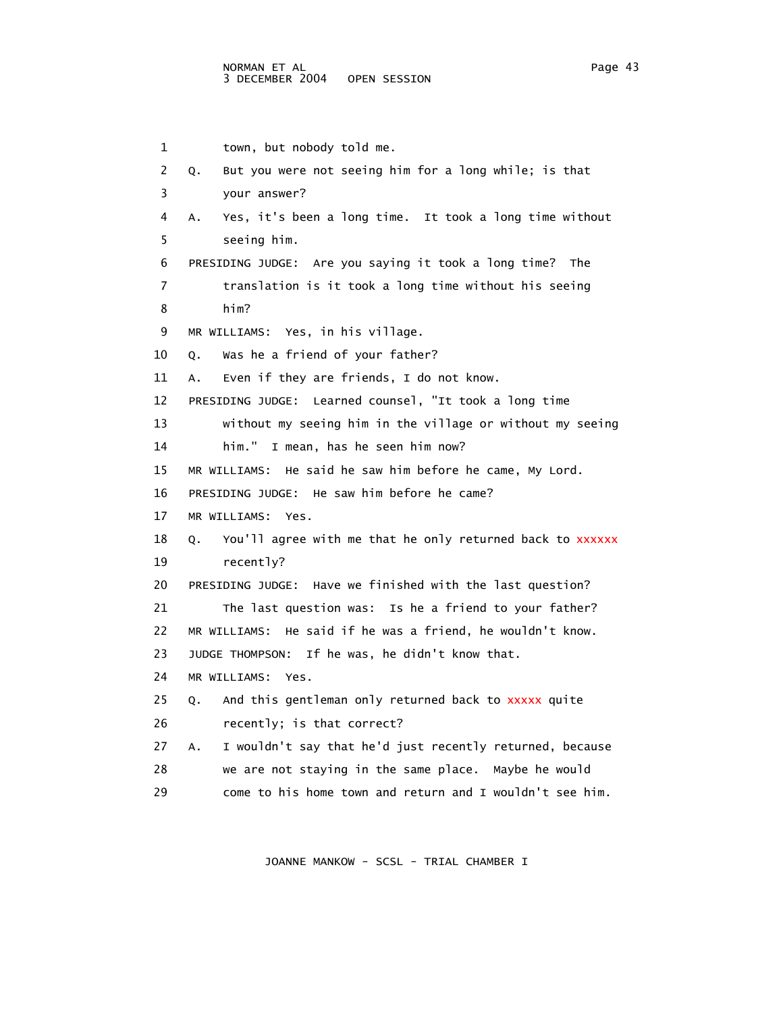```
 1 town, but nobody told me. 
 2 Q. But you were not seeing him for a long while; is that 
 3 your answer? 
 4 A. Yes, it's been a long time. It took a long time without 
  5 seeing him. 
 6 PRESIDING JUDGE: Are you saying it took a long time? The 
 7 translation is it took a long time without his seeing 
 8 him? 
 9 MR WILLIAMS: Yes, in his village. 
 10 Q. Was he a friend of your father? 
 11 A. Even if they are friends, I do not know. 
 12 PRESIDING JUDGE: Learned counsel, "It took a long time 
 13 without my seeing him in the village or without my seeing 
 14 him." I mean, has he seen him now? 
 15 MR WILLIAMS: He said he saw him before he came, My Lord. 
 16 PRESIDING JUDGE: He saw him before he came? 
 17 MR WILLIAMS: Yes. 
18 Q. You'll agree with me that he only returned back to xxxxxx
 19 recently? 
 20 PRESIDING JUDGE: Have we finished with the last question? 
 21 The last question was: Is he a friend to your father? 
 22 MR WILLIAMS: He said if he was a friend, he wouldn't know. 
 23 JUDGE THOMPSON: If he was, he didn't know that. 
 24 MR WILLIAMS: Yes. 
25 Q. And this gentleman only returned back to xxxxx quite
 26 recently; is that correct? 
 27 A. I wouldn't say that he'd just recently returned, because 
 28 we are not staying in the same place. Maybe he would 
 29 come to his home town and return and I wouldn't see him.
```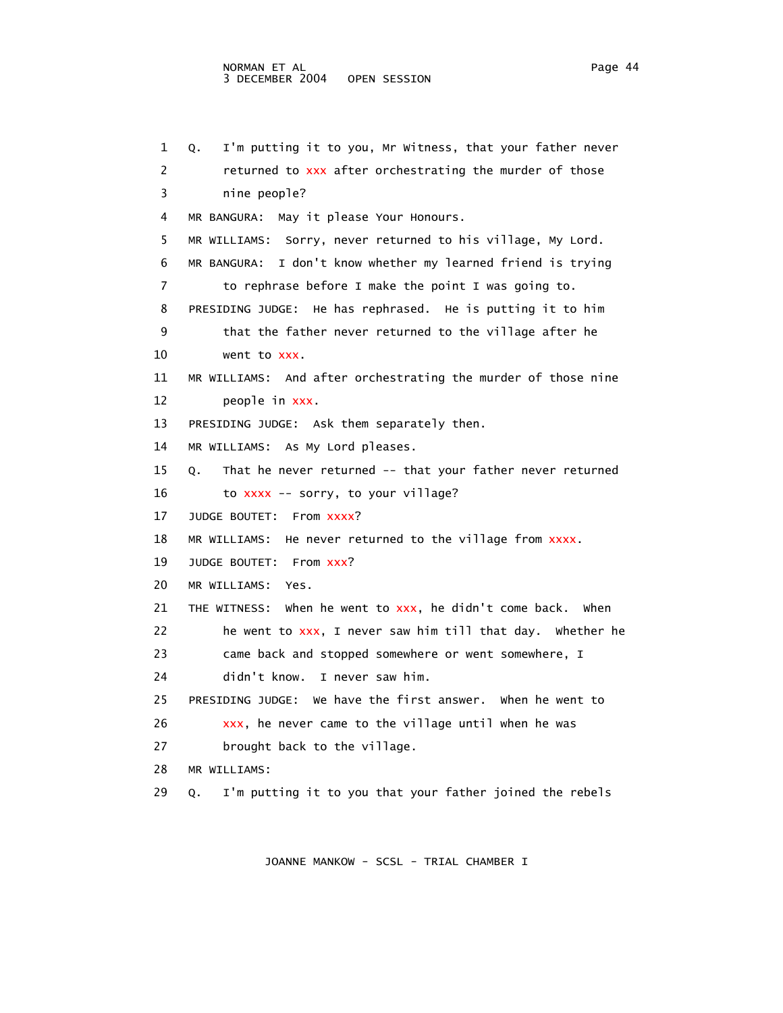1 Q. I'm putting it to you, Mr Witness, that your father never 2 returned to xxx after orchestrating the murder of those 3 nine people? 4 MR BANGURA: May it please Your Honours. 5 MR WILLIAMS: Sorry, never returned to his village, My Lord. 6 MR BANGURA: I don't know whether my learned friend is trying 7 to rephrase before I make the point I was going to. 8 PRESIDING JUDGE: He has rephrased. He is putting it to him 9 that the father never returned to the village after he 10 went to xxx. 11 MR WILLIAMS: And after orchestrating the murder of those nine 12 people in xxx. 13 PRESIDING JUDGE: Ask them separately then. 14 MR WILLIAMS: As My Lord pleases. 15 Q. That he never returned -- that your father never returned 16 to xxxx -- sorry, to your village? 17 JUDGE BOUTET: From xxxx? 18 MR WILLIAMS: He never returned to the village from xxxx. 19 JUDGE BOUTET: From xxx? 20 MR WILLIAMS: Yes. 21 THE WITNESS: when he went to  $xxx$ , he didn't come back. When 22 he went to xxx, I never saw him till that day. Whether he 23 came back and stopped somewhere or went somewhere, I 24 didn't know. I never saw him. 25 PRESIDING JUDGE: We have the first answer. When he went to 26 xxx, he never came to the village until when he was 27 brought back to the village. 28 MR WILLIAMS: 29 Q. I'm putting it to you that your father joined the rebels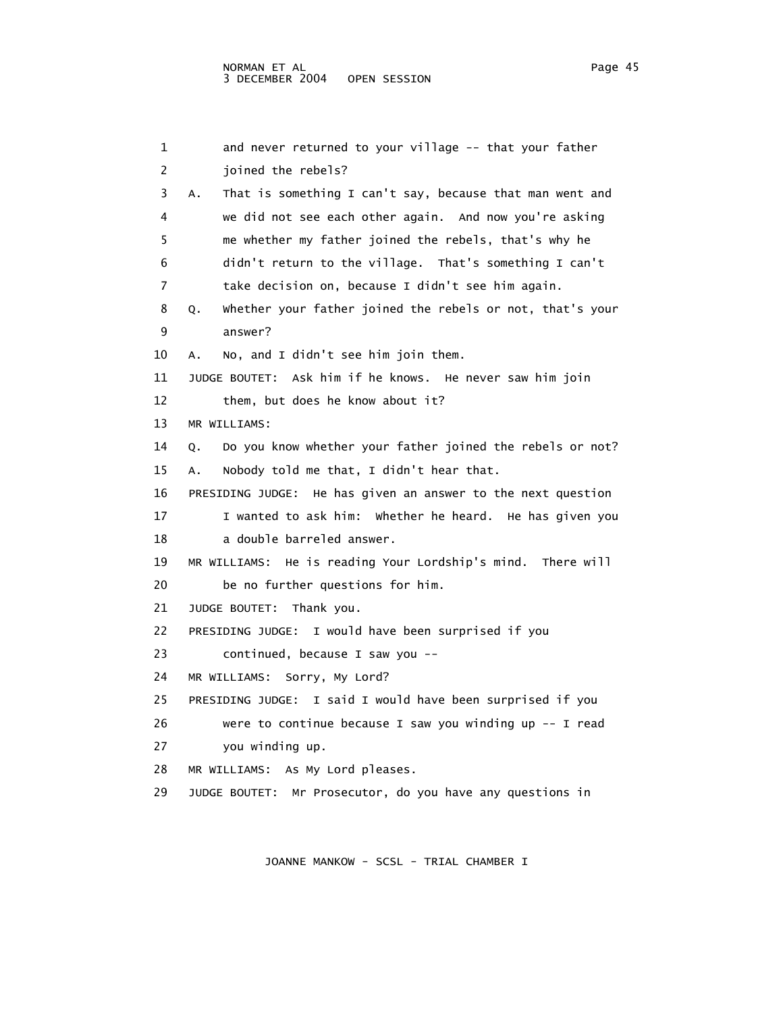| $\mathbf{1}$ | and never returned to your village -- that your father          |
|--------------|-----------------------------------------------------------------|
| 2            | joined the rebels?                                              |
| 3            | That is something I can't say, because that man went and<br>А.  |
| 4            | we did not see each other again. And now you're asking          |
| 5            | me whether my father joined the rebels, that's why he           |
| 6            | didn't return to the village. That's something I can't          |
| 7            | take decision on, because I didn't see him again.               |
| 8            | whether your father joined the rebels or not, that's your<br>Q. |
| 9            | answer?                                                         |
| 10           | No, and I didn't see him join them.<br>А.                       |
| 11           | JUDGE BOUTET: Ask him if he knows. He never saw him join        |
| 12           | them, but does he know about it?                                |
| 13           | MR WILLIAMS:                                                    |
| 14           | Do you know whether your father joined the rebels or not?<br>Q. |
| 15           | Nobody told me that, I didn't hear that.<br>А.                  |
| 16           | PRESIDING JUDGE: He has given an answer to the next question    |
| 17           | I wanted to ask him: whether he heard. He has given you         |
| 18           | a double barreled answer.                                       |
| 19           | MR WILLIAMS: He is reading Your Lordship's mind. There will     |
| 20           | be no further questions for him.                                |
| 21           | JUDGE BOUTET: Thank you.                                        |
| 22           | I would have been surprised if you<br>PRESIDING JUDGE:          |
| 23           | continued, because I saw you --                                 |
| 24           | Sorry, My Lord?<br>MR WILLIAMS:                                 |
| 25           | I said I would have been surprised if you<br>PRESIDING JUDGE:   |
| 26           | were to continue because I saw you winding up -- I read         |
| 27           | you winding up.                                                 |
| 28           | MR WILLIAMS: As My Lord pleases.                                |
| 29           | JUDGE BOUTET: Mr Prosecutor, do you have any questions in       |
|              |                                                                 |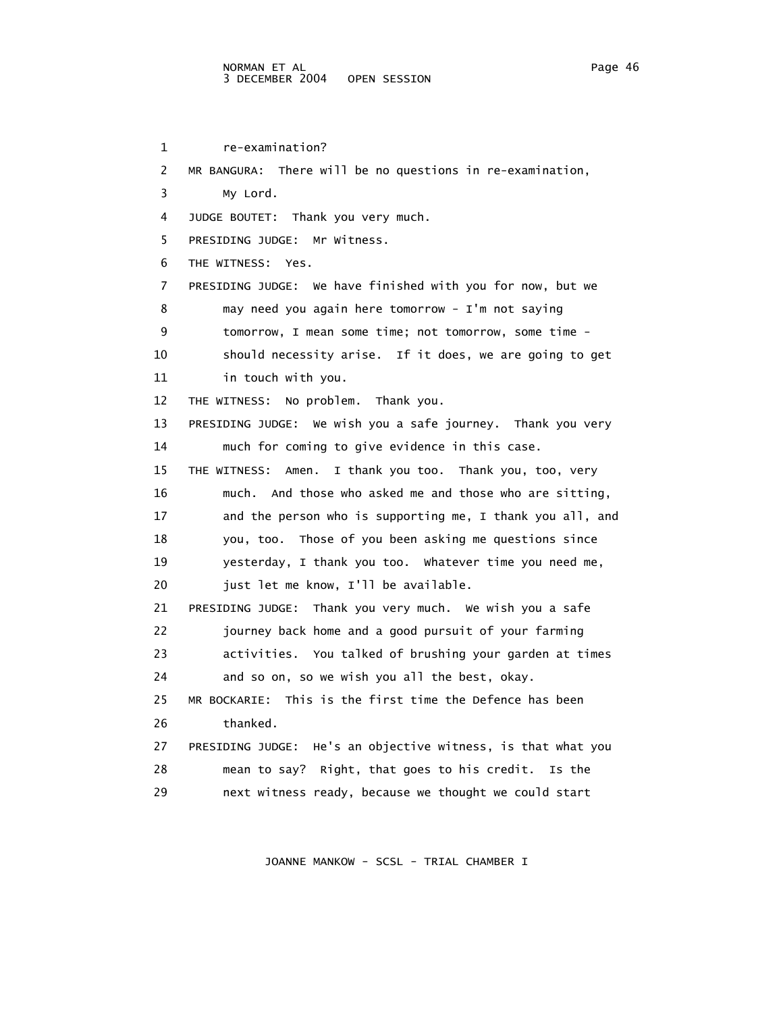# NORMAN ET AL Page 46 3 DECEMBER 2004 OPEN SESSION

 1 re-examination? 2 MR BANGURA: There will be no questions in re-examination, 3 My Lord. 4 JUDGE BOUTET: Thank you very much. 5 PRESIDING JUDGE: Mr Witness. 6 THE WITNESS: Yes. 7 PRESIDING JUDGE: We have finished with you for now, but we 8 may need you again here tomorrow - I'm not saying 9 tomorrow, I mean some time; not tomorrow, some time - 10 should necessity arise. If it does, we are going to get 11 in touch with you. 12 THE WITNESS: No problem. Thank you. 13 PRESIDING JUDGE: We wish you a safe journey. Thank you very 14 much for coming to give evidence in this case. 15 THE WITNESS: Amen. I thank you too. Thank you, too, very 16 much. And those who asked me and those who are sitting, 17 and the person who is supporting me, I thank you all, and 18 you, too. Those of you been asking me questions since 19 yesterday, I thank you too. Whatever time you need me, 20 just let me know, I'll be available. 21 PRESIDING JUDGE: Thank you very much. We wish you a safe 22 journey back home and a good pursuit of your farming 23 activities. You talked of brushing your garden at times 24 and so on, so we wish you all the best, okay. 25 MR BOCKARIE: This is the first time the Defence has been 26 thanked. 27 PRESIDING JUDGE: He's an objective witness, is that what you 28 mean to say? Right, that goes to his credit. Is the 29 next witness ready, because we thought we could start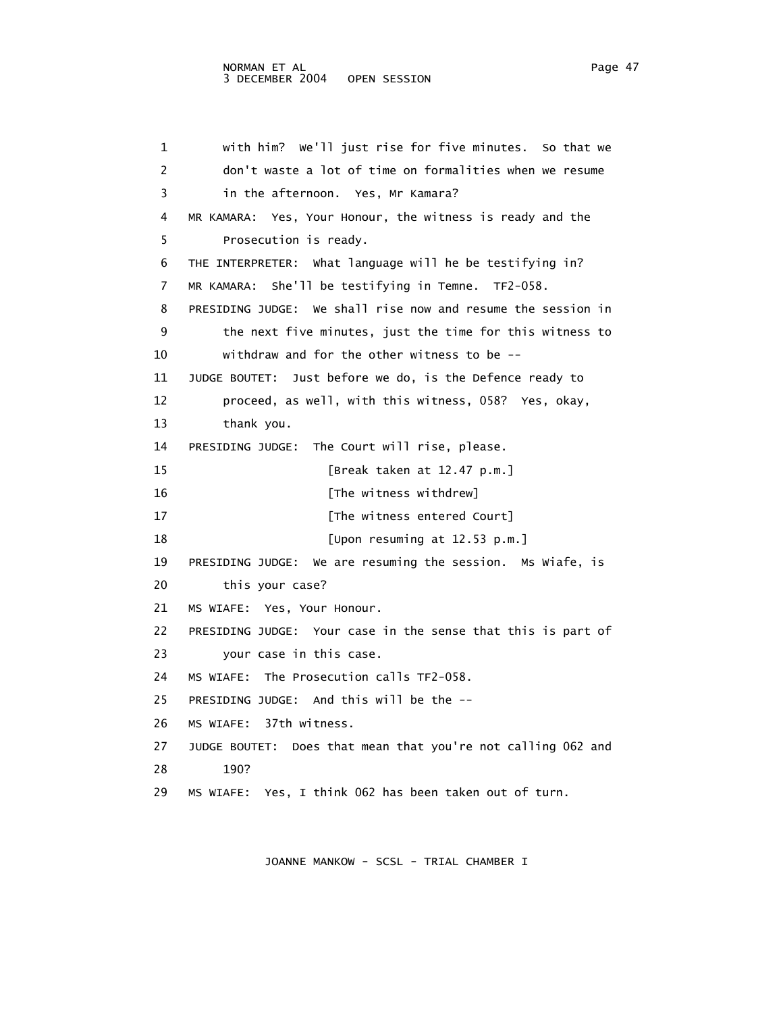1 with him? We'll just rise for five minutes. So that we 2 don't waste a lot of time on formalities when we resume 3 in the afternoon. Yes, Mr Kamara? 4 MR KAMARA: Yes, Your Honour, the witness is ready and the 5 Prosecution is ready. 6 THE INTERPRETER: What language will he be testifying in? 7 MR KAMARA: She'll be testifying in Temne. TF2-058. 8 PRESIDING JUDGE: We shall rise now and resume the session in 9 the next five minutes, just the time for this witness to 10 withdraw and for the other witness to be -- 11 JUDGE BOUTET: Just before we do, is the Defence ready to 12 proceed, as well, with this witness, 058? Yes, okay, 13 thank you. 14 PRESIDING JUDGE: The Court will rise, please. 15 [Break taken at 12.47 p.m.] 16 **Interval** [The witness withdrew] 17 **I** [The witness entered Court] 18 **I** [Upon resuming at 12.53 p.m.] 19 PRESIDING JUDGE: We are resuming the session. Ms Wiafe, is 20 this your case? 21 MS WIAFE: Yes, Your Honour. 22 PRESIDING JUDGE: Your case in the sense that this is part of 23 your case in this case. 24 MS WIAFE: The Prosecution calls TF2-058. 25 PRESIDING JUDGE: And this will be the -- 26 MS WIAFE: 37th witness. 27 JUDGE BOUTET: Does that mean that you're not calling 062 and 28 190?

29 MS WIAFE: Yes, I think 062 has been taken out of turn.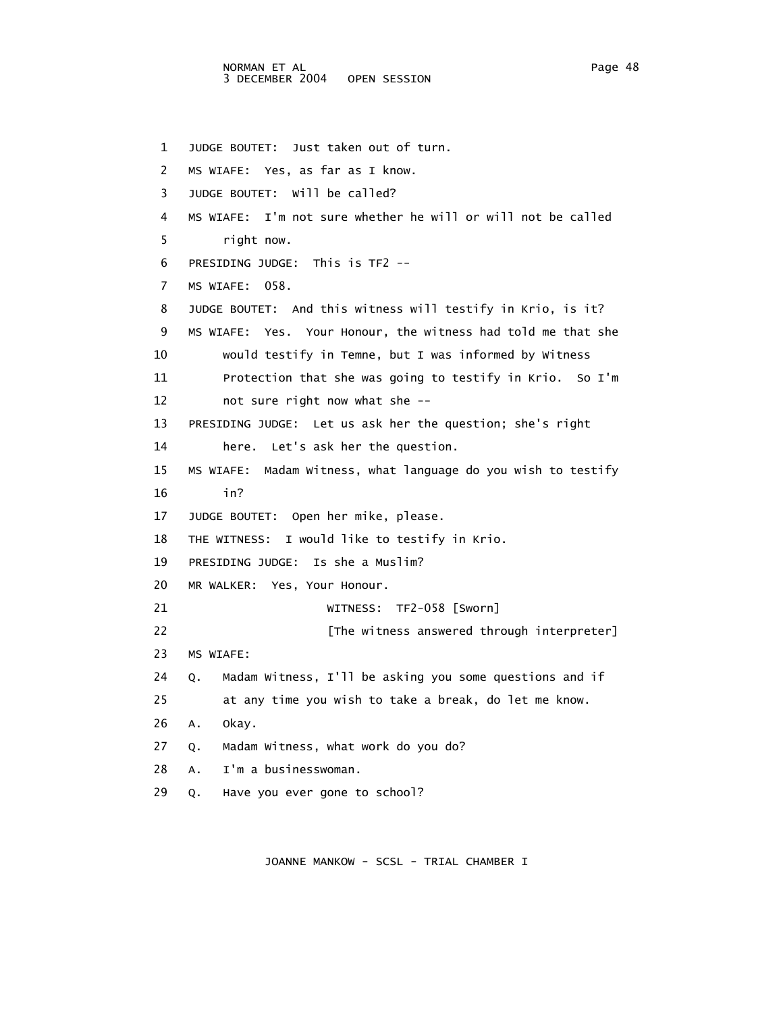1 JUDGE BOUTET: Just taken out of turn. 2 MS WIAFE: Yes, as far as I know. 3 JUDGE BOUTET: Will be called? 4 MS WIAFE: I'm not sure whether he will or will not be called 5 right now. 6 PRESIDING JUDGE: This is TF2 -- 7 MS WIAFE: 058. 8 JUDGE BOUTET: And this witness will testify in Krio, is it? 9 MS WIAFE: Yes. Your Honour, the witness had told me that she 10 would testify in Temne, but I was informed by Witness 11 Protection that she was going to testify in Krio. So I'm 12 not sure right now what she -- 13 PRESIDING JUDGE: Let us ask her the question; she's right 14 here. Let's ask her the question. 15 MS WIAFE: Madam Witness, what language do you wish to testify 16 in? 17 JUDGE BOUTET: Open her mike, please. 18 THE WITNESS: I would like to testify in Krio. 19 PRESIDING JUDGE: Is she a Muslim? 20 MR WALKER: Yes, Your Honour. 21 WITNESS: TF2-058 [Sworn] 22 **Example 22** [The witness answered through interpreter] 23 MS WIAFE: 24 Q. Madam Witness, I'll be asking you some questions and if 25 at any time you wish to take a break, do let me know. 26 A. Okay. 27 Q. Madam Witness, what work do you do? 28 A. I'm a businesswoman. 29 Q. Have you ever gone to school?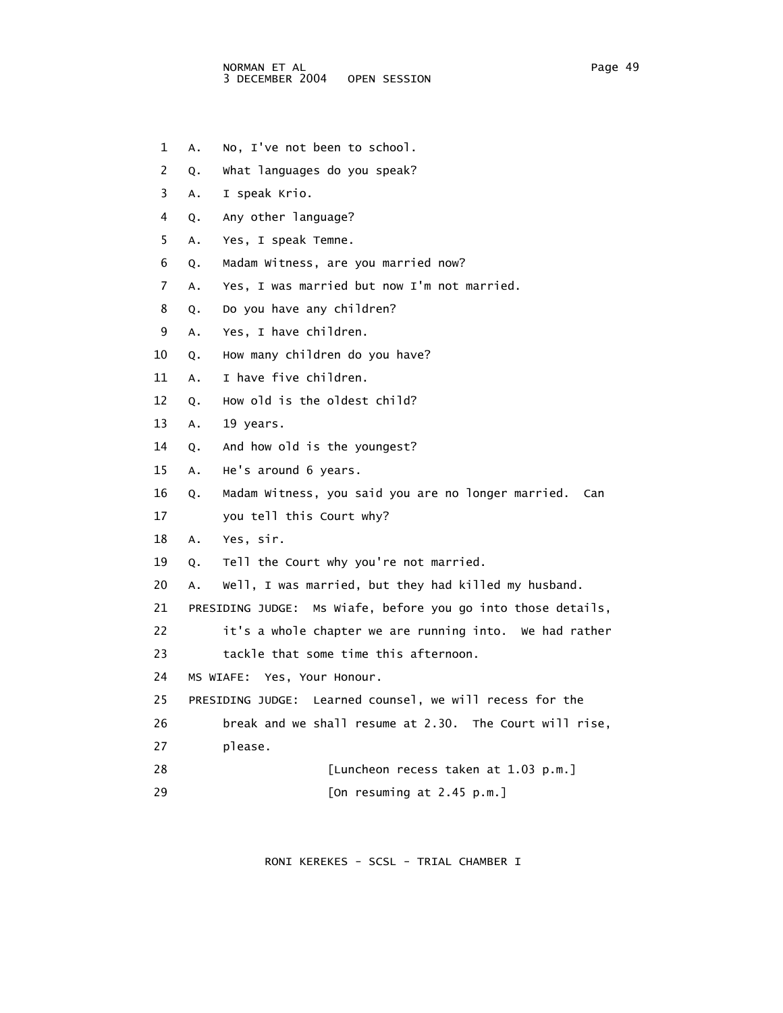- 1 A. No, I've not been to school.
- 2 Q. What languages do you speak?
- 3 A. I speak Krio.
- 4 Q. Any other language?
- 5 A. Yes, I speak Temne.
- 6 Q. Madam Witness, are you married now?
- 7 A. Yes, I was married but now I'm not married.
- 8 Q. Do you have any children?
- 9 A. Yes, I have children.
- 10 Q. How many children do you have?
- 11 A. I have five children.
- 12 Q. How old is the oldest child?
- 13 A. 19 years.
- 14 Q. And how old is the youngest?
- 15 A. He's around 6 years.
- 16 Q. Madam Witness, you said you are no longer married. Can
- 17 you tell this Court why?
- 18 A. Yes, sir.
- 19 Q. Tell the Court why you're not married.
- 20 A. Well, I was married, but they had killed my husband.
- 21 PRESIDING JUDGE: Ms Wiafe, before you go into those details,
- 22 it's a whole chapter we are running into. We had rather
- 23 tackle that some time this afternoon.
- 24 MS WIAFE: Yes, Your Honour.
- 25 PRESIDING JUDGE: Learned counsel, we will recess for the
- 26 break and we shall resume at 2.30. The Court will rise,
- 27 please.
- 28 [Luncheon recess taken at 1.03 p.m.] 29 [On resuming at 2.45 p.m.]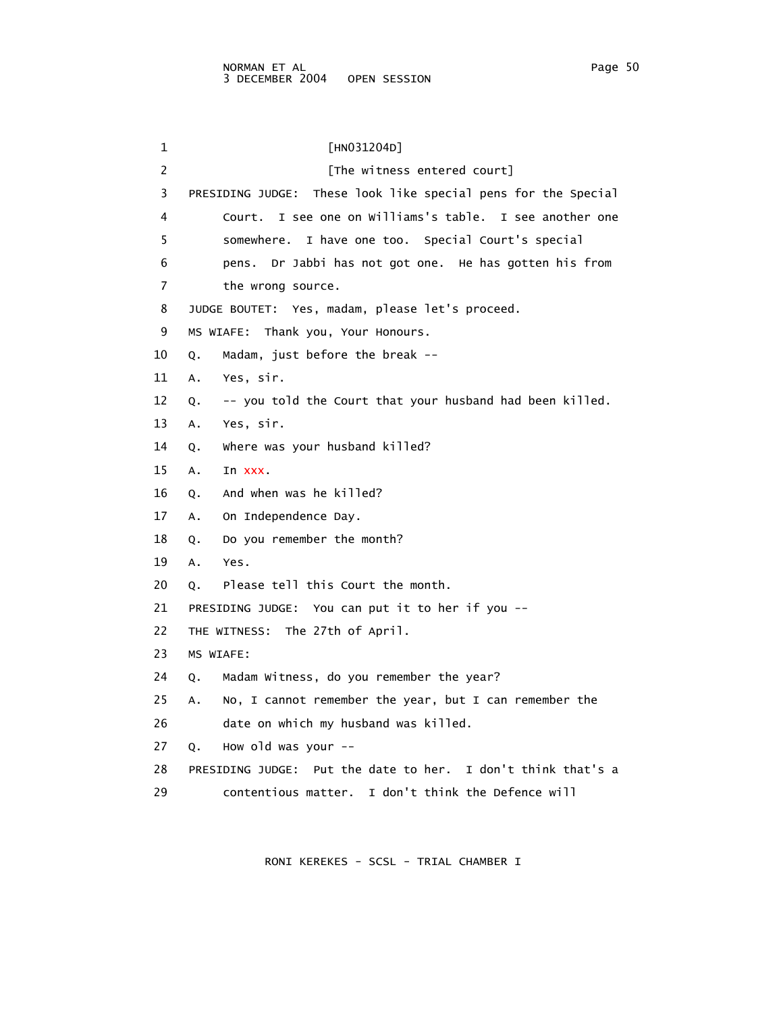1 [HN031204D] 2 [The witness entered court] 3 PRESIDING JUDGE: These look like special pens for the Special 4 Court. I see one on Williams's table. I see another one 5 somewhere. I have one too. Special Court's special 6 pens. Dr Jabbi has not got one. He has gotten his from 7 the wrong source. 8 JUDGE BOUTET: Yes, madam, please let's proceed. 9 MS WIAFE: Thank you, Your Honours. 10 Q. Madam, just before the break -- 11 A. Yes, sir. 12 Q. -- you told the Court that your husband had been killed. 13 A. Yes, sir. 14 Q. Where was your husband killed? 15 A. In xxx. 16 Q. And when was he killed? 17 A. On Independence Day. 18 Q. Do you remember the month? 19 A. Yes. 20 Q. Please tell this Court the month. 21 PRESIDING JUDGE: You can put it to her if you -- 22 THE WITNESS: The 27th of April. 23 MS WIAFE: 24 Q. Madam Witness, do you remember the year? 25 A. No, I cannot remember the year, but I can remember the 26 date on which my husband was killed. 27 Q. How old was your -- 28 PRESIDING JUDGE: Put the date to her. I don't think that's a 29 contentious matter. I don't think the Defence will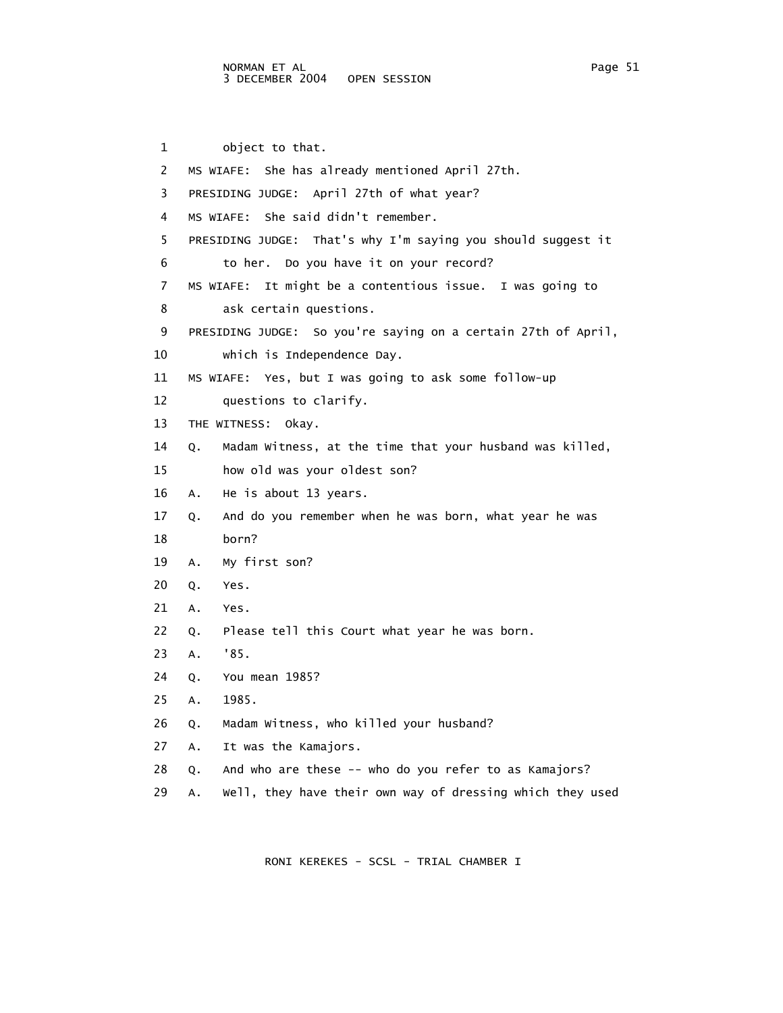1 object to that. 2 MS WIAFE: She has already mentioned April 27th. 3 PRESIDING JUDGE: April 27th of what year? 4 MS WIAFE: She said didn't remember. 5 PRESIDING JUDGE: That's why I'm saying you should suggest it 6 to her. Do you have it on your record? 7 MS WIAFE: It might be a contentious issue. I was going to 8 ask certain questions. 9 PRESIDING JUDGE: So you're saying on a certain 27th of April, 10 which is Independence Day. 11 MS WIAFE: Yes, but I was going to ask some follow-up 12 questions to clarify. 13 THE WITNESS: Okay. 14 Q. Madam Witness, at the time that your husband was killed, 15 how old was your oldest son? 16 A. He is about 13 years. 17 Q. And do you remember when he was born, what year he was 18 born? 19 A. My first son? 20 Q. Yes. 21 A. Yes. 22 Q. Please tell this Court what year he was born. 23 A. '85. 24 Q. You mean 1985? 25 A. 1985. 26 Q. Madam Witness, who killed your husband? 27 A. It was the Kamajors. 28 Q. And who are these -- who do you refer to as Kamajors? 29 A. Well, they have their own way of dressing which they used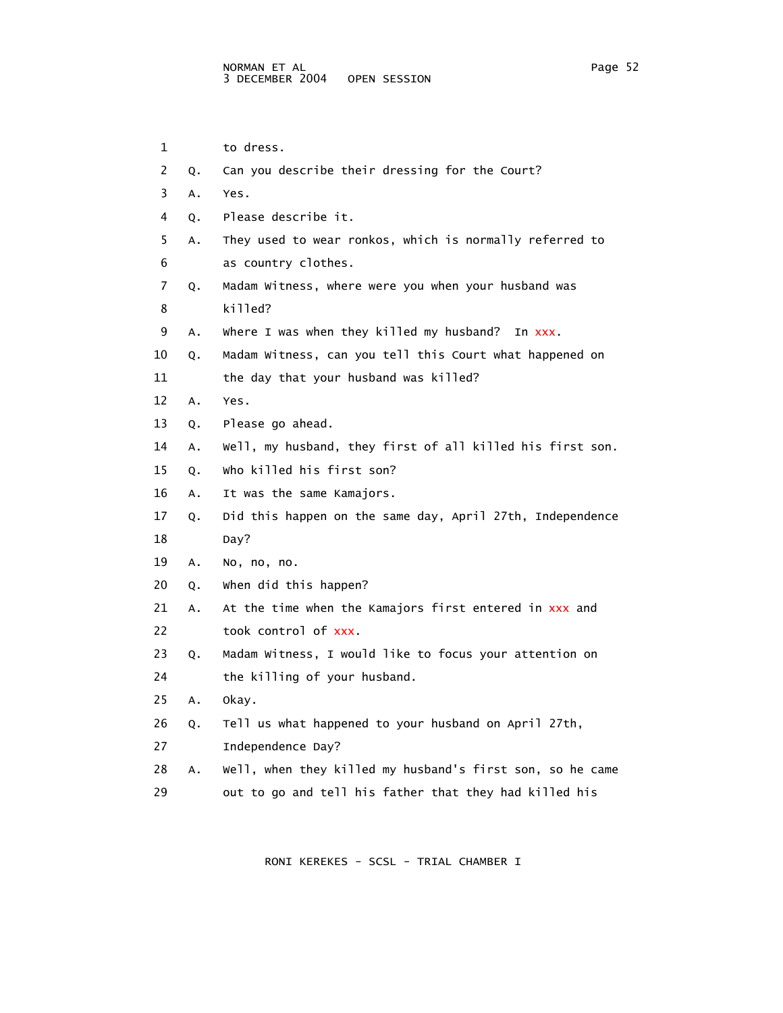1 to dress. 2 Q. Can you describe their dressing for the Court? 3 A. Yes. 4 Q. Please describe it. 5 A. They used to wear ronkos, which is normally referred to 6 as country clothes. 7 Q. Madam Witness, where were you when your husband was 8 killed? 9 A. Where I was when they killed my husband? In xxx. 10 Q. Madam Witness, can you tell this Court what happened on 11 the day that your husband was killed? 12 A. Yes. 13 Q. Please go ahead. 14 A. Well, my husband, they first of all killed his first son. 15 Q. Who killed his first son? 16 A. It was the same Kamajors. 17 Q. Did this happen on the same day, April 27th, Independence 18 Day? 19 A. No, no, no. 20 Q. When did this happen? 21 A. At the time when the Kamajors first entered in xxx and 22 took control of xxx. 23 Q. Madam Witness, I would like to focus your attention on 24 the killing of your husband. 25 A. Okay. 26 Q. Tell us what happened to your husband on April 27th, 27 Independence Day? 28 A. Well, when they killed my husband's first son, so he came 29 out to go and tell his father that they had killed his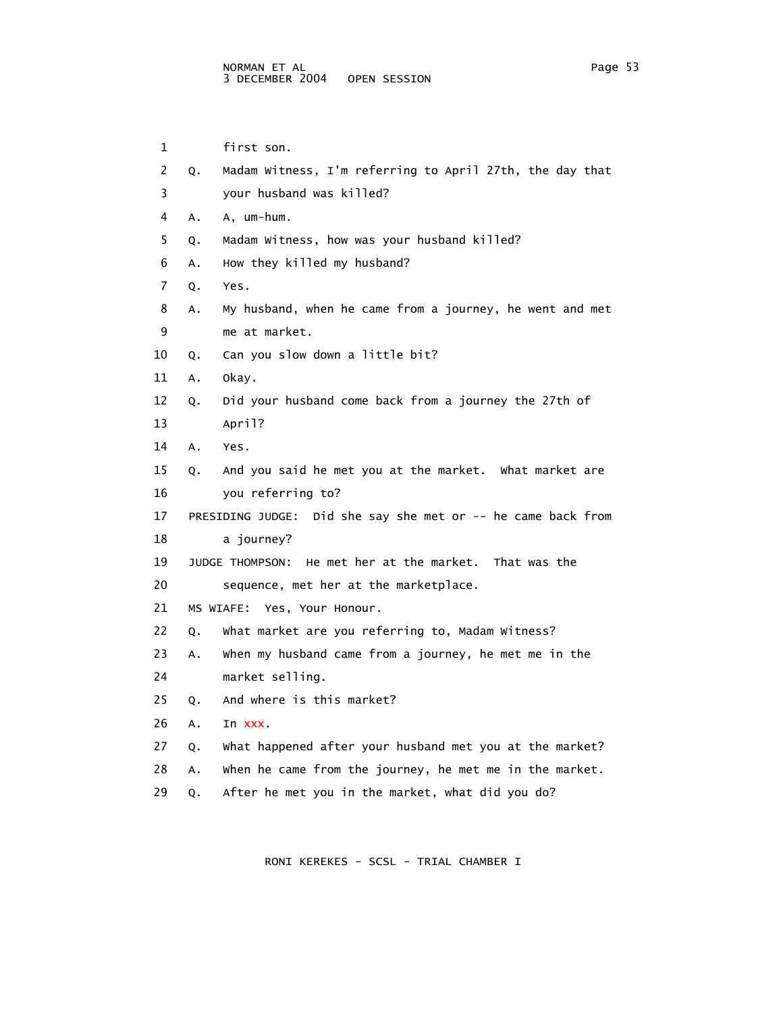1 first son. 2 Q. Madam Witness, I'm referring to April 27th, the day that 3 your husband was killed? 4 A. A, um-hum. 5 Q. Madam Witness, how was your husband killed? 6 A. How they killed my husband? 7 Q. Yes. 8 A. My husband, when he came from a journey, he went and met 9 me at market. 10 Q. Can you slow down a little bit? 11 A. Okay. 12 Q. Did your husband come back from a journey the 27th of 13 April? 14 A. Yes. 15 Q. And you said he met you at the market. What market are 16 you referring to? 17 PRESIDING JUDGE: Did she say she met or -- he came back from 18 a journey? 19 JUDGE THOMPSON: He met her at the market. That was the 20 sequence, met her at the marketplace. 21 MS WIAFE: Yes, Your Honour. 22 Q. What market are you referring to, Madam Witness? 23 A. When my husband came from a journey, he met me in the 24 market selling. 25 Q. And where is this market? 26 A. In xxx. 27 Q. What happened after your husband met you at the market? 28 A. When he came from the journey, he met me in the market. 29 Q. After he met you in the market, what did you do?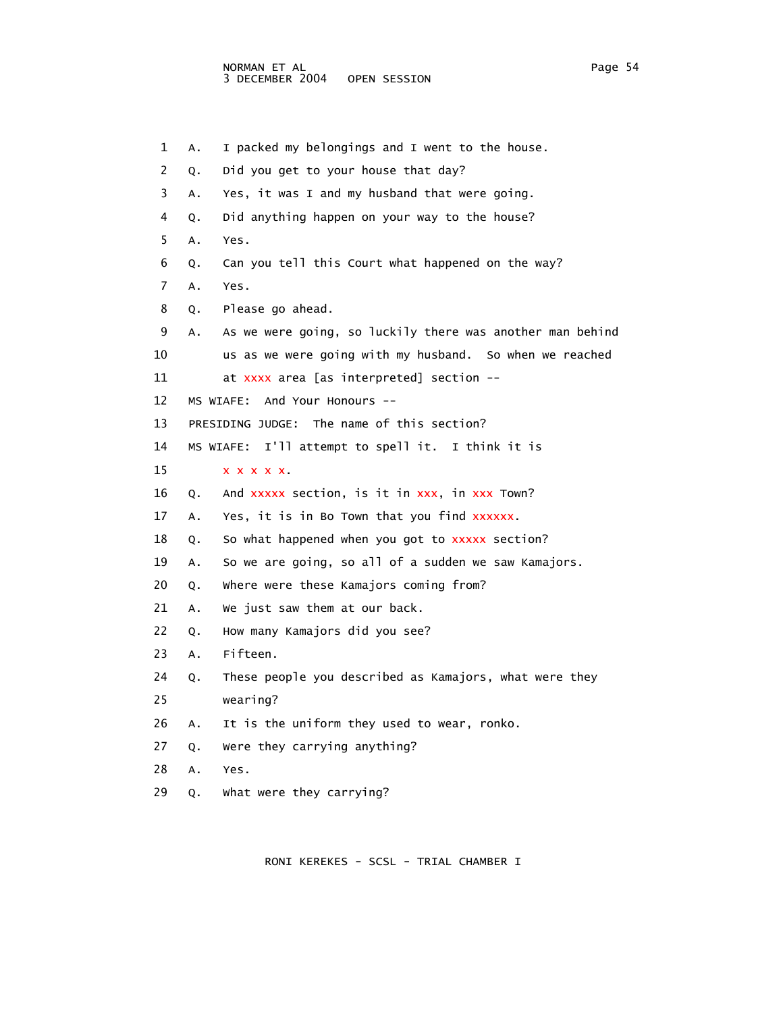1 A. I packed my belongings and I went to the house. 2 Q. Did you get to your house that day? 3 A. Yes, it was I and my husband that were going. 4 Q. Did anything happen on your way to the house? 5 A. Yes. 6 Q. Can you tell this Court what happened on the way? 7 A. Yes. 8 Q. Please go ahead. 9 A. As we were going, so luckily there was another man behind 10 us as we were going with my husband. So when we reached 11 at xxxx area [as interpreted] section -- 12 MS WIAFE: And Your Honours -- 13 PRESIDING JUDGE: The name of this section? 14 MS WIAFE: I'll attempt to spell it. I think it is 15 x x x x x. 16 Q. And xxxxx section, is it in xxx, in xxx Town? 17 A. Yes, it is in Bo Town that you find xxxxxx. 18 Q. So what happened when you got to xxxxx section? 19 A. So we are going, so all of a sudden we saw Kamajors. 20 Q. Where were these Kamajors coming from? 21 A. We just saw them at our back. 22 Q. How many Kamajors did you see? 23 A. Fifteen. 24 Q. These people you described as Kamajors, what were they 25 wearing? 26 A. It is the uniform they used to wear, ronko. 27 Q. Were they carrying anything? 28 A. Yes. 29 Q. What were they carrying?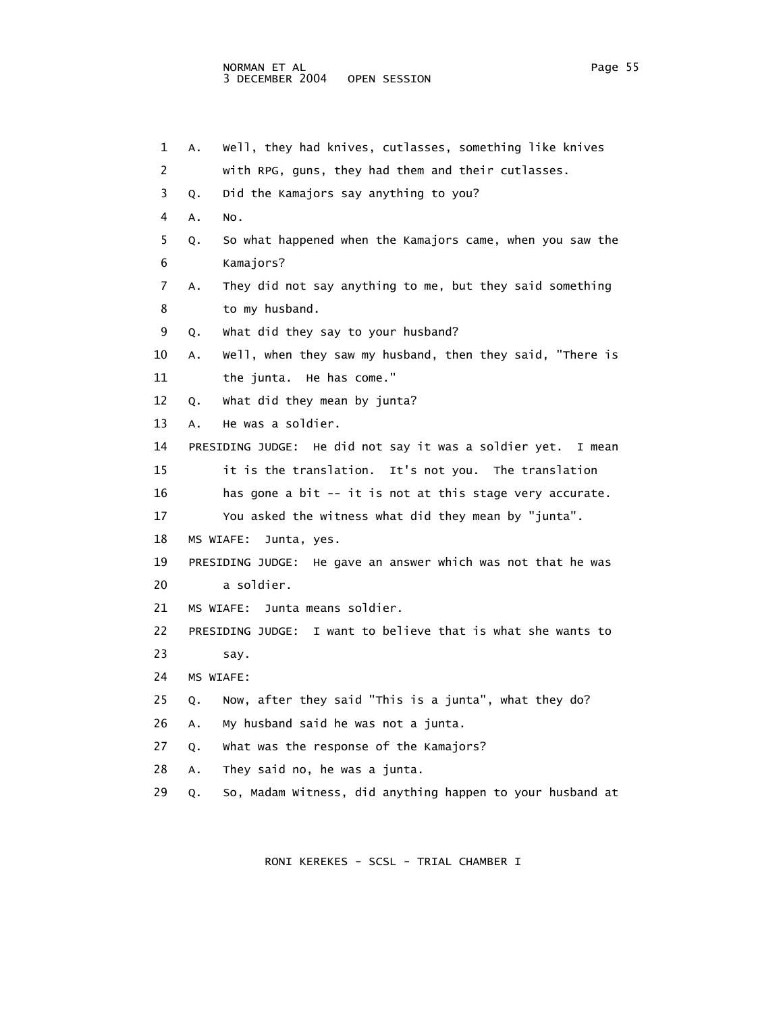```
 1 A. Well, they had knives, cutlasses, something like knives 
 2 with RPG, guns, they had them and their cutlasses. 
 3 Q. Did the Kamajors say anything to you? 
 4 A. No. 
 5 Q. So what happened when the Kamajors came, when you saw the 
 6 Kamajors? 
 7 A. They did not say anything to me, but they said something 
 8 to my husband. 
 9 Q. What did they say to your husband? 
 10 A. Well, when they saw my husband, then they said, "There is 
 11 the junta. He has come." 
 12 Q. What did they mean by junta? 
 13 A. He was a soldier. 
 14 PRESIDING JUDGE: He did not say it was a soldier yet. I mean 
 15 it is the translation. It's not you. The translation 
 16 has gone a bit -- it is not at this stage very accurate. 
 17 You asked the witness what did they mean by "junta". 
 18 MS WIAFE: Junta, yes. 
 19 PRESIDING JUDGE: He gave an answer which was not that he was 
 20 a soldier. 
 21 MS WIAFE: Junta means soldier. 
 22 PRESIDING JUDGE: I want to believe that is what she wants to 
 23 say. 
 24 MS WIAFE: 
 25 Q. Now, after they said "This is a junta", what they do? 
 26 A. My husband said he was not a junta. 
 27 Q. What was the response of the Kamajors? 
 28 A. They said no, he was a junta. 
 29 Q. So, Madam Witness, did anything happen to your husband at
```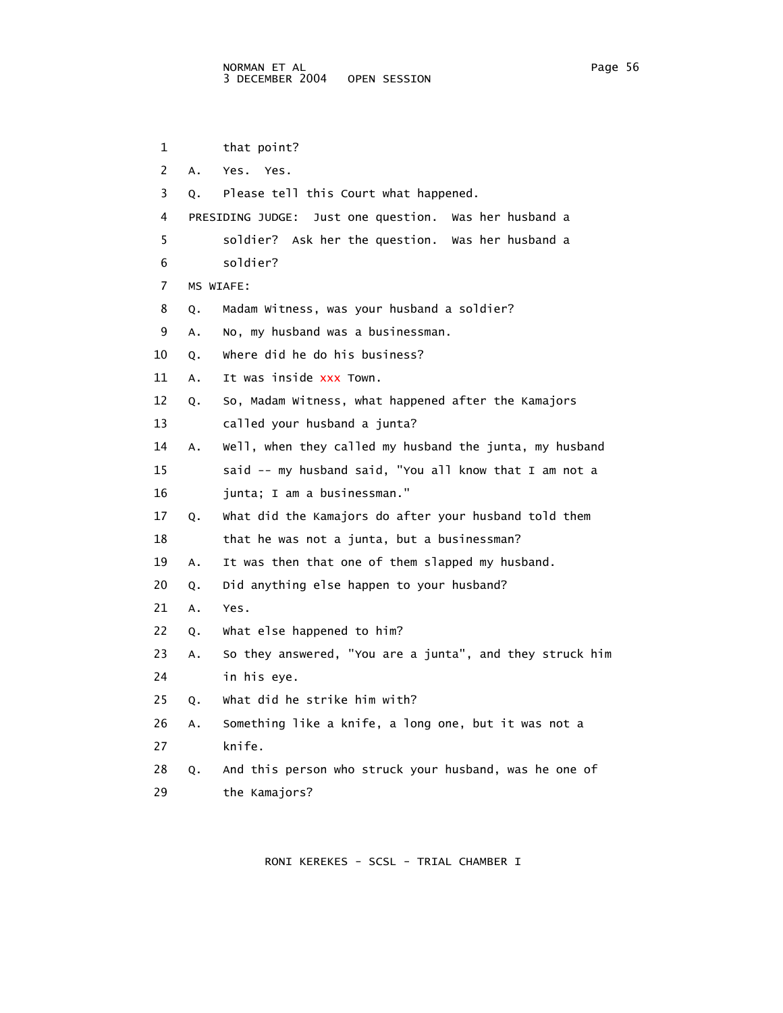```
 1 that point? 
 2 A. Yes. Yes. 
 3 Q. Please tell this Court what happened. 
 4 PRESIDING JUDGE: Just one question. Was her husband a 
  5 soldier? Ask her the question. Was her husband a 
 6 soldier? 
 7 MS WIAFE: 
 8 Q. Madam Witness, was your husband a soldier? 
 9 A. No, my husband was a businessman. 
 10 Q. Where did he do his business? 
11 A. It was inside xxx Town.
 12 Q. So, Madam Witness, what happened after the Kamajors 
 13 called your husband a junta? 
 14 A. Well, when they called my husband the junta, my husband 
 15 said -- my husband said, "You all know that I am not a 
 16 junta; I am a businessman." 
 17 Q. What did the Kamajors do after your husband told them 
18 that he was not a junta, but a businessman?
 19 A. It was then that one of them slapped my husband. 
 20 Q. Did anything else happen to your husband? 
 21 A. Yes. 
 22 Q. What else happened to him? 
 23 A. So they answered, "You are a junta", and they struck him 
 24 in his eye. 
 25 Q. What did he strike him with? 
 26 A. Something like a knife, a long one, but it was not a 
 27 knife. 
 28 Q. And this person who struck your husband, was he one of 
 29 the Kamajors?
```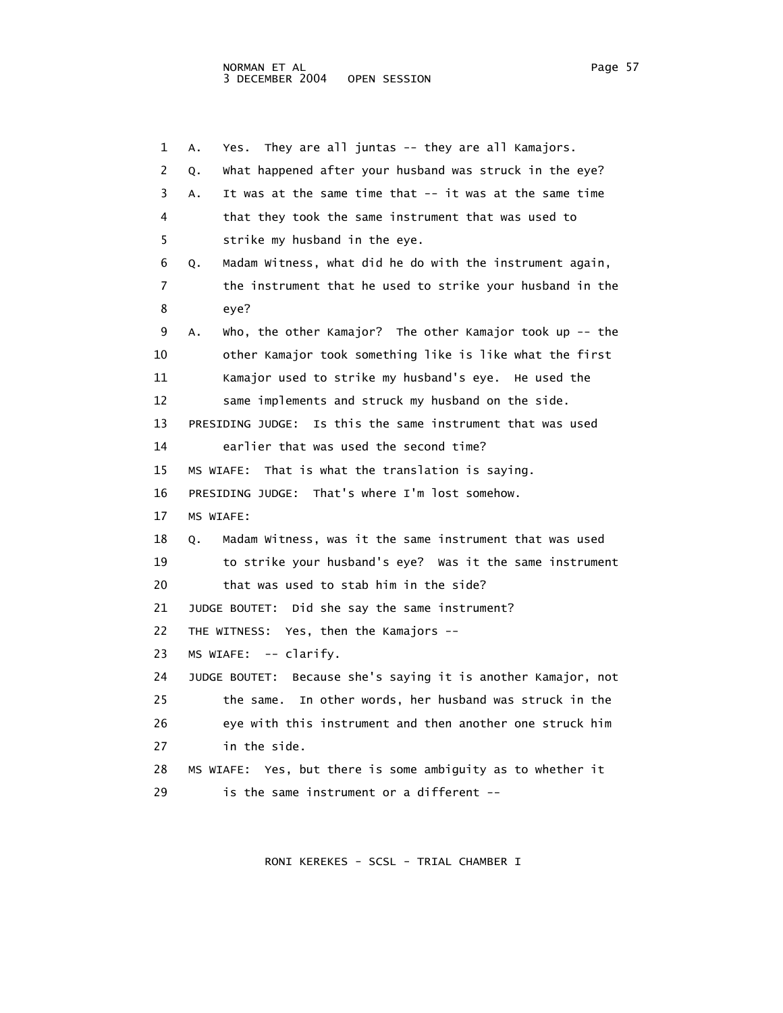1 A. Yes. They are all juntas -- they are all Kamajors. 2 Q. What happened after your husband was struck in the eye? 3 A. It was at the same time that -- it was at the same time 4 that they took the same instrument that was used to 5 strike my husband in the eye. 6 Q. Madam Witness, what did he do with the instrument again, 7 the instrument that he used to strike your husband in the 8 eye? 9 A. Who, the other Kamajor? The other Kamajor took up -- the 10 other Kamajor took something like is like what the first 11 Kamajor used to strike my husband's eye. He used the 12 same implements and struck my husband on the side. 13 PRESIDING JUDGE: Is this the same instrument that was used 14 earlier that was used the second time? 15 MS WIAFE: That is what the translation is saying. 16 PRESIDING JUDGE: That's where I'm lost somehow. 17 MS WIAFE: 18 Q. Madam Witness, was it the same instrument that was used 19 to strike your husband's eye? Was it the same instrument 20 that was used to stab him in the side? 21 JUDGE BOUTET: Did she say the same instrument? 22 THE WITNESS: Yes, then the Kamajors -- 23 MS WIAFE: -- clarify. 24 JUDGE BOUTET: Because she's saying it is another Kamajor, not 25 the same. In other words, her husband was struck in the 26 eye with this instrument and then another one struck him 27 in the side. 28 MS WIAFE: Yes, but there is some ambiguity as to whether it 29 is the same instrument or a different --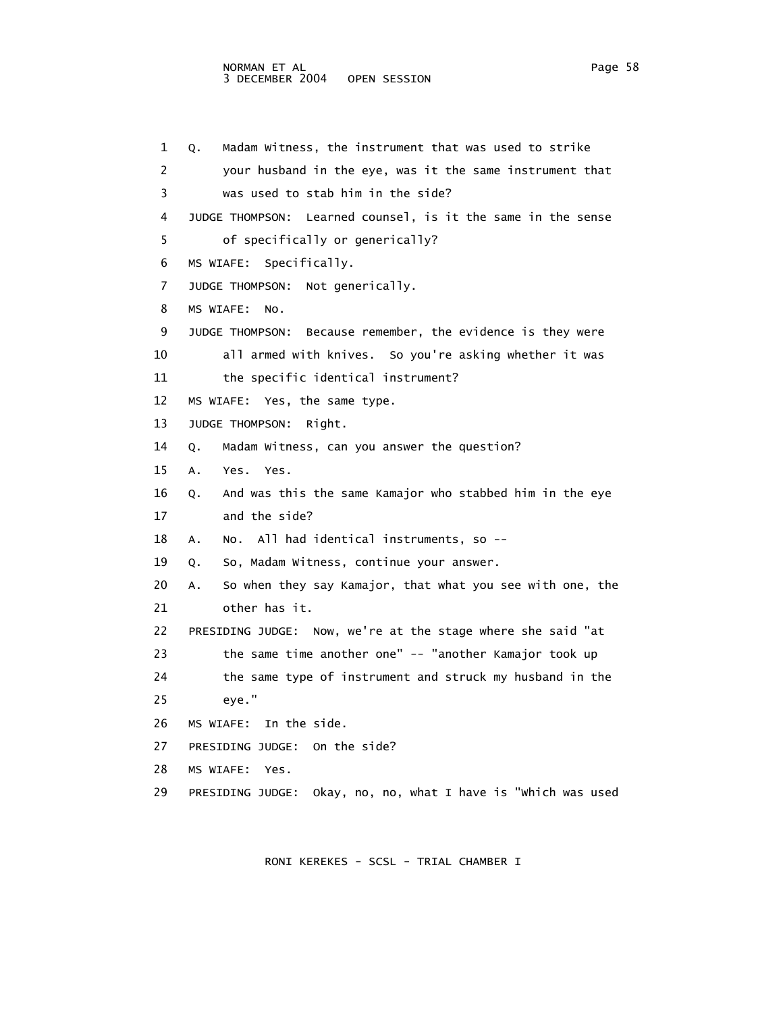1 Q. Madam Witness, the instrument that was used to strike 2 your husband in the eye, was it the same instrument that 3 was used to stab him in the side? 4 JUDGE THOMPSON: Learned counsel, is it the same in the sense 5 of specifically or generically? 6 MS WIAFE: Specifically. 7 JUDGE THOMPSON: Not generically. 8 MS WIAFE: No. 9 JUDGE THOMPSON: Because remember, the evidence is they were 10 all armed with knives. So you're asking whether it was 11 the specific identical instrument? 12 MS WIAFE: Yes, the same type. 13 JUDGE THOMPSON: Right. 14 Q. Madam Witness, can you answer the question? 15 A. Yes. Yes. 16 Q. And was this the same Kamajor who stabbed him in the eye 17 and the side? 18 A. No. All had identical instruments, so -- 19 Q. So, Madam Witness, continue your answer. 20 A. So when they say Kamajor, that what you see with one, the 21 other has it. 22 PRESIDING JUDGE: Now, we're at the stage where she said "at 23 the same time another one" -- "another Kamajor took up 24 the same type of instrument and struck my husband in the 25 eye." 26 MS WIAFE: In the side. 27 PRESIDING JUDGE: On the side? 28 MS WIAFE: Yes. 29 PRESIDING JUDGE: Okay, no, no, what I have is "Which was used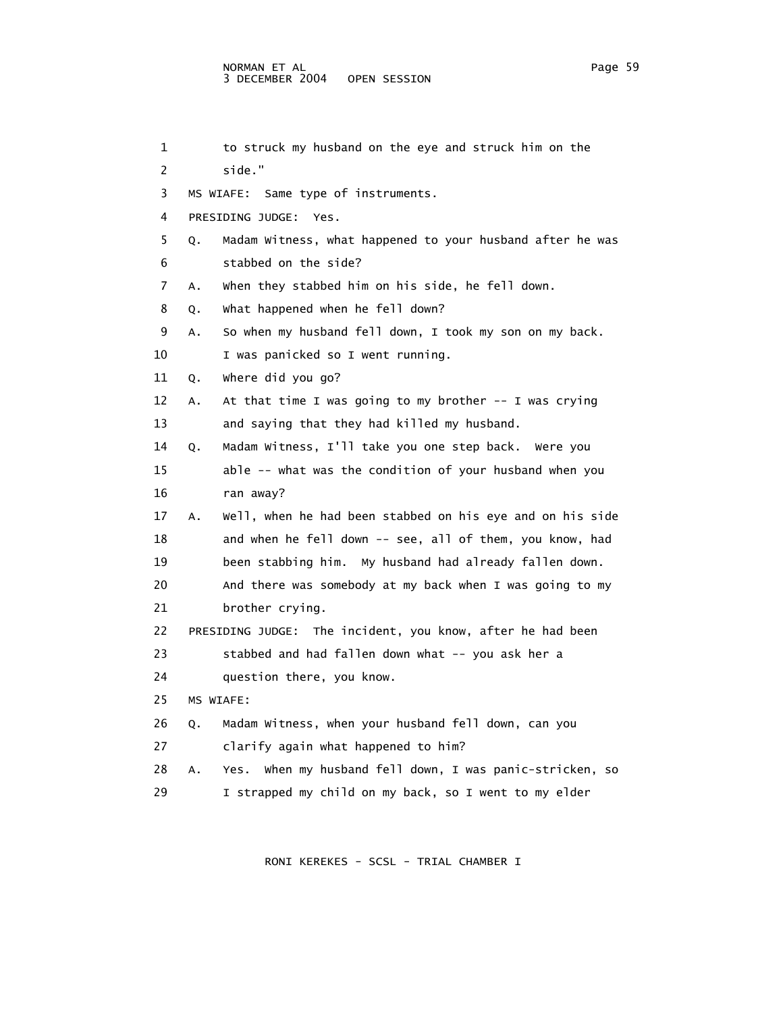| 1  |    | to struck my husband on the eye and struck him on the      |
|----|----|------------------------------------------------------------|
| 2  |    | side."                                                     |
| 3  |    | MS WIAFE:<br>Same type of instruments.                     |
| 4  |    | PRESIDING JUDGE:<br>Yes.                                   |
| 5. | Q. | Madam Witness, what happened to your husband after he was  |
| 6  |    | stabbed on the side?                                       |
| 7  | Α. | when they stabbed him on his side, he fell down.           |
| 8  | Q. | what happened when he fell down?                           |
| 9  | Α. | So when my husband fell down, I took my son on my back.    |
| 10 |    | I was panicked so I went running.                          |
| 11 | Q. | where did you go?                                          |
| 12 | А. | At that time I was going to my brother -- I was crying     |
| 13 |    | and saying that they had killed my husband.                |
| 14 | Q. | Madam Witness, I'll take you one step back. Were you       |
| 15 |    | able -- what was the condition of your husband when you    |
| 16 |    | ran away?                                                  |
| 17 | A. | Well, when he had been stabbed on his eye and on his side  |
| 18 |    | and when he fell down -- see, all of them, you know, had   |
| 19 |    | been stabbing him. My husband had already fallen down.     |
| 20 |    | And there was somebody at my back when I was going to my   |
| 21 |    | brother crying.                                            |
| 22 |    | PRESIDING JUDGE: The incident, you know, after he had been |
| 23 |    | stabbed and had fallen down what -- you ask her a          |
| 24 |    | question there, you know.                                  |
| 25 |    | MS WIAFE:                                                  |
| 26 | Q. | Madam Witness, when your husband fell down, can you        |
| 27 |    | clarify again what happened to him?                        |
| 28 | Α. | Yes. When my husband fell down, I was panic-stricken, so   |
| 29 |    | I strapped my child on my back, so I went to my elder      |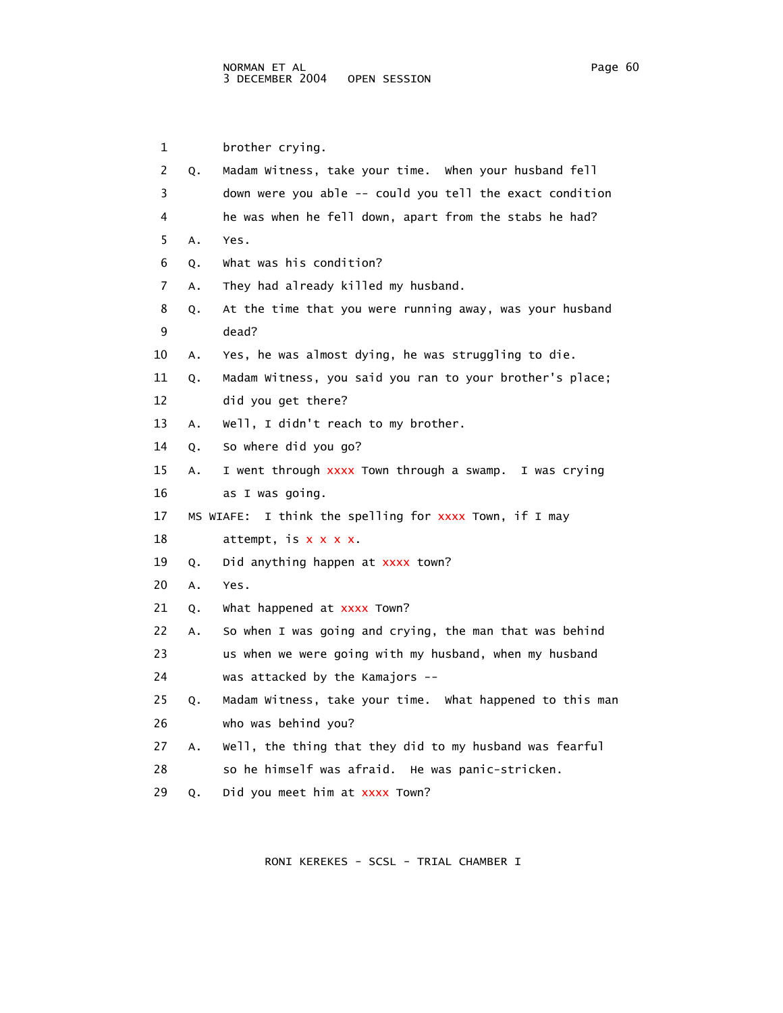1 brother crying. 2 Q. Madam Witness, take your time. When your husband fell 3 down were you able -- could you tell the exact condition 4 he was when he fell down, apart from the stabs he had? 5 A. Yes. 6 Q. What was his condition? 7 A. They had already killed my husband. 8 Q. At the time that you were running away, was your husband 9 dead? 10 A. Yes, he was almost dying, he was struggling to die. 11 Q. Madam Witness, you said you ran to your brother's place; 12 did you get there? 13 A. Well, I didn't reach to my brother. 14 Q. So where did you go? 15 A. I went through xxxx Town through a swamp. I was crying 16 as I was going. 17 MS WIAFE: I think the spelling for xxxx Town, if I may 18  $\arct{text}$ , is  $x \times x$ . 19 Q. Did anything happen at xxxx town? 20 A. Yes. 21 Q. What happened at xxxx Town? 22 A. So when I was going and crying, the man that was behind 23 us when we were going with my husband, when my husband 24 was attacked by the Kamajors -- 25 Q. Madam Witness, take your time. What happened to this man 26 who was behind you? 27 A. Well, the thing that they did to my husband was fearful 28 so he himself was afraid. He was panic-stricken. 29 Q. Did you meet him at xxxx Town?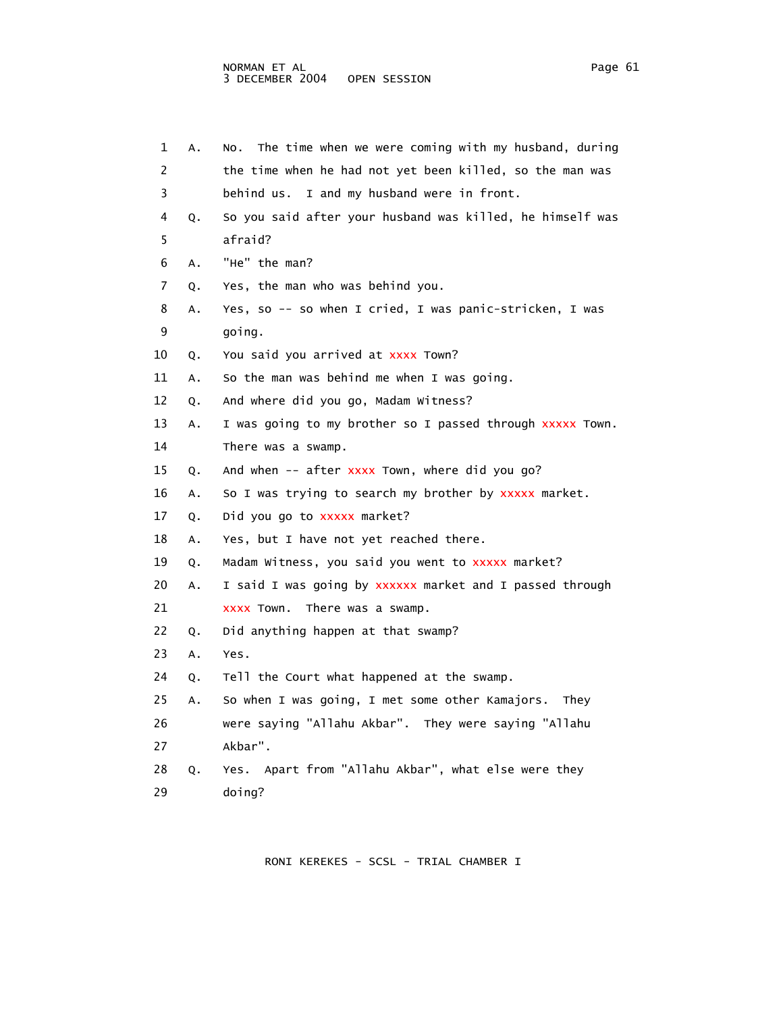| 1  | Α. | The time when we were coming with my husband, during<br>NO. |
|----|----|-------------------------------------------------------------|
| 2  |    | the time when he had not yet been killed, so the man was    |
| 3  |    | I and my husband were in front.<br>behind us.               |
| 4  | Q. | So you said after your husband was killed, he himself was   |
| 5  |    | afraid?                                                     |
| 6  | Α. | "He" the man?                                               |
| 7  | Q. | Yes, the man who was behind you.                            |
| 8  | А. | Yes, so -- so when I cried, I was panic-stricken, I was     |
| 9  |    | going.                                                      |
| 10 | Q. | You said you arrived at xxxx Town?                          |
| 11 | Α. | So the man was behind me when I was going.                  |
| 12 | Q. | And where did you go, Madam Witness?                        |
| 13 | Α. | I was going to my brother so I passed through xxxxx Town.   |
| 14 |    | There was a swamp.                                          |
| 15 | Q. | And when -- after xxxx Town, where did you go?              |
| 16 | Α. | So I was trying to search my brother by xxxxx market.       |
| 17 | Q. | Did you go to xxxxx market?                                 |
| 18 | Α. | Yes, but I have not yet reached there.                      |
| 19 | Q. | Madam Witness, you said you went to xxxxx market?           |
| 20 | Α. | I said I was going by xxxxxx market and I passed through    |
| 21 |    | XXXX TOWN.<br>There was a swamp.                            |
| 22 | Q. | Did anything happen at that swamp?                          |
| 23 | Α. | Yes.                                                        |
| 24 | Q. | Tell the Court what happened at the swamp.                  |
| 25 | Α. | So when I was going, I met some other Kamajors.<br>They     |
| 26 |    | were saying "Allahu Akbar". They were saying "Allahu        |
| 27 |    | Akbar".                                                     |
| 28 | Q. | Apart from "Allahu Akbar", what else were they<br>Yes.      |
| 29 |    | doing?                                                      |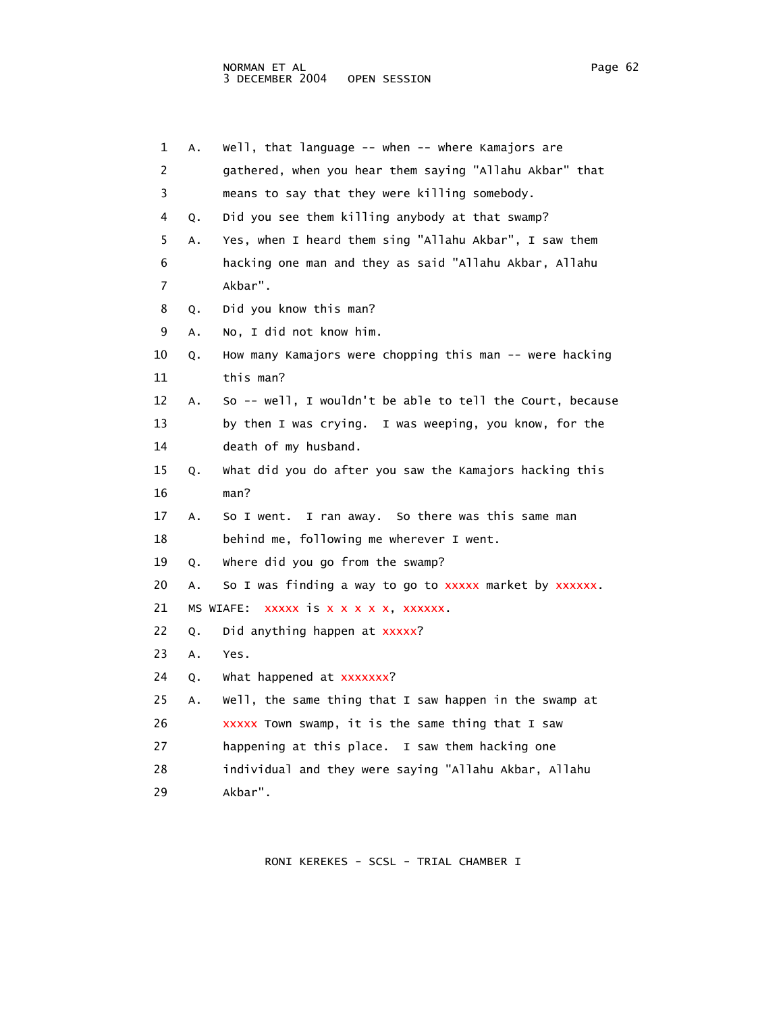| 1  | A. | Well, that language -- when -- where Kamajors are         |
|----|----|-----------------------------------------------------------|
| 2  |    | gathered, when you hear them saying "Allahu Akbar" that   |
| 3  |    | means to say that they were killing somebody.             |
| 4  | Q. | Did you see them killing anybody at that swamp?           |
| 5  | Α. | Yes, when I heard them sing "Allahu Akbar", I saw them    |
| 6  |    | hacking one man and they as said "Allahu Akbar, Allahu    |
| 7  |    | Akbar".                                                   |
| 8  | Q. | Did you know this man?                                    |
| 9  | Α. | No, I did not know him.                                   |
| 10 | Q. | How many Kamajors were chopping this man -- were hacking  |
| 11 |    | this man?                                                 |
| 12 | Α. | So -- well, I wouldn't be able to tell the Court, because |
| 13 |    | by then I was crying. I was weeping, you know, for the    |
| 14 |    | death of my husband.                                      |
| 15 | Q. | What did you do after you saw the Kamajors hacking this   |
| 16 |    | man?                                                      |
| 17 | Α. | I ran away. So there was this same man<br>So I went.      |
| 18 |    | behind me, following me wherever I went.                  |
| 19 | Q. | where did you go from the swamp?                          |
| 20 | Α. | So I was finding a way to go to xxxxx market by xxxxxx.   |
| 21 |    | xxxxx is x x x x x, xxxxxx.<br>MS WIAFE:                  |
| 22 | Q. | Did anything happen at xxxxx?                             |
| 23 | Α. | Yes.                                                      |
| 24 | Q. | what happened at xxxxxxx?                                 |
| 25 | Α. | Well, the same thing that I saw happen in the swamp at    |
| 26 |    | xxxxx Town swamp, it is the same thing that I saw         |
| 27 |    | happening at this place. I saw them hacking one           |
| 28 |    | individual and they were saying "Allahu Akbar, Allahu     |
| 29 |    | Akbar".                                                   |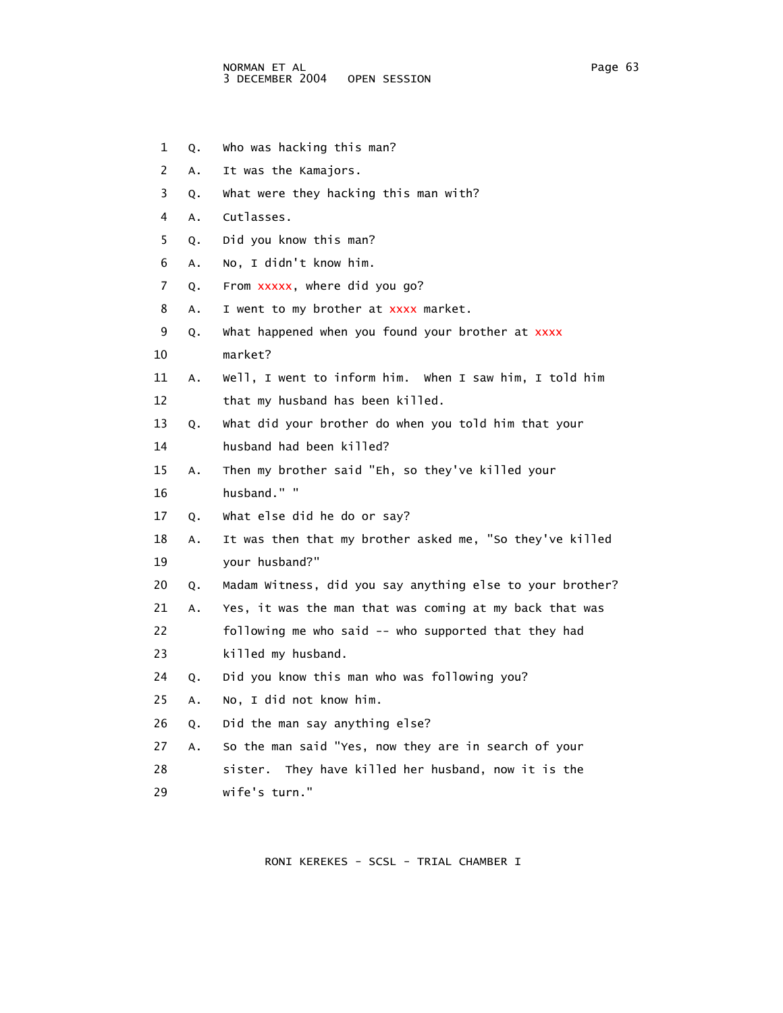- 1 Q. Who was hacking this man?
- 2 A. It was the Kamajors.
- 3 Q. What were they hacking this man with?
- 4 A. Cutlasses.
- 5 Q. Did you know this man?
- 6 A. No, I didn't know him.
- 7 Q. From xxxxx, where did you go?
- 8 A. I went to my brother at xxxx market.
- 9 Q. What happened when you found your brother at xxxx
- 10 market?
- 11 A. Well, I went to inform him. When I saw him, I told him 12 that my husband has been killed.
- 13 Q. What did your brother do when you told him that your
- 14 husband had been killed?
- 15 A. Then my brother said "Eh, so they've killed your
- 16 husband." "
- 17 Q. What else did he do or say?
- 18 A. It was then that my brother asked me, "So they've killed 19 your husband?"
- 20 Q. Madam Witness, did you say anything else to your brother?
- 21 A. Yes, it was the man that was coming at my back that was
- 22 following me who said -- who supported that they had
- 23 killed my husband.
- 24 Q. Did you know this man who was following you?
- 25 A. No, I did not know him.
- 26 Q. Did the man say anything else?
- 27 A. So the man said "Yes, now they are in search of your
- 28 sister. They have killed her husband, now it is the 29 wife's turn."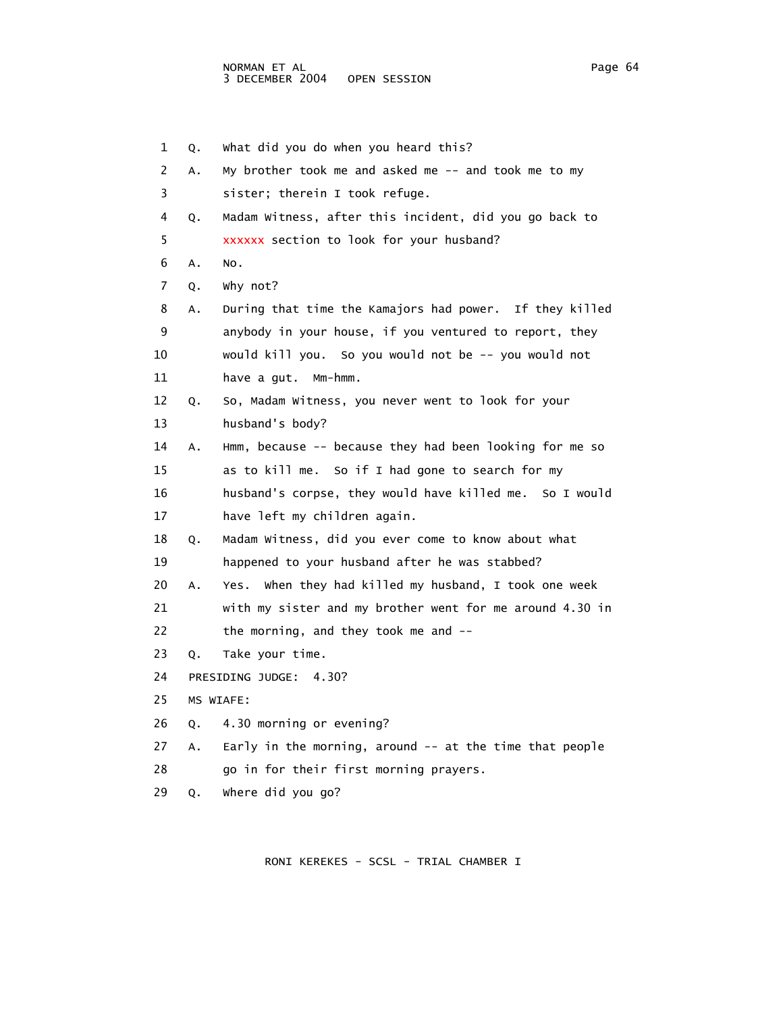1 Q. What did you do when you heard this? 2 A. My brother took me and asked me -- and took me to my 3 sister; therein I took refuge. 4 Q. Madam Witness, after this incident, did you go back to 5 xxxxxx section to look for your husband? 6 A. No. 7 Q. Why not? 8 A. During that time the Kamajors had power. If they killed 9 anybody in your house, if you ventured to report, they 10 would kill you. So you would not be -- you would not 11 have a gut. Mm-hmm. 12 Q. So, Madam Witness, you never went to look for your 13 husband's body? 14 A. Hmm, because -- because they had been looking for me so 15 as to kill me. So if I had gone to search for my 16 husband's corpse, they would have killed me. So I would 17 have left my children again. 18 Q. Madam Witness, did you ever come to know about what 19 happened to your husband after he was stabbed? 20 A. Yes. When they had killed my husband, I took one week 21 with my sister and my brother went for me around 4.30 in 22 the morning, and they took me and -- 23 Q. Take your time. 24 PRESIDING JUDGE: 4.30? 25 MS WIAFE: 26 Q. 4.30 morning or evening? 27 A. Early in the morning, around -- at the time that people 28 go in for their first morning prayers. 29 Q. Where did you go?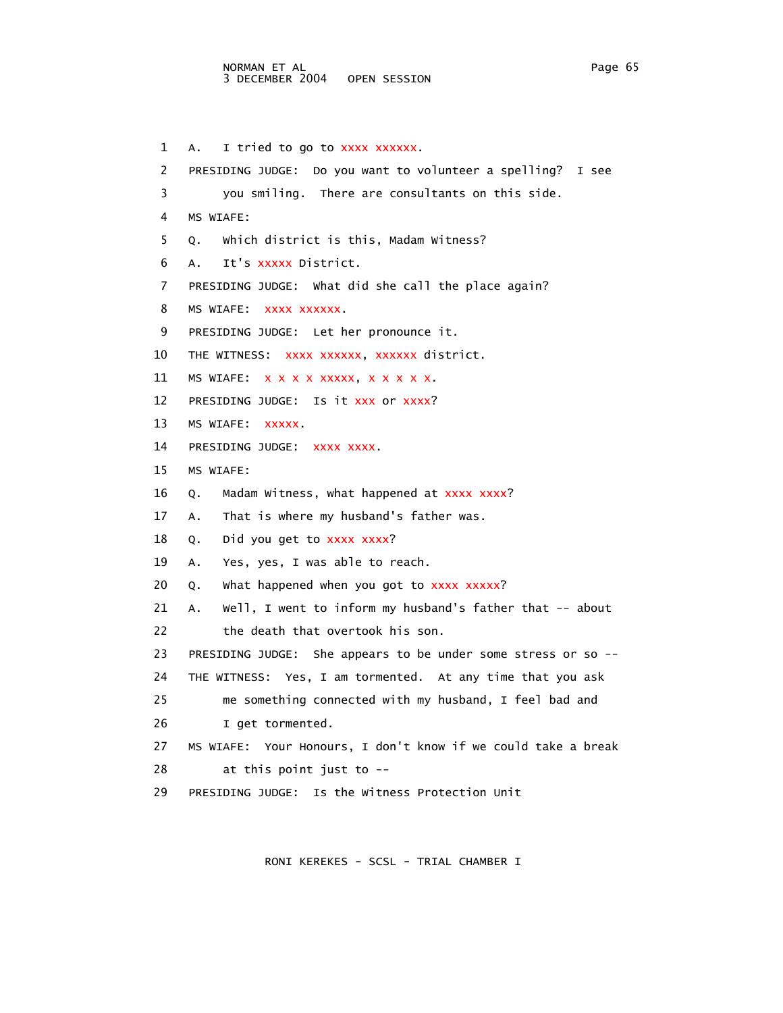1 A. I tried to go to xxxx xxxxxx. 2 PRESIDING JUDGE: Do you want to volunteer a spelling? I see 3 you smiling. There are consultants on this side. 4 MS WIAFE: 5 Q. Which district is this, Madam Witness? 6 A. It's xxxxx District. 7 PRESIDING JUDGE: What did she call the place again? 8 MS WIAFE: xxxx xxxxxx. 9 PRESIDING JUDGE: Let her pronounce it. 10 THE WITNESS: XXXX XXXXXX, XXXXXX district. 11 MS WIAFE: x x x x x xxxx, x x x x x. 12 PRESIDING JUDGE: Is it xxx or xxxx? 13 MS WIAFE: xxxxx. 14 PRESIDING JUDGE: xxxx xxxx. 15 MS WIAFE: 16 Q. Madam Witness, what happened at xxxx xxxx? 17 A. That is where my husband's father was. 18 Q. Did you get to xxxx xxxx? 19 A. Yes, yes, I was able to reach. 20 Q. What happened when you got to xxxx xxxxx? 21 A. Well, I went to inform my husband's father that -- about 22 the death that overtook his son. 23 PRESIDING JUDGE: She appears to be under some stress or so -- 24 THE WITNESS: Yes, I am tormented. At any time that you ask 25 me something connected with my husband, I feel bad and 26 I get tormented. 27 MS WIAFE: Your Honours, I don't know if we could take a break 28 at this point just to -- 29 PRESIDING JUDGE: Is the Witness Protection Unit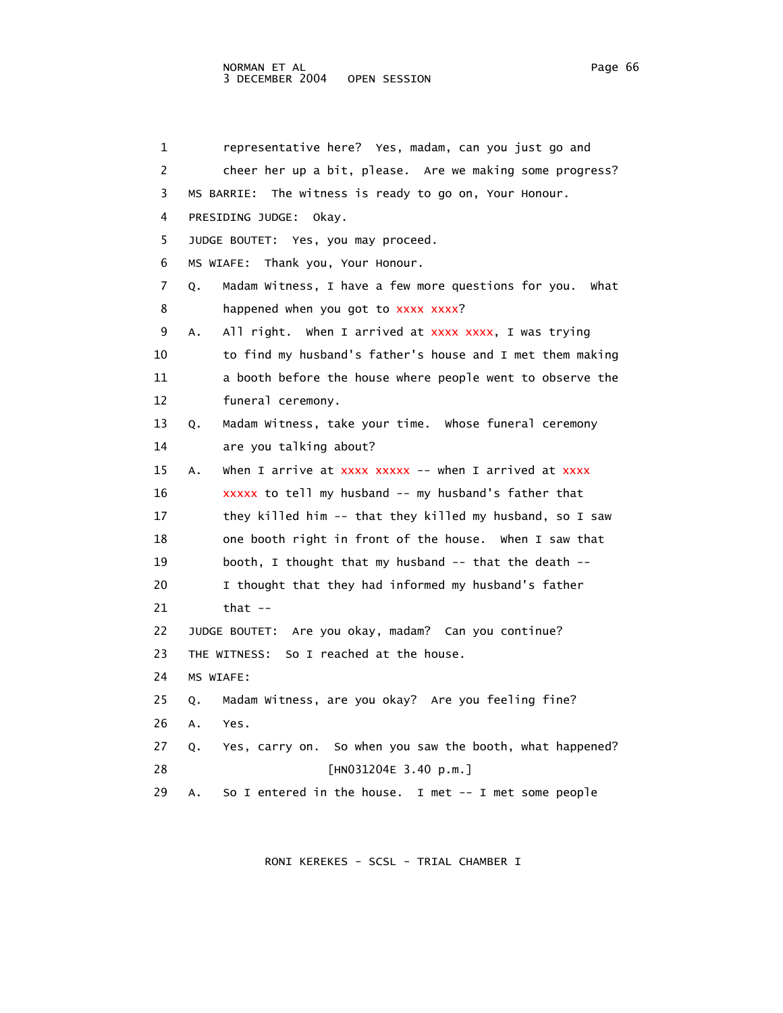## NORMAN ET AL Page 66 3 DECEMBER 2004 OPEN SESSION

 1 representative here? Yes, madam, can you just go and 2 cheer her up a bit, please. Are we making some progress? 3 MS BARRIE: The witness is ready to go on, Your Honour. 4 PRESIDING JUDGE: Okay. 5 JUDGE BOUTET: Yes, you may proceed. 6 MS WIAFE: Thank you, Your Honour. 7 Q. Madam Witness, I have a few more questions for you. What 8 happened when you got to xxxx xxxx? 9 A. All right. When I arrived at xxxx xxxx, I was trying 10 to find my husband's father's house and I met them making 11 a booth before the house where people went to observe the 12 funeral ceremony. 13 Q. Madam Witness, take your time. Whose funeral ceremony 14 are you talking about? 15 A. When I arrive at xxxx xxxxx -- when I arrived at xxxx 16 xxxxx to tell my husband -- my husband's father that 17 they killed him -- that they killed my husband, so I saw 18 one booth right in front of the house. When I saw that 19 booth, I thought that my husband -- that the death -- 20 I thought that they had informed my husband's father 21 that -- 22 JUDGE BOUTET: Are you okay, madam? Can you continue? 23 THE WITNESS: So I reached at the house. 24 MS WIAFE: 25 Q. Madam Witness, are you okay? Are you feeling fine? 26 A. Yes. 27 Q. Yes, carry on. So when you saw the booth, what happened? 28 [HN031204E 3.40 p.m.] 29 A. So I entered in the house. I met -- I met some people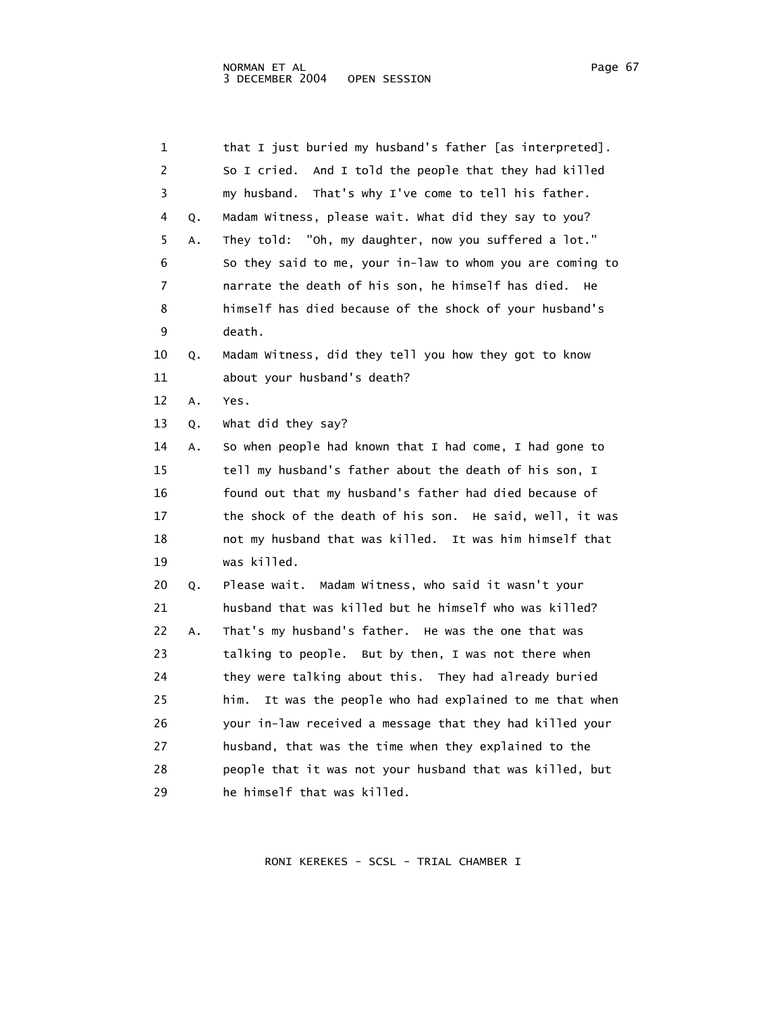| ıΩ<br>ıc<br>J.<br>٧<br>. . |  |
|----------------------------|--|
|----------------------------|--|

| 1  |    | that I just buried my husband's father [as interpreted].    |
|----|----|-------------------------------------------------------------|
| 2  |    | So I cried. And I told the people that they had killed      |
| 3  |    | my husband.<br>That's why I've come to tell his father.     |
| 4  | Q. | Madam Witness, please wait. What did they say to you?       |
| 5  | Α. | "Oh, my daughter, now you suffered a lot."<br>They told:    |
| 6  |    | So they said to me, your in-law to whom you are coming to   |
| 7  |    | narrate the death of his son, he himself has died.<br>He    |
| 8  |    | himself has died because of the shock of your husband's     |
| 9  |    | death.                                                      |
| 10 | Q. | Madam Witness, did they tell you how they got to know       |
| 11 |    | about your husband's death?                                 |
| 12 | Α. | Yes.                                                        |
| 13 | Q. | what did they say?                                          |
| 14 | Α. | So when people had known that I had come, I had gone to     |
| 15 |    | tell my husband's father about the death of his son, I      |
| 16 |    | found out that my husband's father had died because of      |
| 17 |    | the shock of the death of his son. He said, well, it was    |
| 18 |    | not my husband that was killed. It was him himself that     |
| 19 |    | was killed.                                                 |
| 20 | Q. | Please wait. Madam Witness, who said it wasn't your         |
| 21 |    | husband that was killed but he himself who was killed?      |
| 22 | Α. | That's my husband's father. He was the one that was         |
| 23 |    | talking to people. But by then, I was not there when        |
| 24 |    | they were talking about this. They had already buried       |
| 25 |    | him.<br>It was the people who had explained to me that when |
| 26 |    | your in-law received a message that they had killed your    |
| 27 |    | husband, that was the time when they explained to the       |
| 28 |    | people that it was not your husband that was killed, but    |
| 29 |    | he himself that was killed.                                 |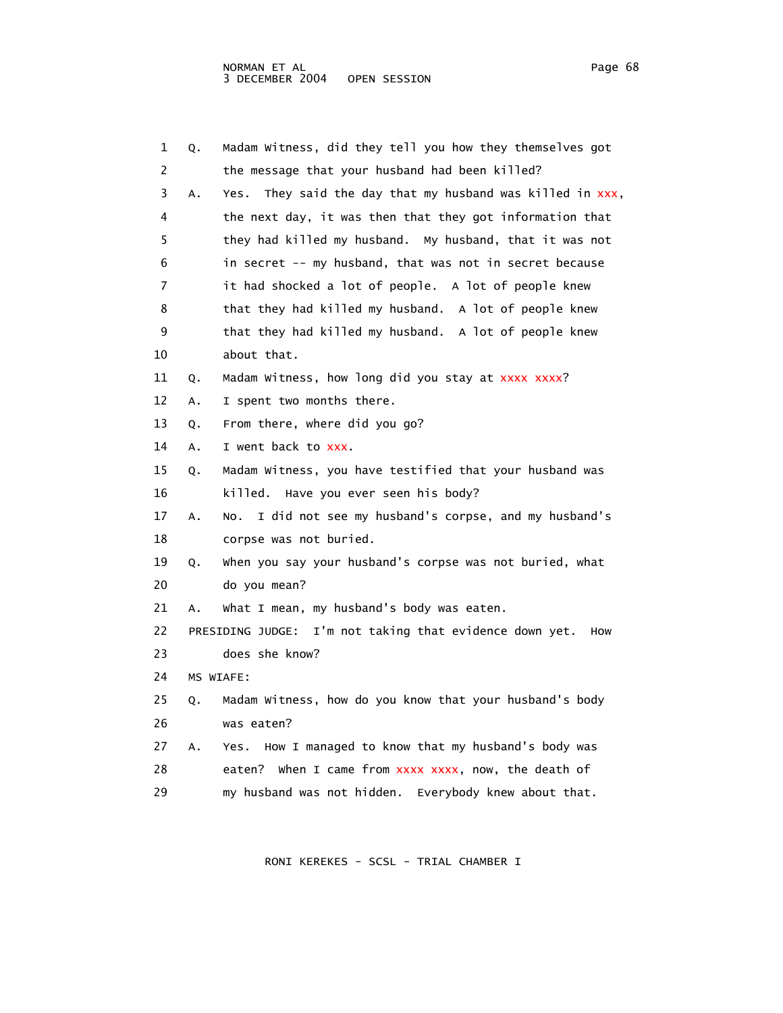1 Q. Madam Witness, did they tell you how they themselves got 2 the message that your husband had been killed? 3 A. Yes. They said the day that my husband was killed in xxx, 4 the next day, it was then that they got information that 5 they had killed my husband. My husband, that it was not 6 in secret -- my husband, that was not in secret because 7 it had shocked a lot of people. A lot of people knew 8 that they had killed my husband. A lot of people knew 9 that they had killed my husband. A lot of people knew 10 about that. 11 Q. Madam Witness, how long did you stay at xxxx xxxx? 12 A. I spent two months there. 13 Q. From there, where did you go? 14 A. I went back to xxx. 15 Q. Madam Witness, you have testified that your husband was 16 killed. Have you ever seen his body? 17 A. No. I did not see my husband's corpse, and my husband's 18 corpse was not buried. 19 Q. When you say your husband's corpse was not buried, what 20 do you mean? 21 A. What I mean, my husband's body was eaten. 22 PRESIDING JUDGE: I'm not taking that evidence down yet. How 23 does she know? 24 MS WIAFE: 25 Q. Madam Witness, how do you know that your husband's body 26 was eaten? 27 A. Yes. How I managed to know that my husband's body was 28 eaten? When I came from xxxx xxxx, now, the death of 29 my husband was not hidden. Everybody knew about that.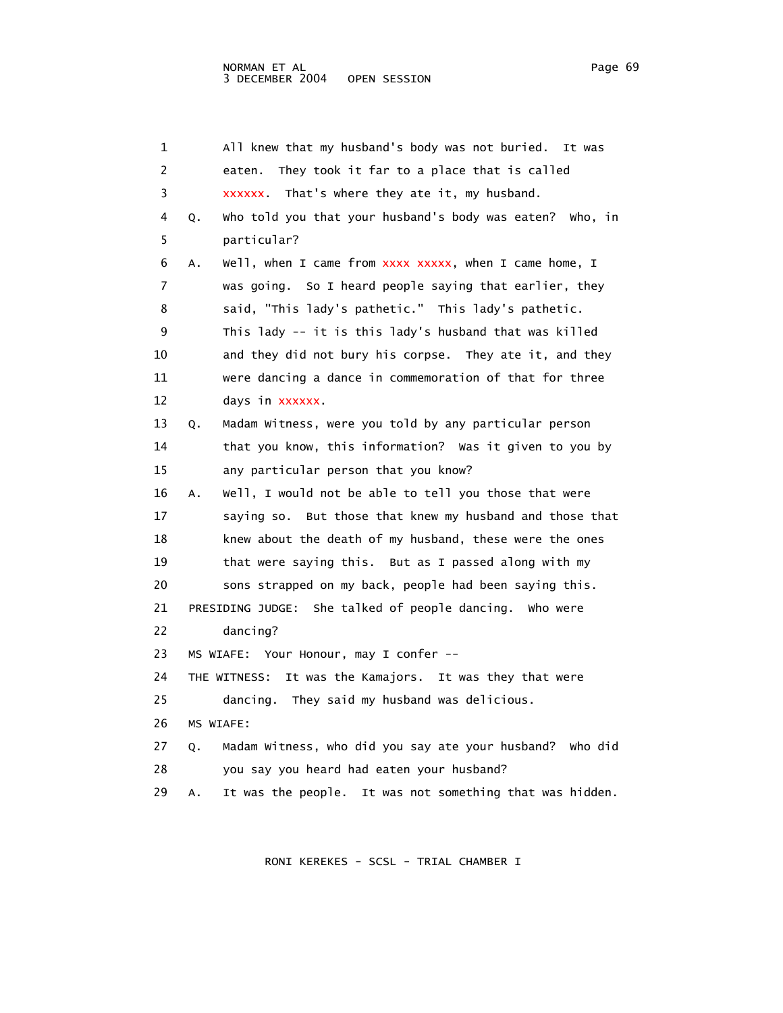1 All knew that my husband's body was not buried. It was 2 eaten. They took it far to a place that is called 3 xxxxxx. That's where they ate it, my husband. 4 Q. Who told you that your husband's body was eaten? Who, in 5 particular? 6 A. Well, when I came from xxxx xxxxx, when I came home, I 7 was going. So I heard people saying that earlier, they 8 said, "This lady's pathetic." This lady's pathetic. 9 This lady -- it is this lady's husband that was killed 10 and they did not bury his corpse. They ate it, and they 11 were dancing a dance in commemoration of that for three 12 days in xxxxxx. 13 Q. Madam Witness, were you told by any particular person 14 that you know, this information? Was it given to you by 15 any particular person that you know? 16 A. Well, I would not be able to tell you those that were 17 saying so. But those that knew my husband and those that 18 knew about the death of my husband, these were the ones 19 that were saying this. But as I passed along with my 20 sons strapped on my back, people had been saying this. 21 PRESIDING JUDGE: She talked of people dancing. Who were 22 dancing? 23 MS WIAFE: Your Honour, may I confer -- 24 THE WITNESS: It was the Kamajors. It was they that were 25 dancing. They said my husband was delicious. 26 MS WIAFE: 27 Q. Madam Witness, who did you say ate your husband? Who did 28 you say you heard had eaten your husband? 29 A. It was the people. It was not something that was hidden.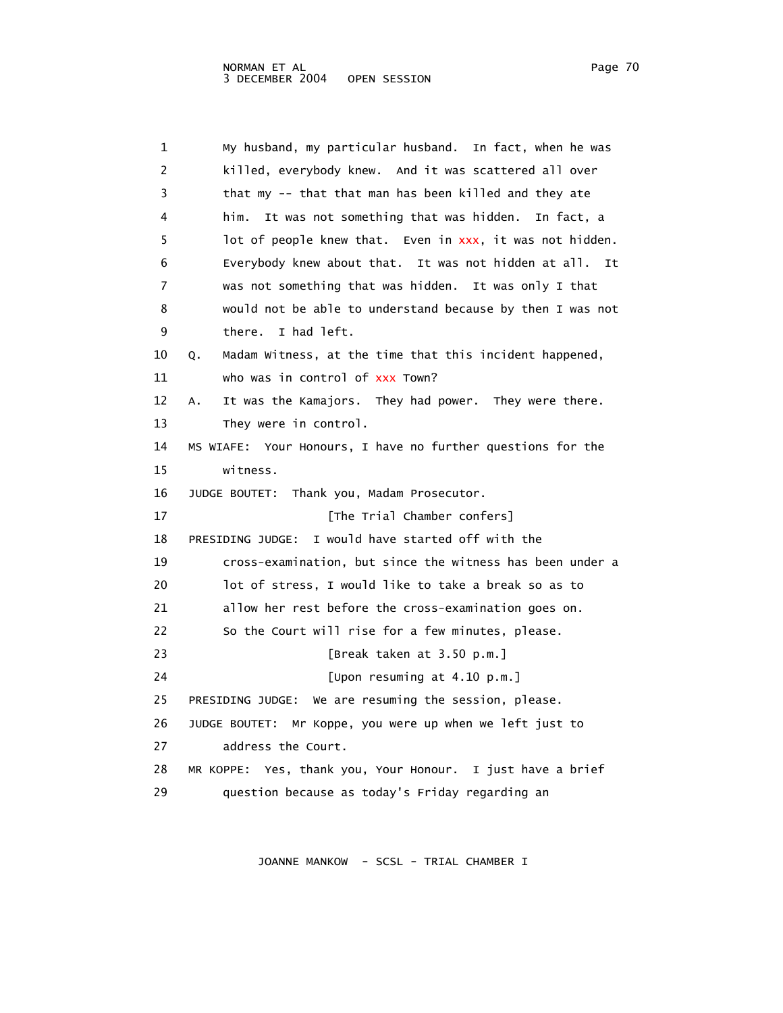| 1  | My husband, my particular husband. In fact, when he was       |
|----|---------------------------------------------------------------|
| 2  | killed, everybody knew. And it was scattered all over         |
| 3  | that my -- that that man has been killed and they ate         |
| 4  | It was not something that was hidden. In fact, a<br>him.      |
| 5  | lot of people knew that. Even in xxx, it was not hidden.      |
| 6  | Everybody knew about that. It was not hidden at all. It       |
| 7  | was not something that was hidden. It was only I that         |
| 8  | would not be able to understand because by then I was not     |
| 9  | I had left.<br>there.                                         |
| 10 | Madam Witness, at the time that this incident happened,<br>Q. |
| 11 | who was in control of xxx Town?                               |
| 12 | It was the Kamajors. They had power. They were there.<br>А.   |
| 13 | They were in control.                                         |
| 14 | MS WIAFE: Your Honours, I have no further questions for the   |
| 15 | witness.                                                      |
| 16 | JUDGE BOUTET: Thank you, Madam Prosecutor.                    |
| 17 | [The Trial Chamber confers]                                   |
| 18 | I would have started off with the<br>PRESIDING JUDGE:         |
| 19 | cross-examination, but since the witness has been under a     |
| 20 | lot of stress, I would like to take a break so as to          |
| 21 | allow her rest before the cross-examination goes on.          |
| 22 | So the Court will rise for a few minutes, please.             |
| 23 | [Break taken at 3.50 p.m.]                                    |
| 24 | [Upon resuming at 4.10 p.m.]                                  |
| 25 | PRESIDING JUDGE: We are resuming the session, please.         |
| 26 | JUDGE BOUTET: Mr Koppe, you were up when we left just to      |
| 27 | address the Court.                                            |
| 28 | MR KOPPE: Yes, thank you, Your Honour. I just have a brief    |
| 29 | question because as today's Friday regarding an               |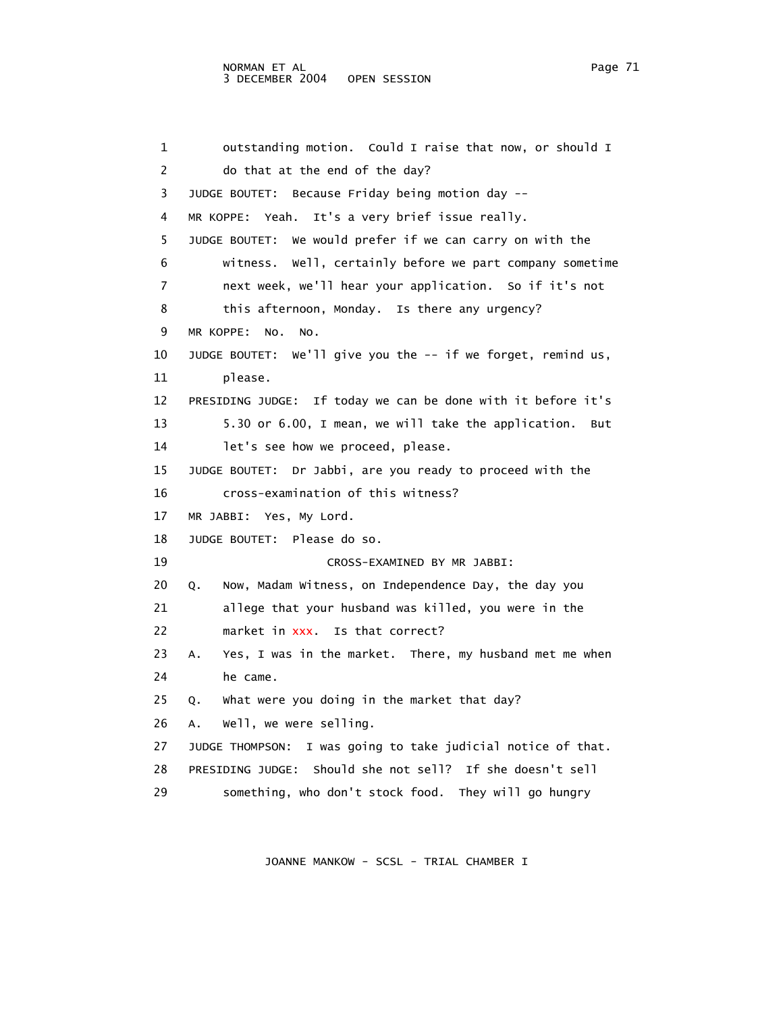## NORMAN ET AL Page 71 3 DECEMBER 2004 OPEN SESSION

 1 outstanding motion. Could I raise that now, or should I 2 do that at the end of the day? 3 JUDGE BOUTET: Because Friday being motion day -- 4 MR KOPPE: Yeah. It's a very brief issue really. 5 JUDGE BOUTET: We would prefer if we can carry on with the 6 witness. Well, certainly before we part company sometime 7 next week, we'll hear your application. So if it's not 8 this afternoon, Monday. Is there any urgency? 9 MR KOPPE: No. No. 10 JUDGE BOUTET: We'll give you the -- if we forget, remind us, 11 please. 12 PRESIDING JUDGE: If today we can be done with it before it's 13 5.30 or 6.00, I mean, we will take the application. But 14 let's see how we proceed, please. 15 JUDGE BOUTET: Dr Jabbi, are you ready to proceed with the 16 cross-examination of this witness? 17 MR JABBI: Yes, My Lord. 18 JUDGE BOUTET: Please do so. 19 CROSS-EXAMINED BY MR JABBI: 20 Q. Now, Madam Witness, on Independence Day, the day you 21 allege that your husband was killed, you were in the 22 market in xxx. Is that correct? 23 A. Yes, I was in the market. There, my husband met me when 24 he came. 25 Q. What were you doing in the market that day? 26 A. Well, we were selling. 27 JUDGE THOMPSON: I was going to take judicial notice of that. 28 PRESIDING JUDGE: Should she not sell? If she doesn't sell 29 something, who don't stock food. They will go hungry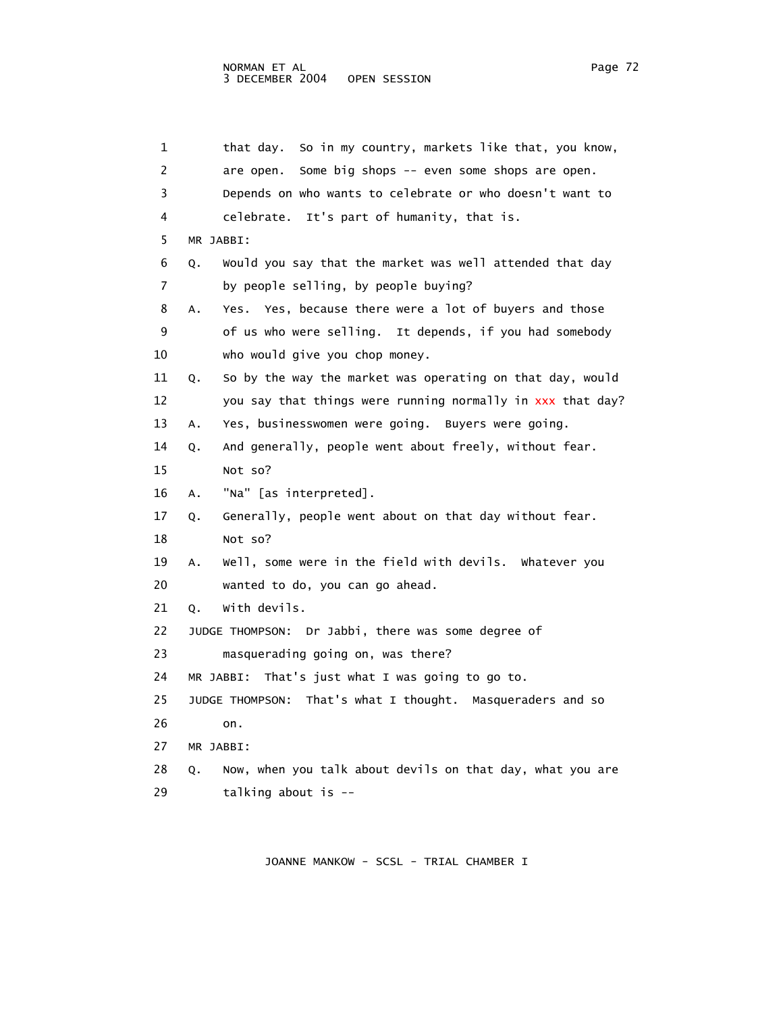1 that day. So in my country, markets like that, you know, 2 are open. Some big shops -- even some shops are open. 3 Depends on who wants to celebrate or who doesn't want to 4 celebrate. It's part of humanity, that is. 5 MR JABBI: 6 Q. Would you say that the market was well attended that day 7 by people selling, by people buying? 8 A. Yes. Yes, because there were a lot of buyers and those 9 of us who were selling. It depends, if you had somebody 10 who would give you chop money. 11 Q. So by the way the market was operating on that day, would 12 you say that things were running normally in xxx that day? 13 A. Yes, businesswomen were going. Buyers were going. 14 Q. And generally, people went about freely, without fear. 15 Not so? 16 A. "Na" [as interpreted]. 17 Q. Generally, people went about on that day without fear. 18 Not so? 19 A. Well, some were in the field with devils. Whatever you 20 wanted to do, you can go ahead. 21 Q. With devils. 22 JUDGE THOMPSON: Dr Jabbi, there was some degree of 23 masquerading going on, was there? 24 MR JABBI: That's just what I was going to go to. 25 JUDGE THOMPSON: That's what I thought. Masqueraders and so 26 on. 27 MR JABBI: 28 Q. Now, when you talk about devils on that day, what you are 29 talking about is --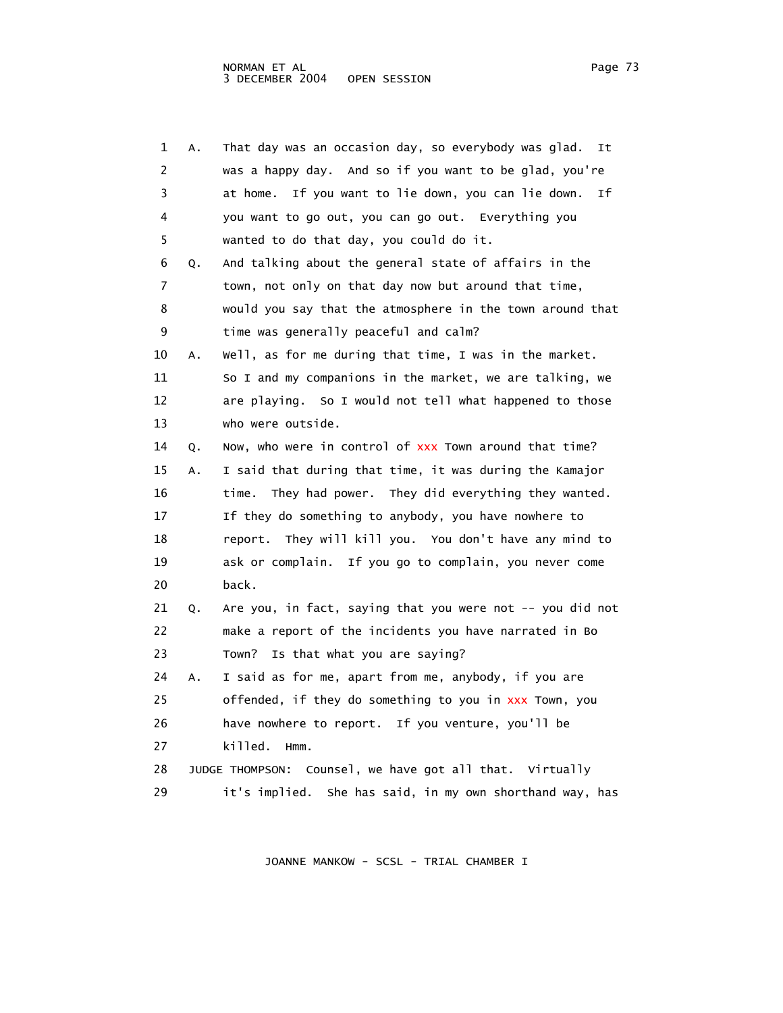| ade |  |
|-----|--|
|-----|--|

|    | 1<br>Α. | That day was an occasion day, so everybody was glad.<br>It   |
|----|---------|--------------------------------------------------------------|
|    | 2       | was a happy day. And so if you want to be glad, you're       |
|    | 3       | at home.<br>If you want to lie down, you can lie down.<br>Ιf |
|    | 4       | you want to go out, you can go out. Everything you           |
|    | 5       | wanted to do that day, you could do it.                      |
|    | 6<br>Q. | And talking about the general state of affairs in the        |
|    | 7       | town, not only on that day now but around that time,         |
|    | 8       | would you say that the atmosphere in the town around that    |
|    | 9       | time was generally peaceful and calm?                        |
| 10 | Α.      | Well, as for me during that time, I was in the market.       |
| 11 |         | So I and my companions in the market, we are talking, we     |
| 12 |         | are playing. So I would not tell what happened to those      |
| 13 |         | who were outside.                                            |
| 14 | Q.      | Now, who were in control of xxx Town around that time?       |
| 15 | Α.      | I said that during that time, it was during the Kamajor      |
| 16 |         | They had power. They did everything they wanted.<br>time.    |
| 17 |         | If they do something to anybody, you have nowhere to         |
| 18 |         | report. They will kill you. You don't have any mind to       |
| 19 |         | ask or complain. If you go to complain, you never come       |
| 20 |         | back.                                                        |
| 21 | Q.      | Are you, in fact, saying that you were not $-$ - you did not |
| 22 |         | make a report of the incidents you have narrated in Bo       |
| 23 |         | Is that what you are saying?<br>Town?                        |
| 24 | Α.      | I said as for me, apart from me, anybody, if you are         |
| 25 |         | offended, if they do something to you in xxx Town, you       |
| 26 |         | have nowhere to report. If you venture, you'll be            |
| 27 |         | killed.<br>Hmm.                                              |
| 28 |         | JUDGE THOMPSON: Counsel, we have got all that. Virtually     |
| 29 |         | it's implied.<br>She has said, in my own shorthand way, has  |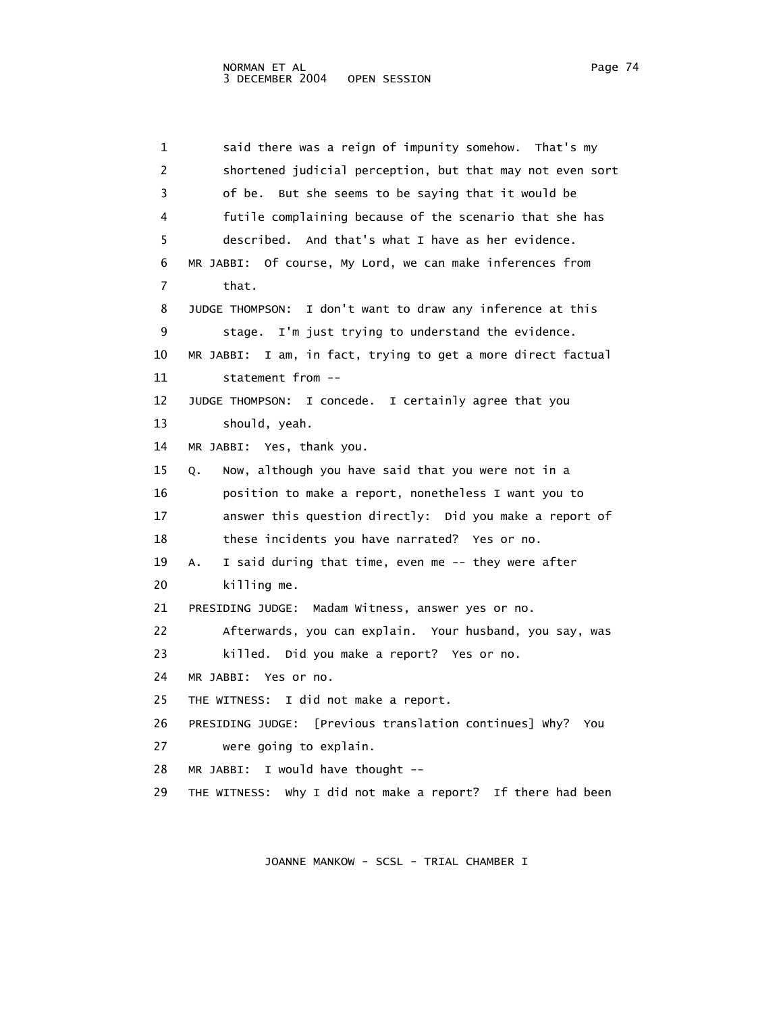1 said there was a reign of impunity somehow. That's my 2 shortened judicial perception, but that may not even sort 3 of be. But she seems to be saying that it would be 4 futile complaining because of the scenario that she has 5 described. And that's what I have as her evidence. 6 MR JABBI: Of course, My Lord, we can make inferences from 7 that. 8 JUDGE THOMPSON: I don't want to draw any inference at this 9 stage. I'm just trying to understand the evidence. 10 MR JABBI: I am, in fact, trying to get a more direct factual 11 statement from -- 12 JUDGE THOMPSON: I concede. I certainly agree that you 13 should, yeah. 14 MR JABBI: Yes, thank you. 15 Q. Now, although you have said that you were not in a 16 position to make a report, nonetheless I want you to 17 answer this question directly: Did you make a report of 18 these incidents you have narrated? Yes or no. 19 A. I said during that time, even me -- they were after 20 killing me. 21 PRESIDING JUDGE: Madam Witness, answer yes or no. 22 Afterwards, you can explain. Your husband, you say, was 23 killed. Did you make a report? Yes or no. 24 MR JABBI: Yes or no. 25 THE WITNESS: I did not make a report. 26 PRESIDING JUDGE: [Previous translation continues] Why? You 27 were going to explain. 28 MR JABBI: I would have thought -- 29 THE WITNESS: Why I did not make a report? If there had been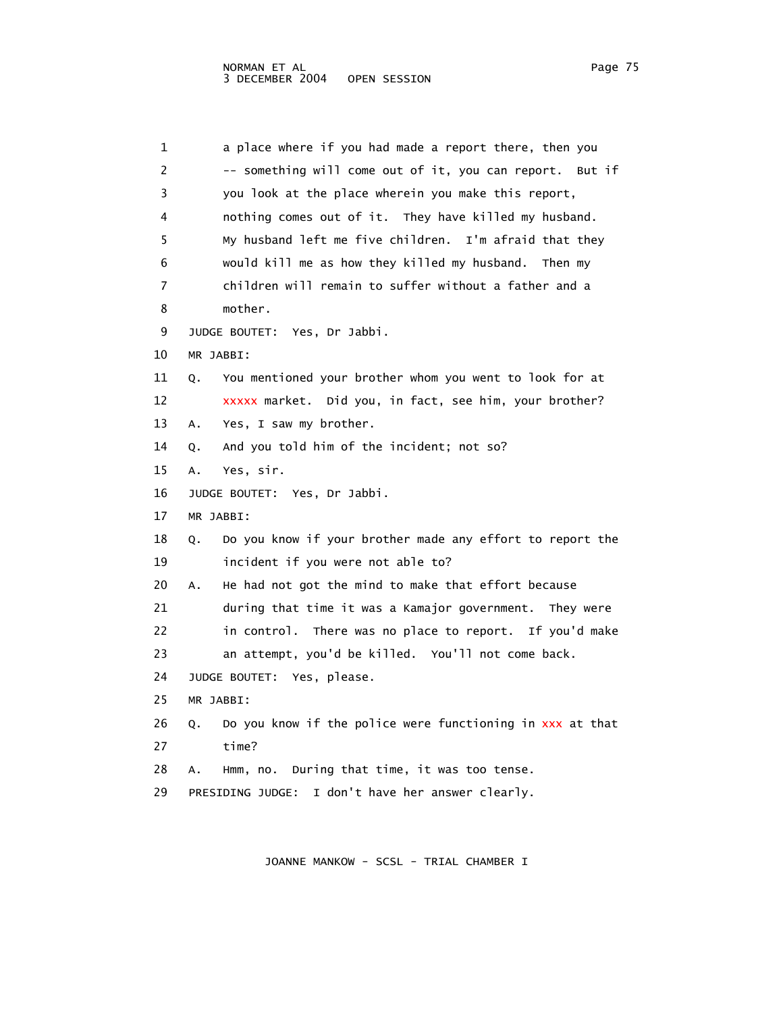| 1  | a place where if you had made a report there, then you          |
|----|-----------------------------------------------------------------|
| 2  | -- something will come out of it, you can report. But if        |
| 3  | you look at the place wherein you make this report,             |
| 4  | nothing comes out of it. They have killed my husband.           |
| 5  | My husband left me five children. I'm afraid that they          |
| 6  | would kill me as how they killed my husband. Then my            |
| 7  | children will remain to suffer without a father and a           |
| 8  | mother.                                                         |
| 9  | JUDGE BOUTET: Yes, Dr Jabbi.                                    |
| 10 | MR JABBI:                                                       |
| 11 | You mentioned your brother whom you went to look for at<br>Q.   |
| 12 | xxxxx market. Did you, in fact, see him, your brother?          |
| 13 | Yes, I saw my brother.<br>А.                                    |
| 14 | And you told him of the incident; not so?<br>Q.                 |
| 15 | Yes, sir.<br>А.                                                 |
| 16 | JUDGE BOUTET: Yes, Dr Jabbi.                                    |
| 17 | MR JABBI:                                                       |
| 18 | Do you know if your brother made any effort to report the<br>Q. |
| 19 | incident if you were not able to?                               |
| 20 | He had not got the mind to make that effort because<br>А.       |
| 21 | during that time it was a Kamajor government.<br>They were      |
| 22 | in control. There was no place to report. If you'd make         |
| 23 | an attempt, you'd be killed. You'll not come back.              |
| 24 | JUDGE BOUTET: Yes, please.                                      |
| 25 | MR JABBI:                                                       |
| 26 | Do you know if the police were functioning in xxx at that<br>Q. |
| 27 | time?                                                           |
| 28 | During that time, it was too tense.<br>Hmm, no.<br>А.           |
| 29 | I don't have her answer clearly.<br>PRESIDING JUDGE:            |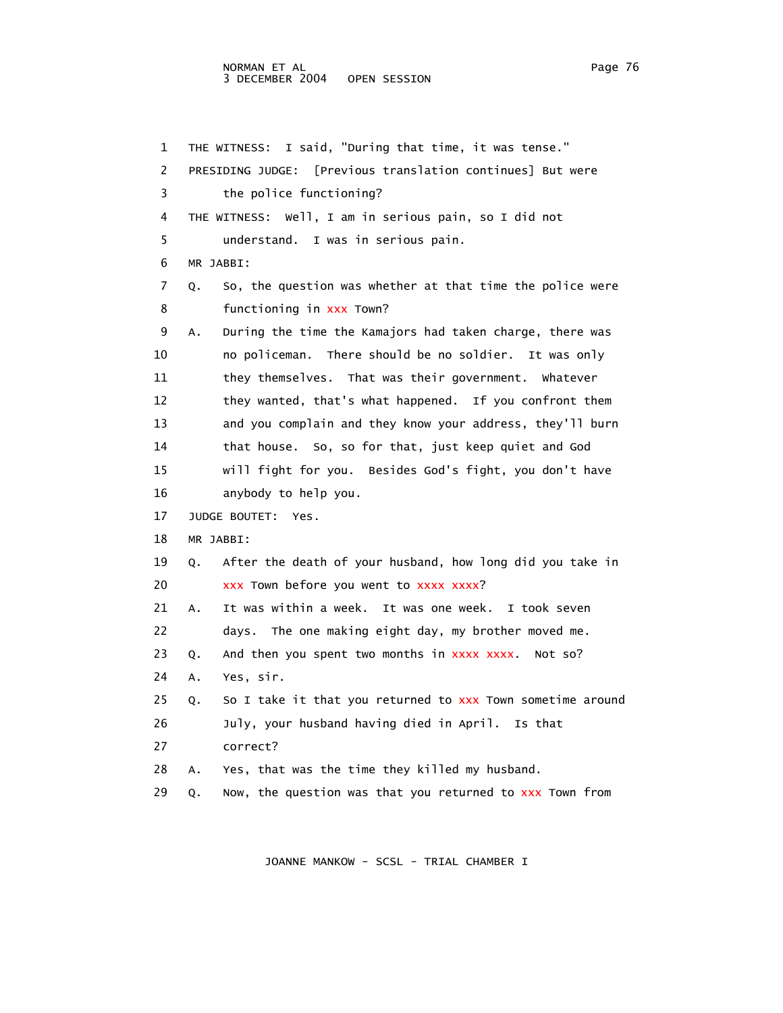## NORMAN ET AL Page 76 3 DECEMBER 2004 OPEN SESSION

 1 THE WITNESS: I said, "During that time, it was tense." 2 PRESIDING JUDGE: [Previous translation continues] But were 3 the police functioning? 4 THE WITNESS: Well, I am in serious pain, so I did not 5 understand. I was in serious pain. 6 MR JABBI: 7 Q. So, the question was whether at that time the police were 8 **functioning in xxx Town?**  9 A. During the time the Kamajors had taken charge, there was 10 no policeman. There should be no soldier. It was only 11 they themselves. That was their government. Whatever 12 they wanted, that's what happened. If you confront them 13 and you complain and they know your address, they'll burn 14 that house. So, so for that, just keep quiet and God 15 will fight for you. Besides God's fight, you don't have 16 anybody to help you. 17 JUDGE BOUTET: Yes. 18 MR JABBI: 19 Q. After the death of your husband, how long did you take in 20 xxx Town before you went to xxxx xxxx? 21 A. It was within a week. It was one week. I took seven 22 days. The one making eight day, my brother moved me. 23 Q. And then you spent two months in xxxx xxxx. Not so? 24 A. Yes, sir. 25 Q. So I take it that you returned to xxx Town sometime around 26 July, your husband having died in April. Is that 27 correct? 28 A. Yes, that was the time they killed my husband. 29 Q. Now, the question was that you returned to xxx Town from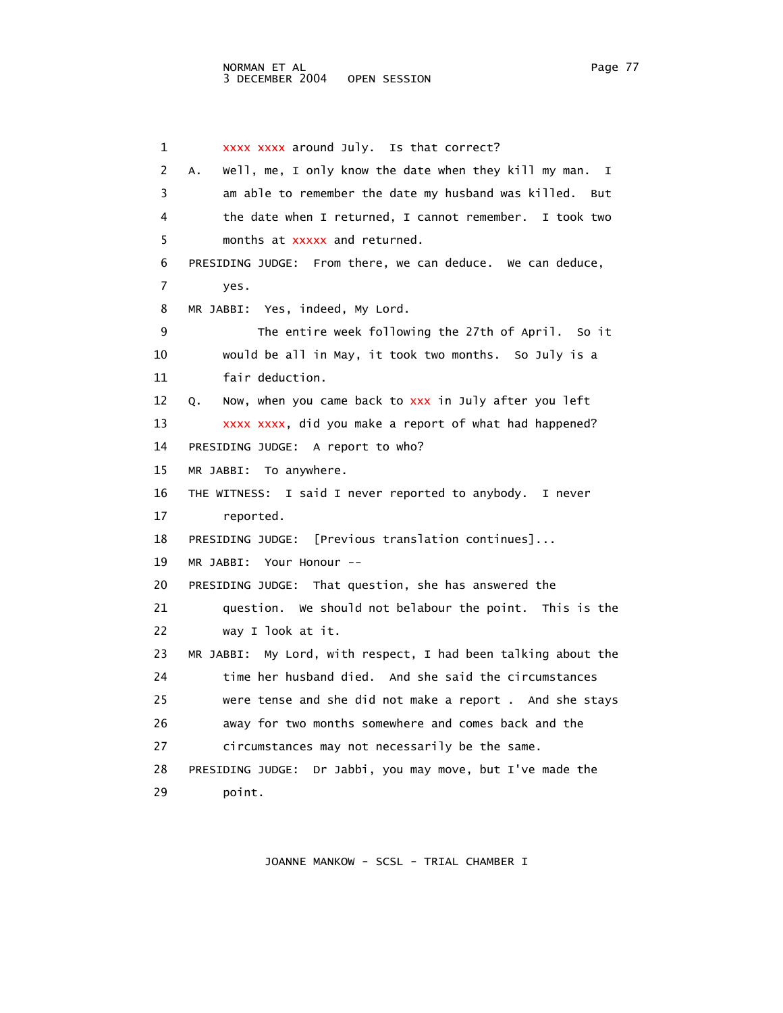1 xxxx xxxx around July. Is that correct? 2 A. Well, me, I only know the date when they kill my man. I 3 am able to remember the date my husband was killed. But 4 the date when I returned, I cannot remember. I took two 5 months at xxxxx and returned. 6 PRESIDING JUDGE: From there, we can deduce. We can deduce, 7 yes. 8 MR JABBI: Yes, indeed, My Lord. 9 The entire week following the 27th of April. So it 10 would be all in May, it took two months. So July is a 11 fair deduction. 12 Q. Now, when you came back to xxx in July after you left 13 xxxx xxxx, did you make a report of what had happened? 14 PRESIDING JUDGE: A report to who? 15 MR JABBI: To anywhere. 16 THE WITNESS: I said I never reported to anybody. I never 17 reported. 18 PRESIDING JUDGE: [Previous translation continues]... 19 MR JABBI: Your Honour -- 20 PRESIDING JUDGE: That question, she has answered the 21 question. We should not belabour the point. This is the 22 way I look at it. 23 MR JABBI: My Lord, with respect, I had been talking about the 24 time her husband died. And she said the circumstances 25 were tense and she did not make a report . And she stays 26 away for two months somewhere and comes back and the 27 circumstances may not necessarily be the same. 28 PRESIDING JUDGE: Dr Jabbi, you may move, but I've made the 29 point.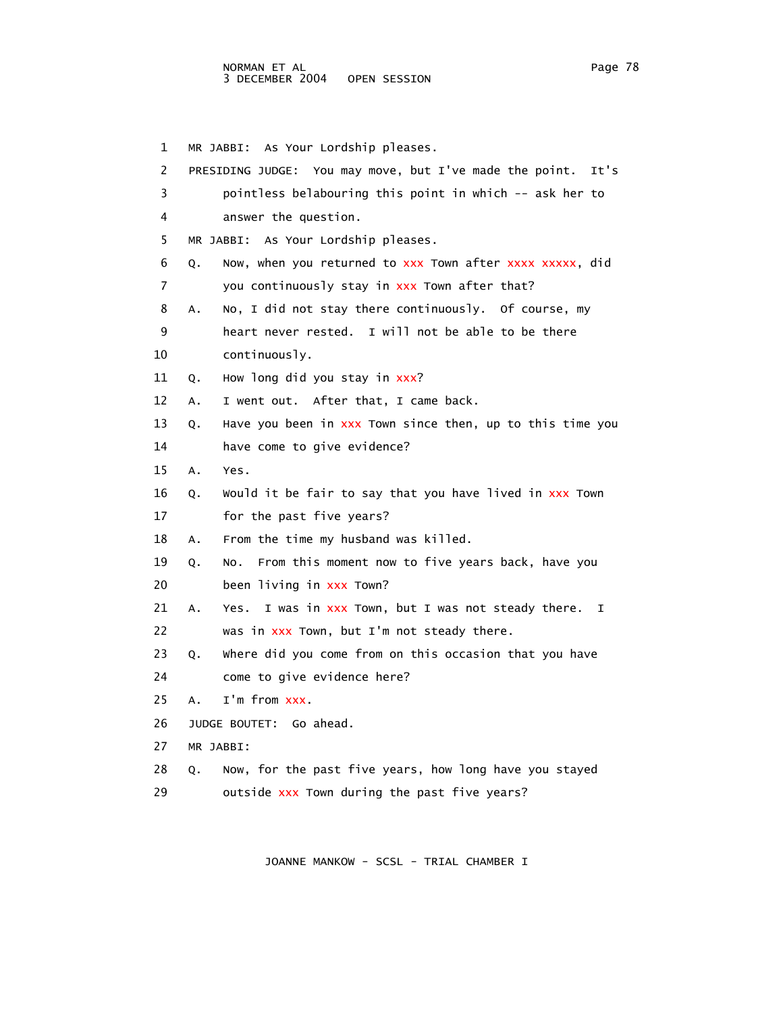## NORMAN ET AL Page 78 3 DECEMBER 2004 OPEN SESSION

 1 MR JABBI: As Your Lordship pleases. 2 PRESIDING JUDGE: You may move, but I've made the point. It's 3 pointless belabouring this point in which -- ask her to 4 answer the question. 5 MR JABBI: As Your Lordship pleases. 6 Q. Now, when you returned to xxx Town after xxxx xxxxx, did 7 you continuously stay in xxx Town after that? 8 A. No, I did not stay there continuously. Of course, my 9 heart never rested. I will not be able to be there 10 continuously. 11 Q. How long did you stay in xxx? 12 A. I went out. After that, I came back. 13 Q. Have you been in xxx Town since then, up to this time you 14 have come to give evidence? 15 A. Yes. 16 Q. Would it be fair to say that you have lived in xxx Town 17 for the past five years? 18 A. From the time my husband was killed. 19 Q. No. From this moment now to five years back, have you 20 been living in xxx Town? 21 A. Yes. I was in xxx Town, but I was not steady there. I 22 was in xxx Town, but I'm not steady there. 23 Q. Where did you come from on this occasion that you have 24 come to give evidence here? 25 A. I'm from xxx. 26 JUDGE BOUTET: Go ahead. 27 MR JABBI: 28 Q. Now, for the past five years, how long have you stayed 29 outside xxx Town during the past five years?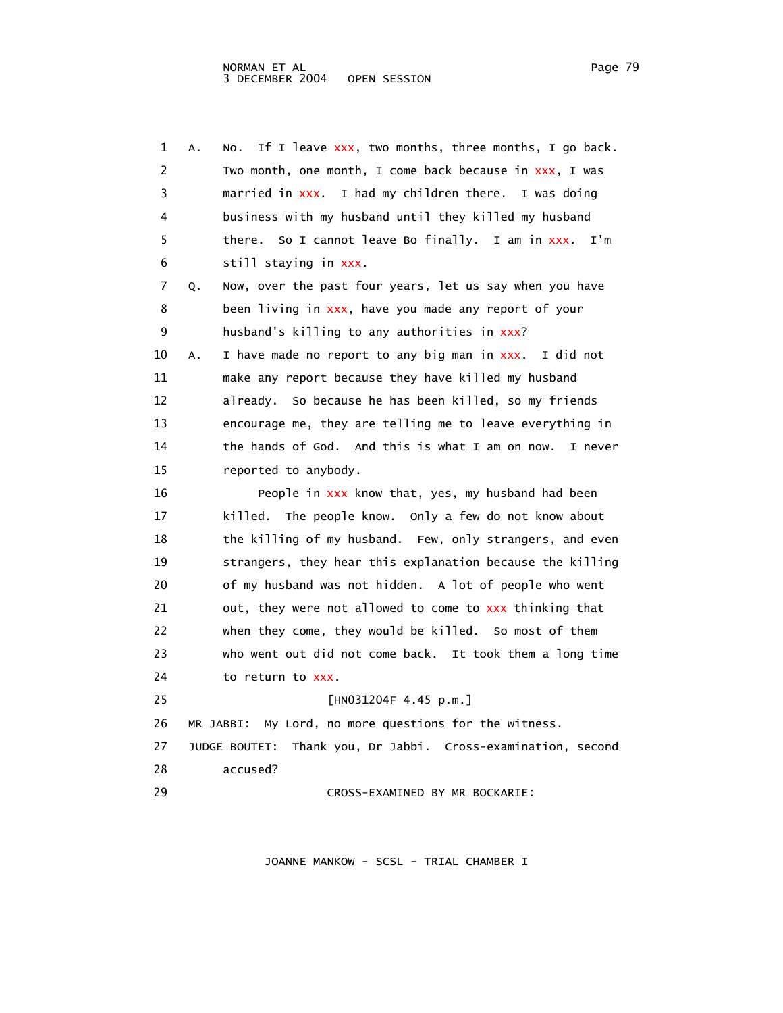| 1  | If I leave xxx, two months, three months, I go back.<br>Α.<br>NO. |
|----|-------------------------------------------------------------------|
| 2  | Two month, one month, I come back because in xxx, I was           |
| 3  | married in xxx. I had my children there. I was doing              |
| 4  | business with my husband until they killed my husband             |
| 5  | there. So I cannot leave Bo finally. I am in xxx.<br>I'm          |
| 6  | still staying in xxx.                                             |
| 7  | Now, over the past four years, let us say when you have<br>Q.     |
| 8  | been living in xxx, have you made any report of your              |
| 9  | husband's killing to any authorities in xxx?                      |
| 10 | I have made no report to any big man in xxx. I did not<br>А.      |
| 11 | make any report because they have killed my husband               |
| 12 | already. So because he has been killed, so my friends             |
| 13 | encourage me, they are telling me to leave everything in          |
| 14 | the hands of God. And this is what I am on now.<br>I never        |
| 15 | reported to anybody.                                              |
| 16 | People in xxx know that, yes, my husband had been                 |
| 17 | killed. The people know. Only a few do not know about             |
| 18 | the killing of my husband. Few, only strangers, and even          |
| 19 | strangers, they hear this explanation because the killing         |
| 20 | of my husband was not hidden. A lot of people who went            |
| 21 | out, they were not allowed to come to xxx thinking that           |
| 22 | when they come, they would be killed. So most of them             |
| 23 | who went out did not come back. It took them a long time          |
| 24 | to return to XXX.                                                 |
| 25 | [HN031204F 4.45 p.m.]                                             |
| 26 | My Lord, no more questions for the witness.<br>MR JABBI:          |
| 27 | Thank you, Dr Jabbi. Cross-examination, second<br>JUDGE BOUTET:   |
| 28 | accused?                                                          |
| 29 | CROSS-EXAMINED BY MR BOCKARIE:                                    |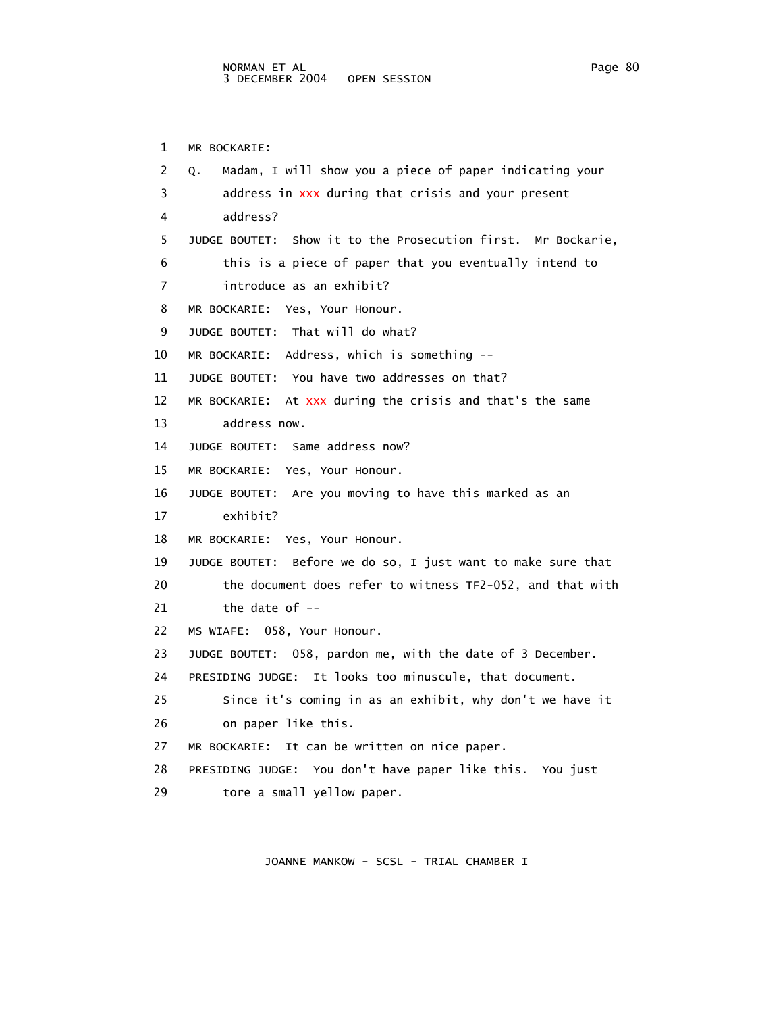1 MR BOCKARIE: 2 Q. Madam, I will show you a piece of paper indicating your 3 address in xxx during that crisis and your present 4 address? 5 JUDGE BOUTET: Show it to the Prosecution first. Mr Bockarie, 6 this is a piece of paper that you eventually intend to 7 introduce as an exhibit? 8 MR BOCKARIE: Yes, Your Honour. 9 JUDGE BOUTET: That will do what? 10 MR BOCKARIE: Address, which is something -- 11 JUDGE BOUTET: You have two addresses on that? 12 MR BOCKARIE: At xxx during the crisis and that's the same 13 address now. 14 JUDGE BOUTET: Same address now? 15 MR BOCKARIE: Yes, Your Honour. 16 JUDGE BOUTET: Are you moving to have this marked as an 17 exhibit? 18 MR BOCKARIE: Yes, Your Honour. 19 JUDGE BOUTET: Before we do so, I just want to make sure that 20 the document does refer to witness TF2-052, and that with 21 the date of -- 22 MS WIAFE: 058, Your Honour. 23 JUDGE BOUTET: 058, pardon me, with the date of 3 December. 24 PRESIDING JUDGE: It looks too minuscule, that document. 25 Since it's coming in as an exhibit, why don't we have it 26 on paper like this. 27 MR BOCKARIE: It can be written on nice paper. 28 PRESIDING JUDGE: You don't have paper like this. You just 29 tore a small yellow paper.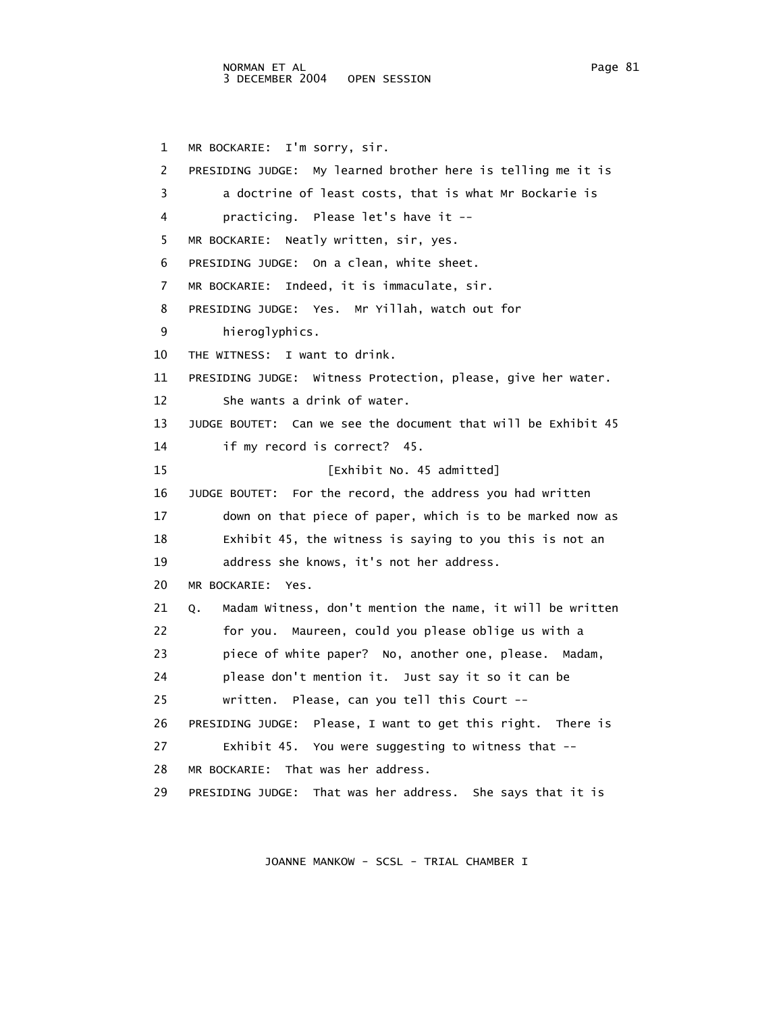1 MR BOCKARIE: I'm sorry, sir. 2 PRESIDING JUDGE: My learned brother here is telling me it is 3 a doctrine of least costs, that is what Mr Bockarie is 4 practicing. Please let's have it -- 5 MR BOCKARIE: Neatly written, sir, yes. 6 PRESIDING JUDGE: On a clean, white sheet. 7 MR BOCKARIE: Indeed, it is immaculate, sir. 8 PRESIDING JUDGE: Yes. Mr Yillah, watch out for 9 hieroglyphics. 10 THE WITNESS: I want to drink. 11 PRESIDING JUDGE: Witness Protection, please, give her water. 12 She wants a drink of water. 13 JUDGE BOUTET: Can we see the document that will be Exhibit 45 14 if my record is correct? 45. 15 [Exhibit No. 45 admitted] 16 JUDGE BOUTET: For the record, the address you had written 17 down on that piece of paper, which is to be marked now as 18 Exhibit 45, the witness is saying to you this is not an 19 address she knows, it's not her address. 20 MR BOCKARIE: Yes. 21 Q. Madam Witness, don't mention the name, it will be written 22 for you. Maureen, could you please oblige us with a 23 piece of white paper? No, another one, please. Madam, 24 please don't mention it. Just say it so it can be 25 written. Please, can you tell this Court -- 26 PRESIDING JUDGE: Please, I want to get this right. There is 27 Exhibit 45. You were suggesting to witness that -- 28 MR BOCKARIE: That was her address. 29 PRESIDING JUDGE: That was her address. She says that it is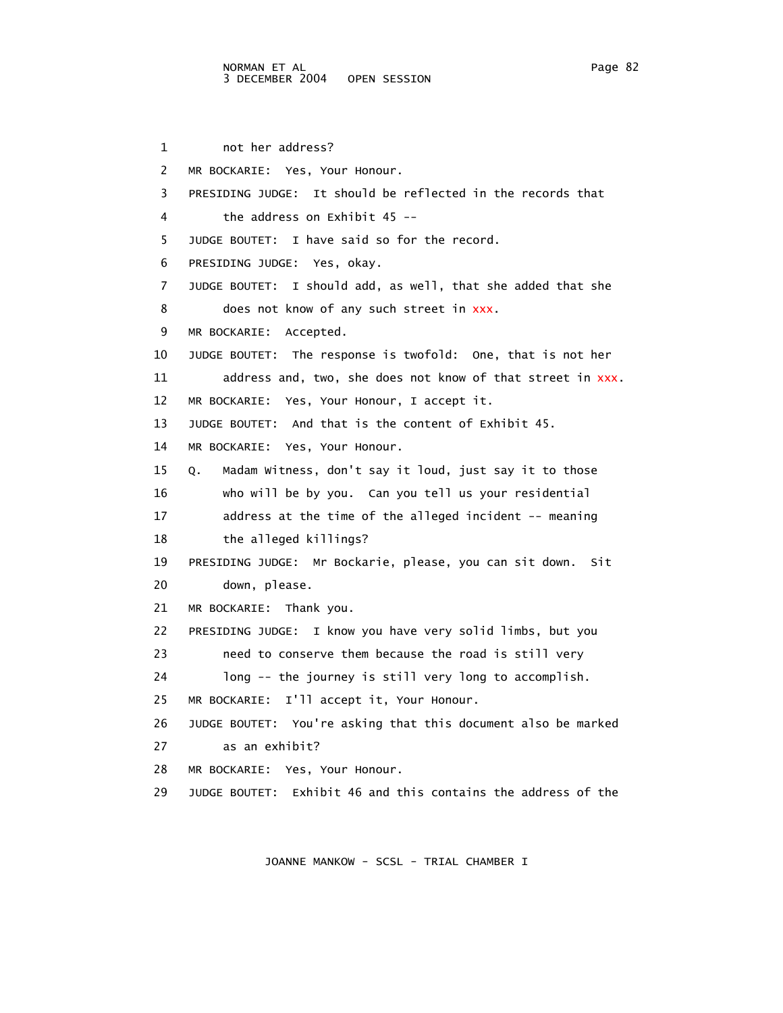1 not her address? 2 MR BOCKARIE: Yes, Your Honour. 3 PRESIDING JUDGE: It should be reflected in the records that 4 the address on Exhibit 45 -- 5 JUDGE BOUTET: I have said so for the record. 6 PRESIDING JUDGE: Yes, okay. 7 JUDGE BOUTET: I should add, as well, that she added that she 8 does not know of any such street in xxx. 9 MR BOCKARIE: Accepted. 10 JUDGE BOUTET: The response is twofold: One, that is not her 11 address and, two, she does not know of that street in xxx. 12 MR BOCKARIE: Yes, Your Honour, I accept it. 13 JUDGE BOUTET: And that is the content of Exhibit 45. 14 MR BOCKARIE: Yes, Your Honour. 15 Q. Madam Witness, don't say it loud, just say it to those 16 who will be by you. Can you tell us your residential 17 address at the time of the alleged incident -- meaning 18 the alleged killings? 19 PRESIDING JUDGE: Mr Bockarie, please, you can sit down. Sit 20 down, please. 21 MR BOCKARIE: Thank you. 22 PRESIDING JUDGE: I know you have very solid limbs, but you 23 need to conserve them because the road is still very 24 long -- the journey is still very long to accomplish. 25 MR BOCKARIE: I'll accept it, Your Honour. 26 JUDGE BOUTET: You're asking that this document also be marked 27 as an exhibit? 28 MR BOCKARIE: Yes, Your Honour. 29 JUDGE BOUTET: Exhibit 46 and this contains the address of the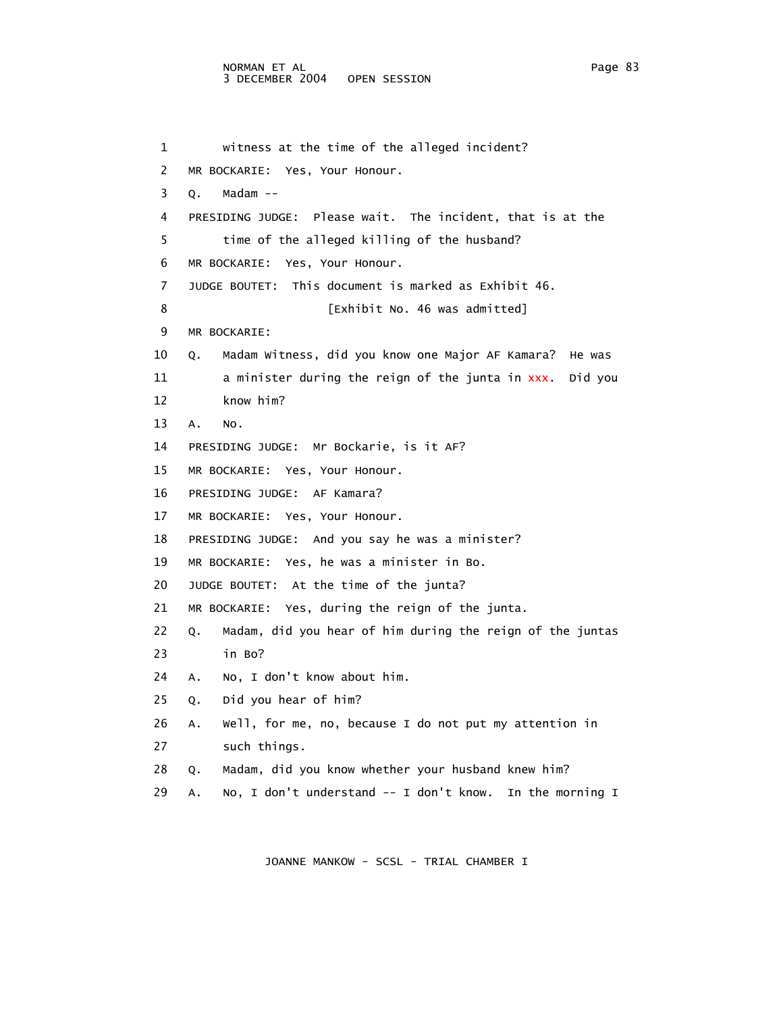1 witness at the time of the alleged incident? 2 MR BOCKARIE: Yes, Your Honour. 3 Q. Madam -- 4 PRESIDING JUDGE: Please wait. The incident, that is at the 5 time of the alleged killing of the husband? 6 MR BOCKARIE: Yes, Your Honour. 7 JUDGE BOUTET: This document is marked as Exhibit 46. 8 [Exhibit No. 46 was admitted] 9 MR BOCKARIE: 10 Q. Madam Witness, did you know one Major AF Kamara? He was 11 a minister during the reign of the junta in xxx. Did you 12 know him? 13 A. No. 14 PRESIDING JUDGE: Mr Bockarie, is it AF? 15 MR BOCKARIE: Yes, Your Honour. 16 PRESIDING JUDGE: AF Kamara? 17 MR BOCKARIE: Yes, Your Honour. 18 PRESIDING JUDGE: And you say he was a minister? 19 MR BOCKARIE: Yes, he was a minister in Bo. 20 JUDGE BOUTET: At the time of the junta? 21 MR BOCKARIE: Yes, during the reign of the junta. 22 Q. Madam, did you hear of him during the reign of the juntas 23 in Bo? 24 A. No, I don't know about him. 25 Q. Did you hear of him? 26 A. Well, for me, no, because I do not put my attention in 27 such things. 28 Q. Madam, did you know whether your husband knew him? 29 A. No, I don't understand -- I don't know. In the morning I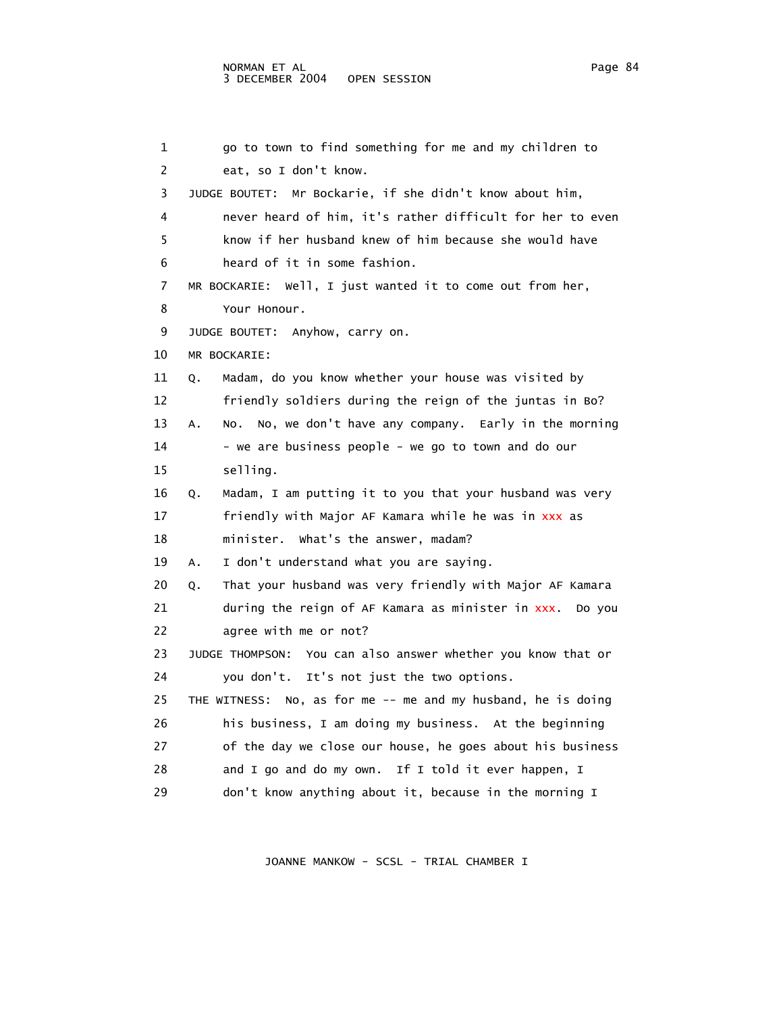```
 1 go to town to find something for me and my children to 
 2 eat, so I don't know. 
 3 JUDGE BOUTET: Mr Bockarie, if she didn't know about him, 
 4 never heard of him, it's rather difficult for her to even 
  5 know if her husband knew of him because she would have 
 6 heard of it in some fashion. 
 7 MR BOCKARIE: Well, I just wanted it to come out from her, 
 8 Your Honour. 
 9 JUDGE BOUTET: Anyhow, carry on. 
 10 MR BOCKARIE: 
 11 Q. Madam, do you know whether your house was visited by 
 12 friendly soldiers during the reign of the juntas in Bo? 
 13 A. No. No, we don't have any company. Early in the morning 
14 - we are business people - we go to town and do our
 15 selling. 
 16 Q. Madam, I am putting it to you that your husband was very 
 17 friendly with Major AF Kamara while he was in xxx as 
 18 minister. What's the answer, madam? 
 19 A. I don't understand what you are saying. 
 20 Q. That your husband was very friendly with Major AF Kamara 
 21 during the reign of AF Kamara as minister in xxx. Do you 
 22 agree with me or not? 
 23 JUDGE THOMPSON: You can also answer whether you know that or 
 24 you don't. It's not just the two options. 
25 THE WITNESS: No, as for me -- me and my husband, he is doing
 26 his business, I am doing my business. At the beginning 
 27 of the day we close our house, he goes about his business 
28 and I go and do my own. If I told it ever happen, I
 29 don't know anything about it, because in the morning I
```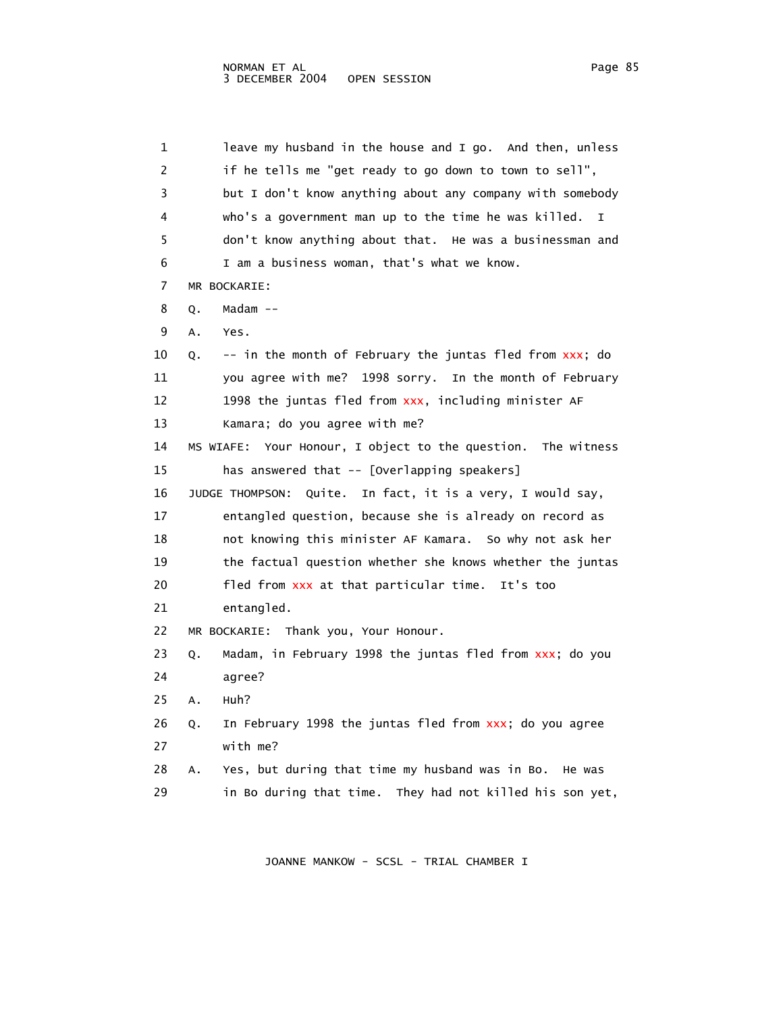1 leave my husband in the house and I go. And then, unless 2 if he tells me "get ready to go down to town to sell", 3 but I don't know anything about any company with somebody 4 who's a government man up to the time he was killed. I 5 don't know anything about that. He was a businessman and 6 I am a business woman, that's what we know. 7 MR BOCKARIE: 8 Q. Madam -- 9 A. Yes. 10 Q. -- in the month of February the juntas fled from xxx; do 11 you agree with me? 1998 sorry. In the month of February 12 1998 the juntas fled from xxx, including minister AF 13 Kamara; do you agree with me? 14 MS WIAFE: Your Honour, I object to the question. The witness 15 has answered that -- [Overlapping speakers] 16 JUDGE THOMPSON: Quite. In fact, it is a very, I would say, 17 entangled question, because she is already on record as 18 not knowing this minister AF Kamara. So why not ask her 19 the factual question whether she knows whether the juntas 20 fled from xxx at that particular time. It's too 21 entangled. 22 MR BOCKARIE: Thank you, Your Honour. 23 Q. Madam, in February 1998 the juntas fled from xxx; do you 24 agree? 25 A. Huh? 26 Q. In February 1998 the juntas fled from xxx; do you agree 27 with me? 28 A. Yes, but during that time my husband was in Bo. He was 29 in Bo during that time. They had not killed his son yet,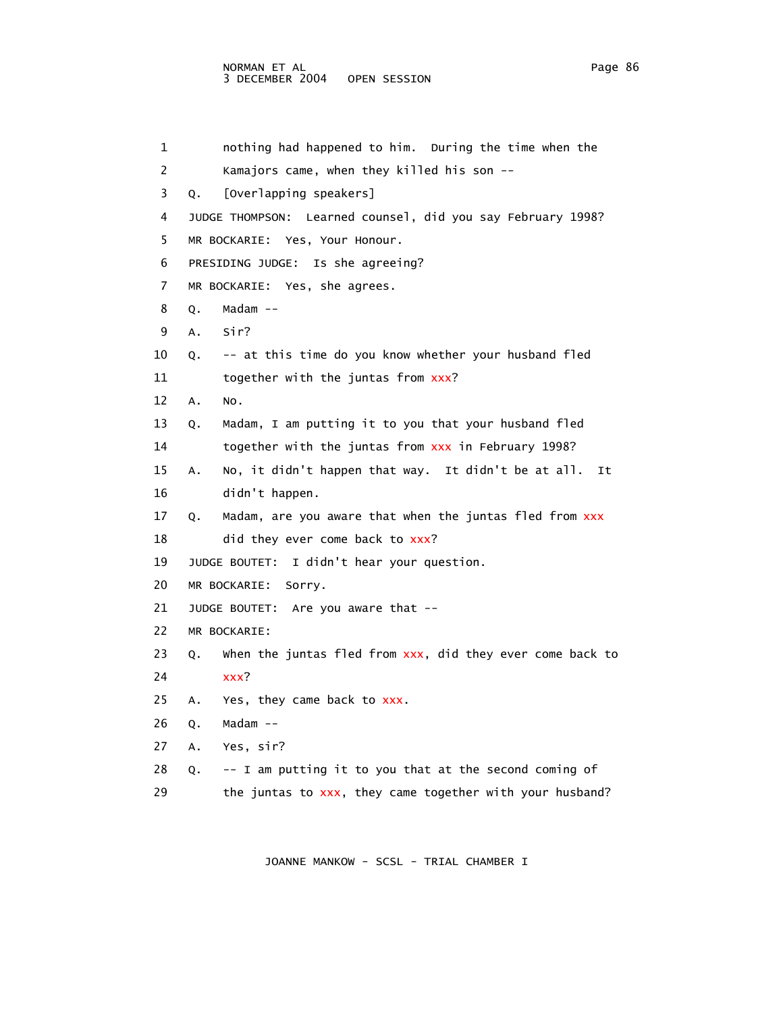## NORMAN ET AL **Page 86** 3 DECEMBER 2004 OPEN SESSION

 1 nothing had happened to him. During the time when the 2 Kamajors came, when they killed his son -- 3 Q. [Overlapping speakers] 4 JUDGE THOMPSON: Learned counsel, did you say February 1998? 5 MR BOCKARIE: Yes, Your Honour. 6 PRESIDING JUDGE: Is she agreeing? 7 MR BOCKARIE: Yes, she agrees. 8 Q. Madam -- 9 A. Sir? 10 Q. -- at this time do you know whether your husband fled 11 together with the juntas from xxx? 12 A. No. 13 Q. Madam, I am putting it to you that your husband fled 14 together with the juntas from xxx in February 1998? 15 A. No, it didn't happen that way. It didn't be at all. It 16 didn't happen. 17 Q. Madam, are you aware that when the juntas fled from xxx 18 did they ever come back to xxx? 19 JUDGE BOUTET: I didn't hear your question. 20 MR BOCKARIE: Sorry. 21 JUDGE BOUTET: Are you aware that -- 22 MR BOCKARIE: 23 Q. When the juntas fled from  $xxx$ , did they ever come back to 24 xxx? 25 A. Yes, they came back to xxx. 26 Q. Madam -- 27 A. Yes, sir? 28 Q. -- I am putting it to you that at the second coming of 29 the juntas to xxx, they came together with your husband?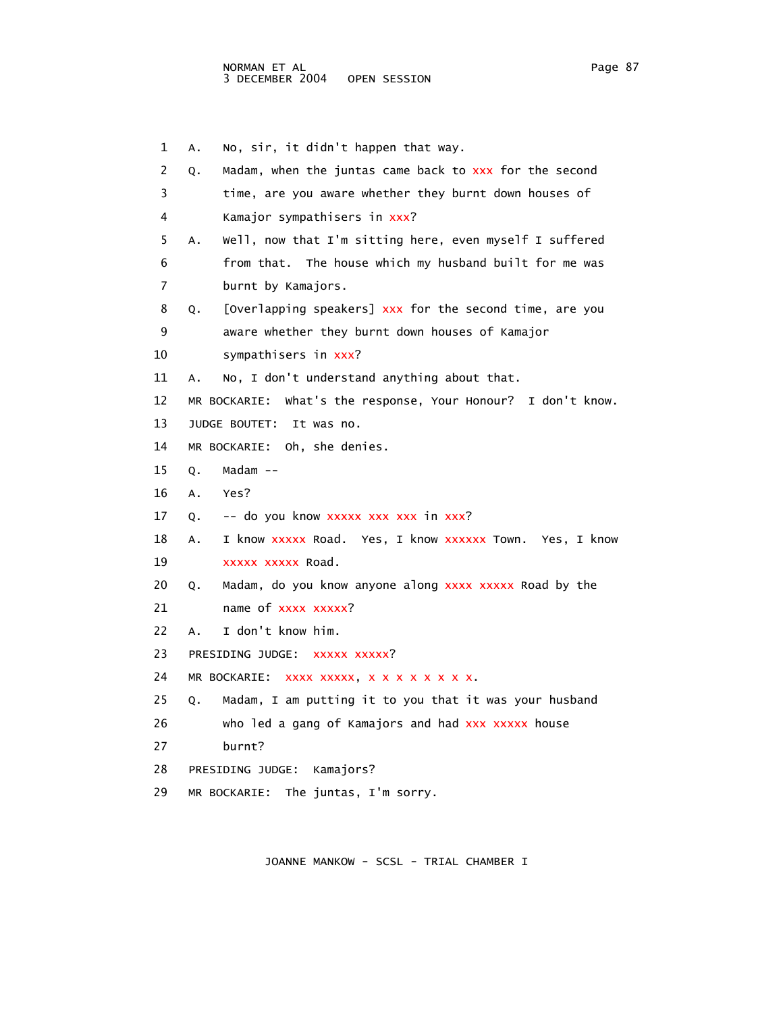1 A. No, sir, it didn't happen that way. 2 Q. Madam, when the juntas came back to xxx for the second 3 time, are you aware whether they burnt down houses of 4 Kamajor sympathisers in xxx? 5 A. Well, now that I'm sitting here, even myself I suffered 6 from that. The house which my husband built for me was 7 burnt by Kamajors. 8 Q. [Overlapping speakers] xxx for the second time, are you 9 aware whether they burnt down houses of Kamajor 10 sympathisers in xxx? 11 A. No, I don't understand anything about that. 12 MR BOCKARIE: What's the response, Your Honour? I don't know. 13 JUDGE BOUTET: It was no. 14 MR BOCKARIE: Oh, she denies. 15 Q. Madam -- 16 A. Yes? 17 Q. -- do you know xxxxx xxx xxx in xxx? 18 A. I know xxxxx Road. Yes, I know xxxxxx Town. Yes, I know 19 xxxxx xxxxx Road. 20 Q. Madam, do you know anyone along xxxx xxxxx Road by the 21 name of xxxx xxxxx? 22 A. I don't know him. 23 PRESIDING JUDGE: XXXXX XXXXX? 24 MR BOCKARIE: xxxx xxxxx, x x x x x x x x. 25 Q. Madam, I am putting it to you that it was your husband 26 who led a gang of Kamajors and had xxx xxxxx house 27 burnt? 28 PRESIDING JUDGE: Kamajors? 29 MR BOCKARIE: The juntas, I'm sorry.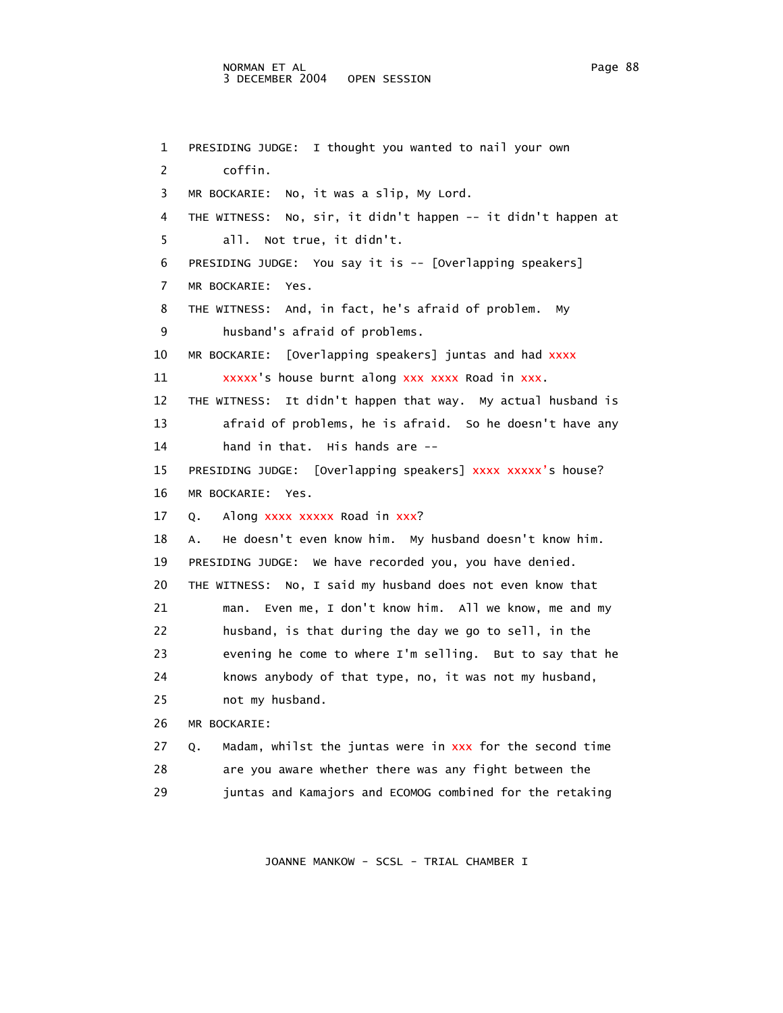#### NORMAN ET AL Page 88 3 DECEMBER 2004 OPEN SESSION

 1 PRESIDING JUDGE: I thought you wanted to nail your own 2 coffin. 3 MR BOCKARIE: No, it was a slip, My Lord. 4 THE WITNESS: No, sir, it didn't happen -- it didn't happen at 5 all. Not true, it didn't. 6 PRESIDING JUDGE: You say it is -- [Overlapping speakers] 7 MR BOCKARIE: Yes. 8 THE WITNESS: And, in fact, he's afraid of problem. My 9 husband's afraid of problems. 10 MR BOCKARIE: [Overlapping speakers] juntas and had xxxx 11 xxxxx's house burnt along xxx xxxx Road in xxx. 12 THE WITNESS: It didn't happen that way. My actual husband is 13 afraid of problems, he is afraid. So he doesn't have any 14 hand in that. His hands are -- 15 PRESIDING JUDGE: [Overlapping speakers] xxxx xxxxx's house? 16 MR BOCKARIE: Yes. 17 Q. Along xxxx xxxxx Road in xxx? 18 A. He doesn't even know him. My husband doesn't know him. 19 PRESIDING JUDGE: We have recorded you, you have denied. 20 THE WITNESS: No, I said my husband does not even know that 21 man. Even me, I don't know him. All we know, me and my 22 husband, is that during the day we go to sell, in the 23 evening he come to where I'm selling. But to say that he 24 knows anybody of that type, no, it was not my husband, 25 not my husband. 26 MR BOCKARIE: 27 Q. Madam, whilst the juntas were in xxx for the second time 28 are you aware whether there was any fight between the 29 juntas and Kamajors and ECOMOG combined for the retaking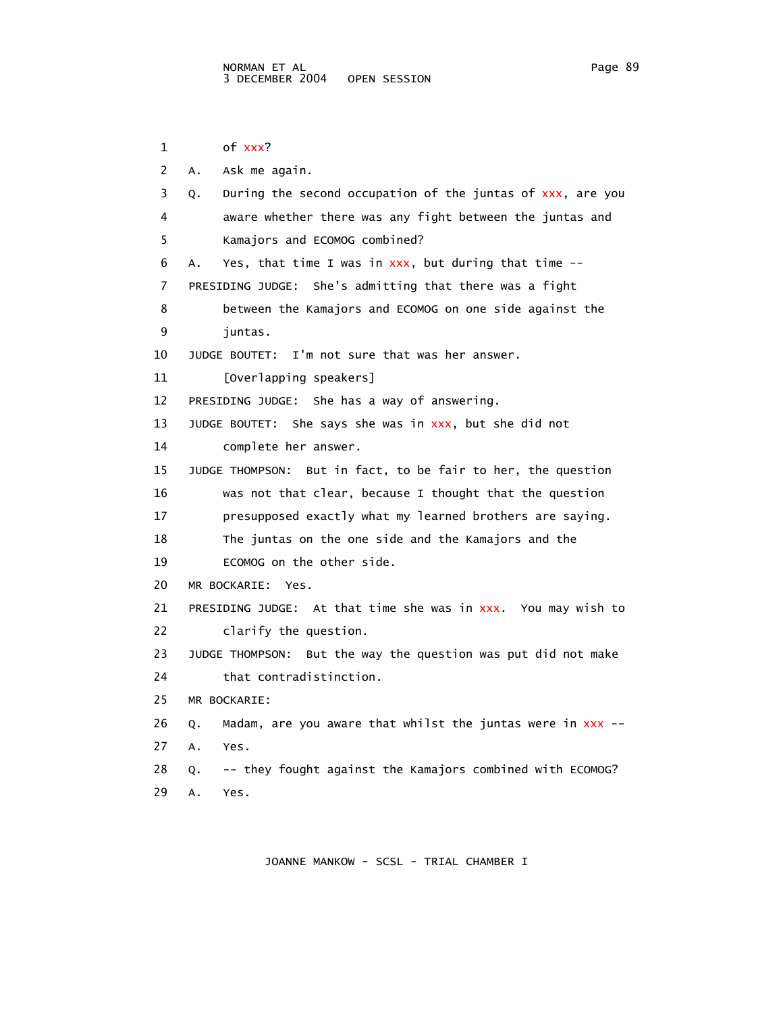1 of xxx? 2 A. Ask me again. 3 Q. During the second occupation of the juntas of xxx, are you 4 aware whether there was any fight between the juntas and 5 Kamajors and ECOMOG combined? 6 A. Yes, that time I was in  $xxx$ , but during that time  $-$  7 PRESIDING JUDGE: She's admitting that there was a fight 8 between the Kamajors and ECOMOG on one side against the 9 juntas. 10 JUDGE BOUTET: I'm not sure that was her answer. 11 [Overlapping speakers] 12 PRESIDING JUDGE: She has a way of answering. 13 JUDGE BOUTET: She says she was in xxx, but she did not 14 complete her answer. 15 JUDGE THOMPSON: But in fact, to be fair to her, the question 16 was not that clear, because I thought that the question 17 presupposed exactly what my learned brothers are saying. 18 The juntas on the one side and the Kamajors and the 19 ECOMOG on the other side. 20 MR BOCKARIE: Yes. 21 PRESIDING JUDGE: At that time she was in xxx. You may wish to 22 clarify the question. 23 JUDGE THOMPSON: But the way the question was put did not make 24 that contradistinction. 25 MR BOCKARIE: 26 Q. Madam, are you aware that whilst the juntas were in xxx -- 27 A. Yes. 28 Q. -- they fought against the Kamajors combined with ECOMOG? 29 A. Yes.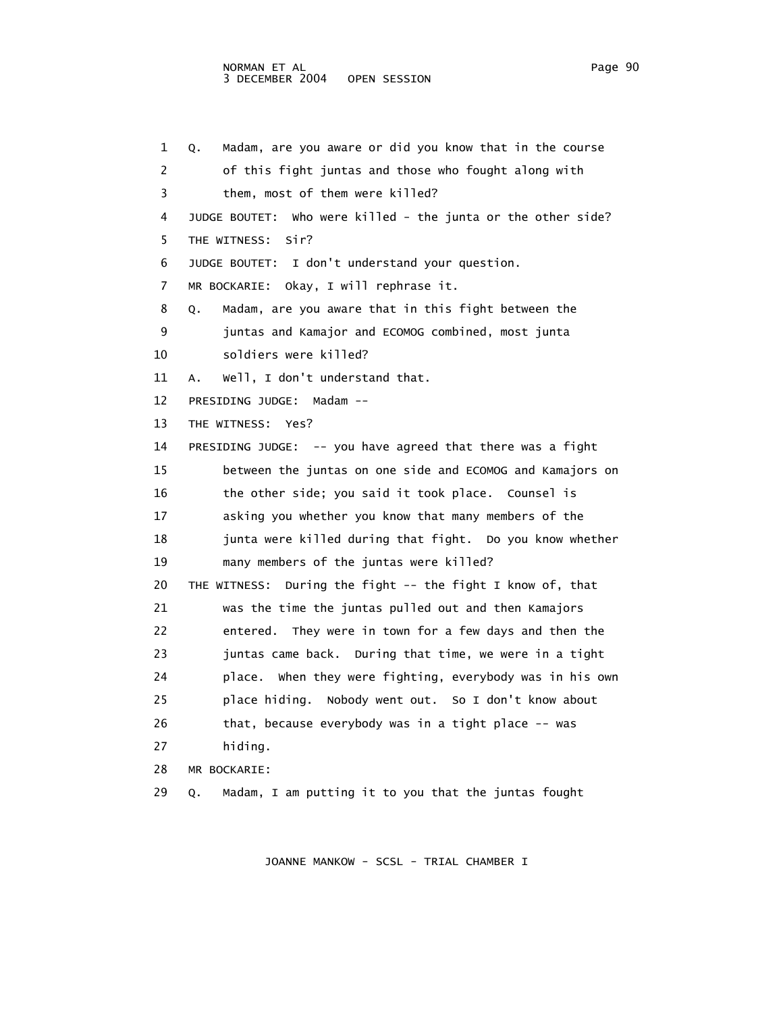1 Q. Madam, are you aware or did you know that in the course 2 of this fight juntas and those who fought along with 3 them, most of them were killed? 4 JUDGE BOUTET: Who were killed - the junta or the other side? 5 THE WITNESS: Sir? 6 JUDGE BOUTET: I don't understand your question. 7 MR BOCKARIE: Okay, I will rephrase it. 8 Q. Madam, are you aware that in this fight between the 9 juntas and Kamajor and ECOMOG combined, most junta 10 soldiers were killed? 11 A. Well, I don't understand that. 12 PRESIDING JUDGE: Madam -- 13 THE WITNESS: Yes? 14 PRESIDING JUDGE: -- you have agreed that there was a fight 15 between the juntas on one side and ECOMOG and Kamajors on 16 the other side; you said it took place. Counsel is 17 asking you whether you know that many members of the 18 junta were killed during that fight. Do you know whether 19 many members of the juntas were killed? 20 THE WITNESS: During the fight -- the fight I know of, that 21 was the time the juntas pulled out and then Kamajors 22 entered. They were in town for a few days and then the 23 juntas came back. During that time, we were in a tight 24 place. When they were fighting, everybody was in his own 25 place hiding. Nobody went out. So I don't know about 26 that, because everybody was in a tight place -- was 27 hiding. 28 MR BOCKARIE: 29 Q. Madam, I am putting it to you that the juntas fought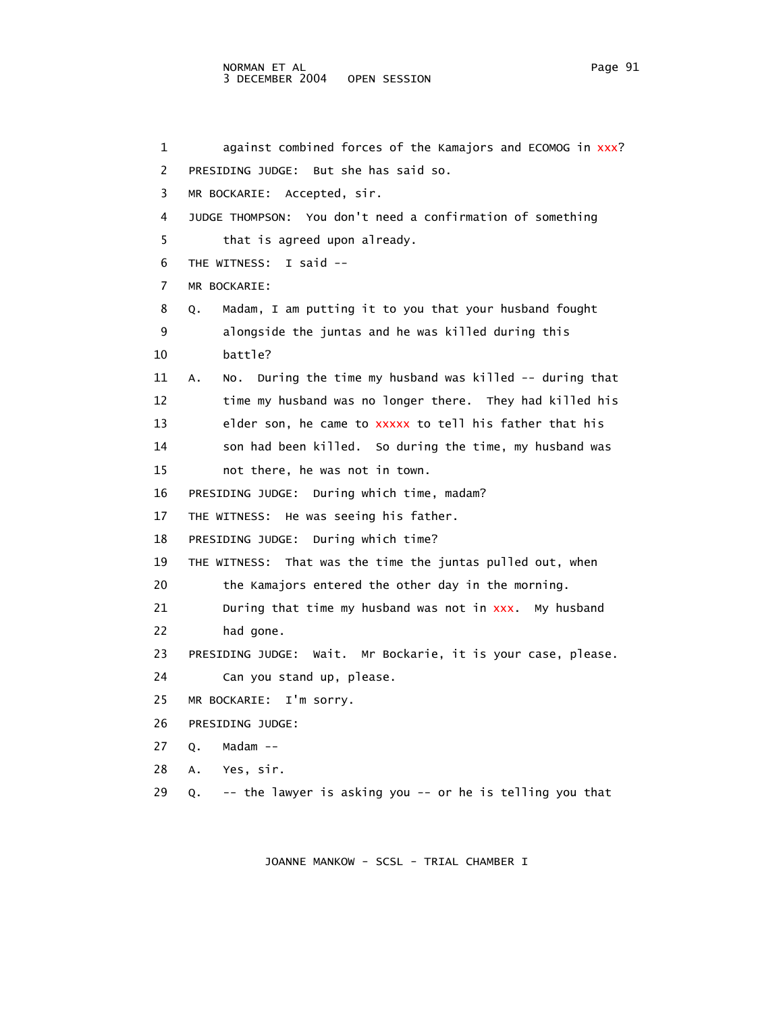1 against combined forces of the Kamajors and ECOMOG in xxx? 2 PRESIDING JUDGE: But she has said so. 3 MR BOCKARIE: Accepted, sir. 4 JUDGE THOMPSON: You don't need a confirmation of something 5 that is agreed upon already. 6 THE WITNESS: I said -- 7 MR BOCKARIE: 8 Q. Madam, I am putting it to you that your husband fought 9 alongside the juntas and he was killed during this 10 battle? 11 A. No. During the time my husband was killed -- during that 12 time my husband was no longer there. They had killed his 13 elder son, he came to tell his father that his xxxxx to 14 son had been killed. So during the time, my husband was 15 not there, he was not in town. 16 PRESIDING JUDGE: During which time, madam? 17 THE WITNESS: He was seeing his father. 18 PRESIDING JUDGE: During which time? 19 THE WITNESS: That was the time the juntas pulled out, when 20 the Kamajors entered the other day in the morning. 21  $\hspace{15mm}$  During that time my husband was not in  $xxx$ . My husband 22 had gone. 23 PRESIDING JUDGE: Wait. Mr Bockarie, it is your case, please. 24 Can you stand up, please. 25 MR BOCKARIE: I'm sorry. 26 PRESIDING JUDGE: 27 Q. Madam -- 28 A. Yes, sir. 29 Q. -- the lawyer is asking you -- or he is telling you that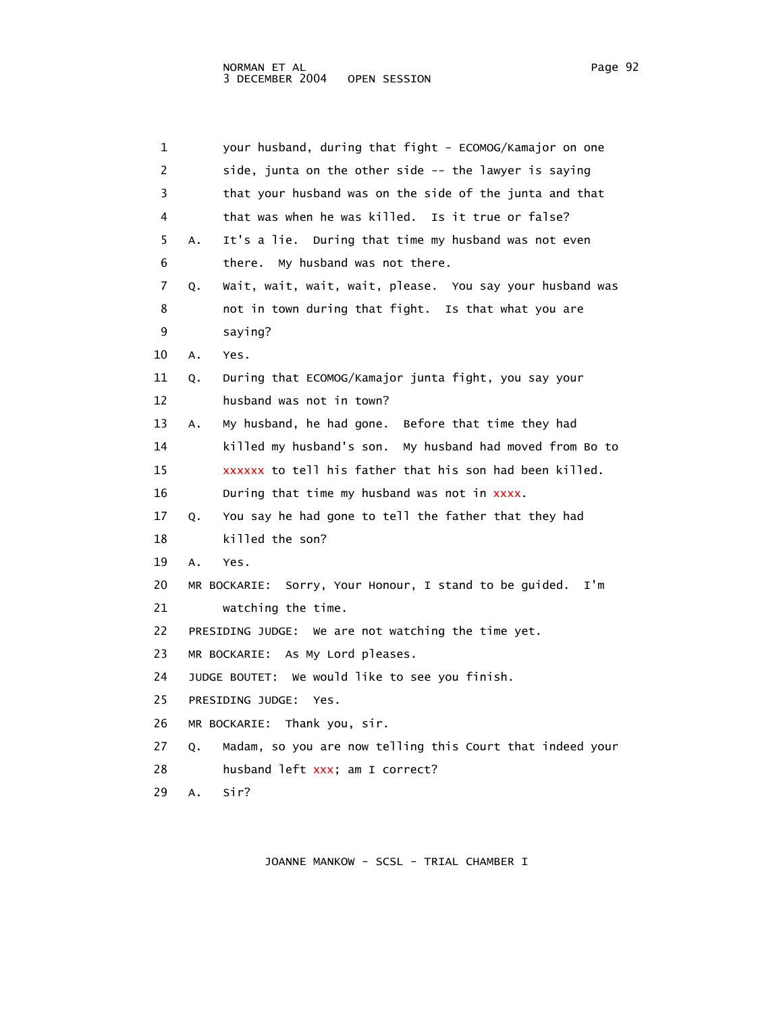| 1  | your husband, during that fight - ECOMOG/Kamajor on one          |
|----|------------------------------------------------------------------|
| 2  | side, junta on the other side -- the lawyer is saying            |
| 3  | that your husband was on the side of the junta and that          |
| 4  | that was when he was killed. Is it true or false?                |
| 5  | It's a lie. During that time my husband was not even<br>Α.       |
| 6  | there. My husband was not there.                                 |
| 7  | Wait, wait, wait, wait, please. You say your husband was<br>Q.   |
| 8  | not in town during that fight. Is that what you are              |
| 9  | saying?                                                          |
| 10 | Yes.<br>Α.                                                       |
| 11 | During that ECOMOG/Kamajor junta fight, you say your<br>Q.       |
| 12 | husband was not in town?                                         |
| 13 | My husband, he had gone. Before that time they had<br>Α.         |
| 14 | killed my husband's son. My husband had moved from Bo to         |
| 15 | xxxxxx to tell his father that his son had been killed.          |
| 16 | During that time my husband was not in xxxx.                     |
| 17 | You say he had gone to tell the father that they had<br>Q.       |
| 18 | killed the son?                                                  |
| 19 | A.<br>Yes.                                                       |
| 20 | Sorry, Your Honour, I stand to be guided.<br>I'm<br>MR BOCKARIE: |
| 21 | watching the time.                                               |
| 22 | PRESIDING JUDGE: We are not watching the time yet.               |
| 23 | MR BOCKARIE: As My Lord pleases.                                 |
| 24 | JUDGE BOUTET: We would like to see you finish.                   |
| 25 | PRESIDING JUDGE:<br>Yes.                                         |
| 26 | MR BOCKARIE: Thank you, sir.                                     |
| 27 | Madam, so you are now telling this Court that indeed your<br>Q.  |
| 28 | husband left xxx; am I correct?                                  |
| 29 | sir?<br>А.                                                       |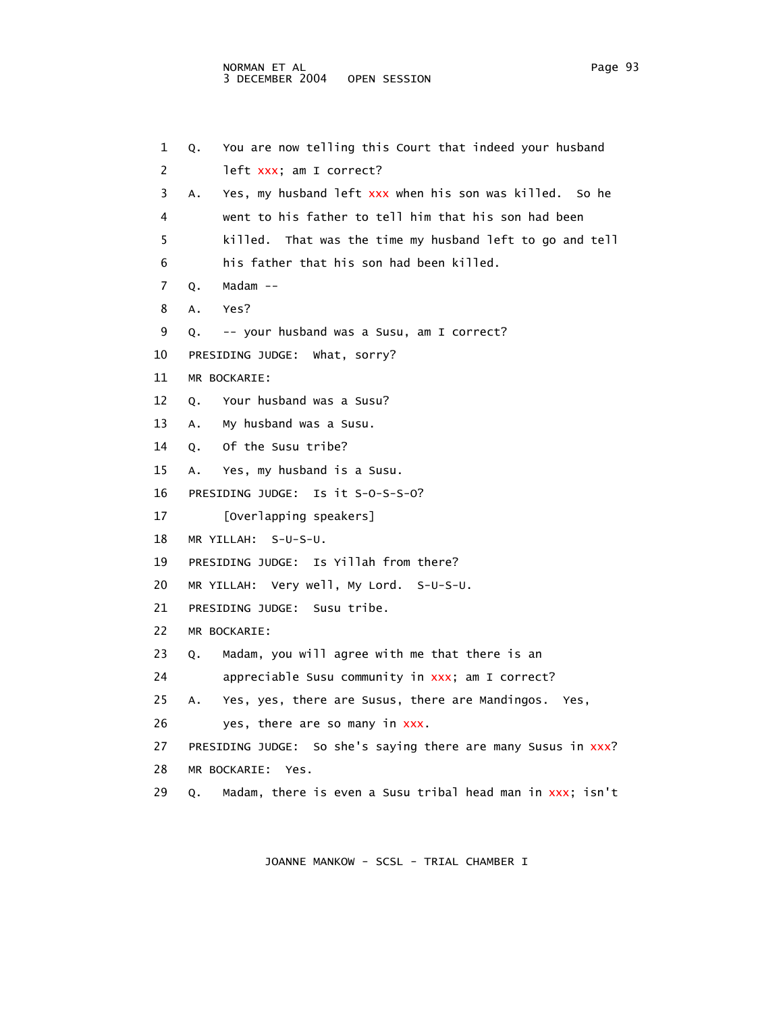1 Q. You are now telling this Court that indeed your husband 2 left xxx; am I correct? 3 A. Yes, my husband left xxx when his son was killed. So he 4 went to his father to tell him that his son had been 5 killed. That was the time my husband left to go and tell 6 his father that his son had been killed. 7 Q. Madam -- 8 A. Yes? 9 Q. -- your husband was a Susu, am I correct? 10 PRESIDING JUDGE: What, sorry? 11 MR BOCKARIE: 12 Q. Your husband was a Susu? 13 A. My husband was a Susu. 14 Q. Of the Susu tribe? 15 A. Yes, my husband is a Susu. 16 PRESIDING JUDGE: Is it S-O-S-S-O? 17 [Overlapping speakers] 18 MR YILLAH: S-U-S-U. 19 PRESIDING JUDGE: Is Yillah from there? 20 MR YILLAH: Very well, My Lord. S-U-S-U. 21 PRESIDING JUDGE: Susu tribe. 22 MR BOCKARIE: 23 Q. Madam, you will agree with me that there is an 24 appreciable Susu community in xxx; am I correct? 25 A. Yes, yes, there are Susus, there are Mandingos. Yes, 26 yes, there are so many in xxx. 27 PRESIDING JUDGE: So she's saying there are many Susus in xxx? 28 MR BOCKARIE: Yes. 29  $\,$  Q.  $\,$  Madam, there is even a Susu tribal head man in  $xxx$ ; isn't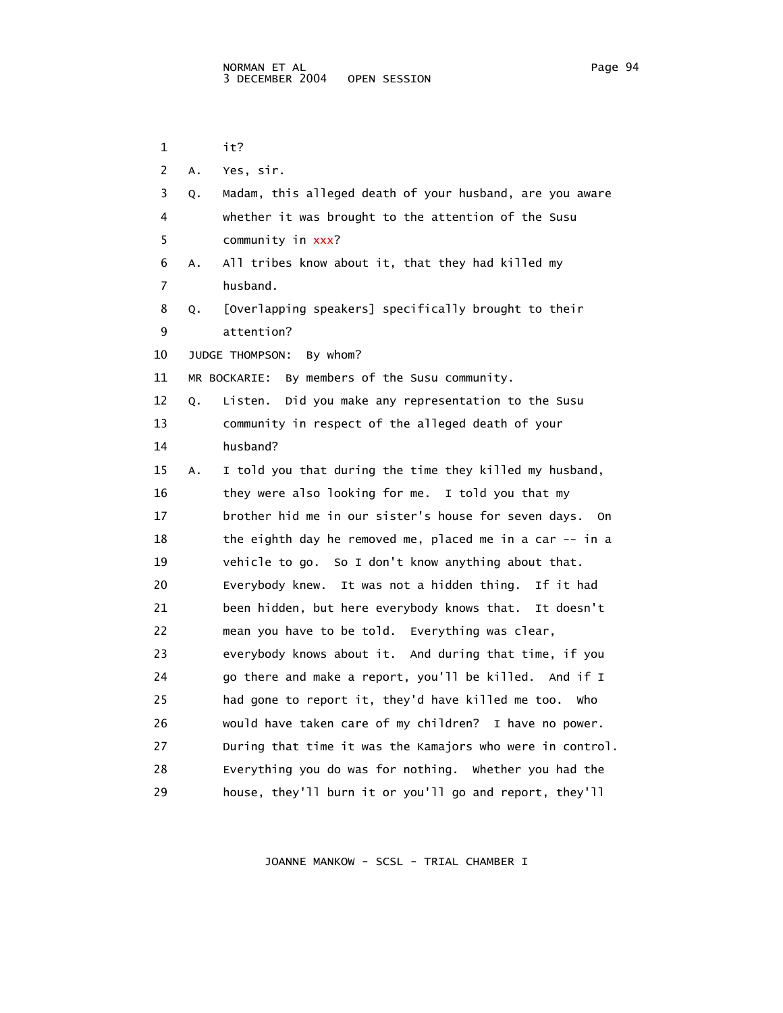1 it? 2 A. Yes, sir. 3 Q. Madam, this alleged death of your husband, are you aware 4 whether it was brought to the attention of the Susu 5 community in xxx? 6 A. All tribes know about it, that they had killed my 7 husband. 8 Q. [Overlapping speakers] specifically brought to their 9 attention? 10 JUDGE THOMPSON: By whom? 11 MR BOCKARIE: By members of the Susu community. 12 Q. Listen. Did you make any representation to the Susu 13 community in respect of the alleged death of your 14 husband? 15 A. I told you that during the time they killed my husband, 16 they were also looking for me. I told you that my 17 brother hid me in our sister's house for seven days. On 18 the eighth day he removed me, placed me in a car -- in a 19 vehicle to go. So I don't know anything about that. 20 Everybody knew. It was not a hidden thing. If it had 21 been hidden, but here everybody knows that. It doesn't 22 mean you have to be told. Everything was clear, 23 everybody knows about it. And during that time, if you 24 go there and make a report, you'll be killed. And if I 25 had gone to report it, they'd have killed me too. Who 26 would have taken care of my children? I have no power. 27 During that time it was the Kamajors who were in control. 28 Everything you do was for nothing. Whether you had the 29 house, they'll burn it or you'll go and report, they'll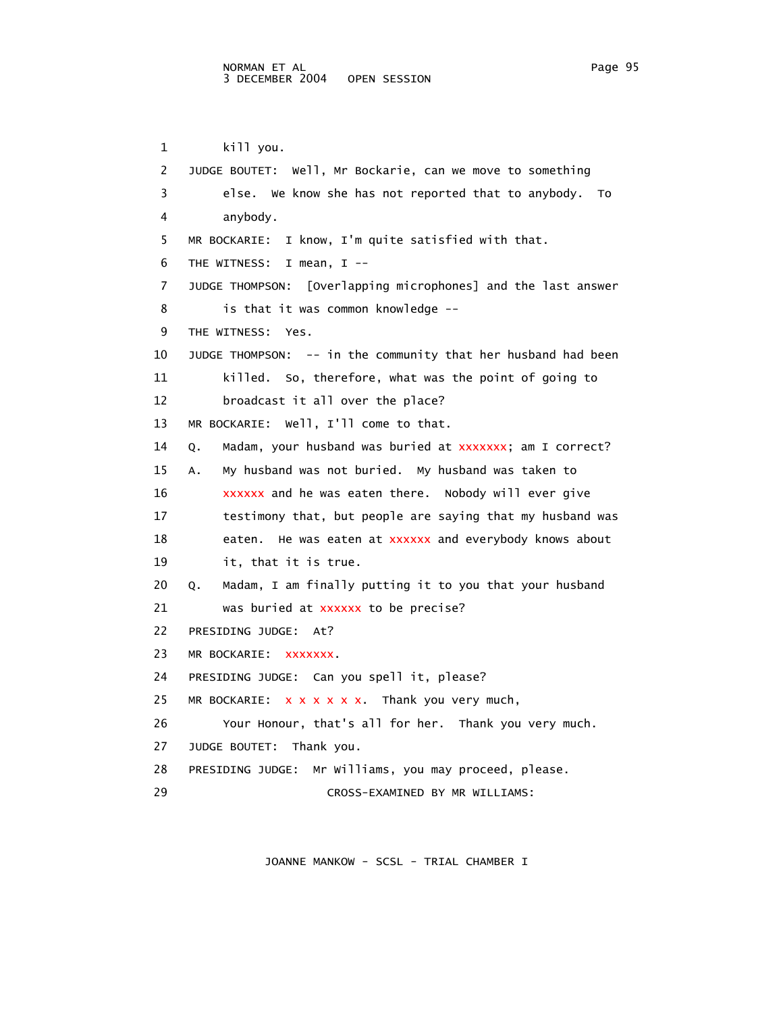1 kill you. 2 JUDGE BOUTET: Well, Mr Bockarie, can we move to something 3 else. We know she has not reported that to anybody. To 4 anybody. 5 MR BOCKARIE: I know, I'm quite satisfied with that. 6 THE WITNESS: I mean, I -- 7 JUDGE THOMPSON: [Overlapping microphones] and the last answer 8 is that it was common knowledge -- 9 THE WITNESS: Yes. 10 JUDGE THOMPSON: -- in the community that her husband had been 11 killed. So, therefore, what was the point of going to 12 broadcast it all over the place? 13 MR BOCKARIE: Well, I'll come to that. 14 Q. Madam, your husband was buried at xxxxxxx; am I correct? 15 A. My husband was not buried. My husband was taken to  $16$  xxxxxx and he was eaten there. Nobody will ever give 17 testimony that, but people are saying that my husband was 18 eaten. He was eaten at d everybody knows about xxxxxx an 19 it, that it is true. 20 Q. Madam, I am finally putting it to you that your husband 21 was buried at xxxxxx to be precise? 22 PRESIDING JUDGE: At? 23 MR BOCKARIE: XXXXXXX. 24 PRESIDING JUDGE: Can you spell it, please? 25 MR BOCKARIE: x x x x x x. Thank you very much, 26 Your Honour, that's all for her. Thank you very much. 27 JUDGE BOUTET: Thank you. 28 PRESIDING JUDGE: Mr Williams, you may proceed, please. 29 CROSS-EXAMINED BY MR WILLIAMS: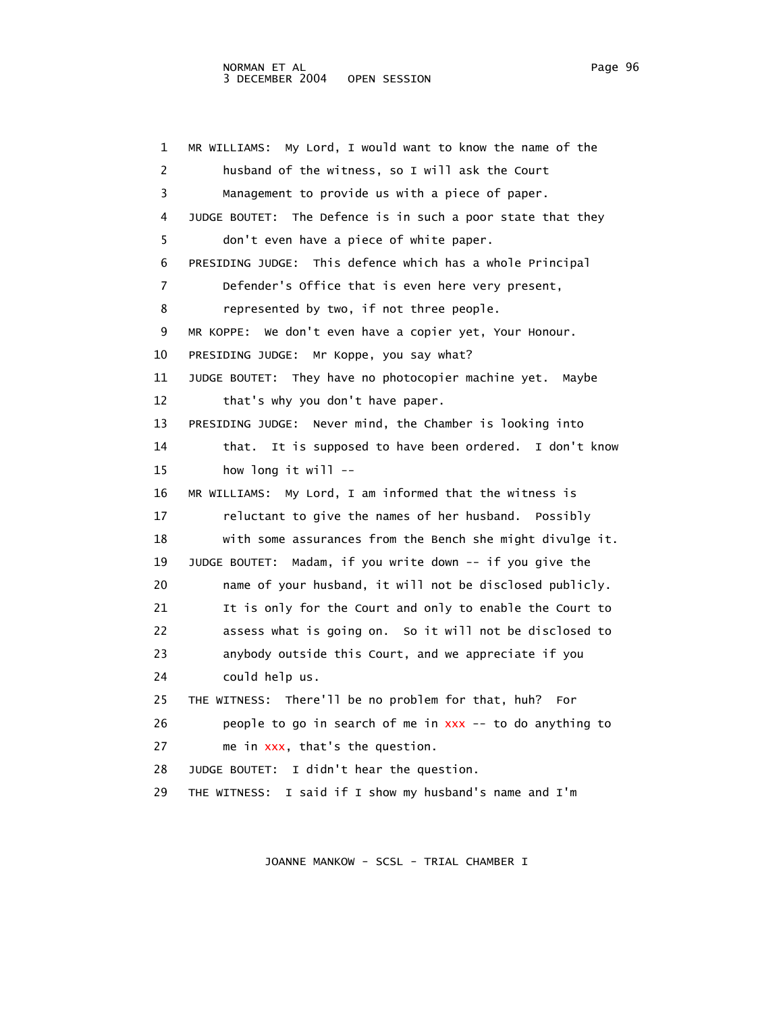1 MR WILLIAMS: My Lord, I would want to know the name of the 2 husband of the witness, so I will ask the Court 3 Management to provide us with a piece of paper. 4 JUDGE BOUTET: The Defence is in such a poor state that they 5 don't even have a piece of white paper. 6 PRESIDING JUDGE: This defence which has a whole Principal 7 Defender's Office that is even here very present, 8 represented by two, if not three people. 9 MR KOPPE: We don't even have a copier yet, Your Honour. 10 PRESIDING JUDGE: Mr Koppe, you say what? 11 JUDGE BOUTET: They have no photocopier machine yet. Maybe 12 that's why you don't have paper. 13 PRESIDING JUDGE: Never mind, the Chamber is looking into 14 that. It is supposed to have been ordered. I don't know 15 how long it will -- 16 MR WILLIAMS: My Lord, I am informed that the witness is 17 reluctant to give the names of her husband. Possibly 18 with some assurances from the Bench she might divulge it. 19 JUDGE BOUTET: Madam, if you write down -- if you give the 20 name of your husband, it will not be disclosed publicly. 21 It is only for the Court and only to enable the Court to 22 assess what is going on. So it will not be disclosed to 23 anybody outside this Court, and we appreciate if you 24 could help us. 25 THE WITNESS: There'll be no problem for that, huh? For 26  $\hspace{1cm}$  people to go in search of me in  $xxx$  -- to do anything to 27 me in xxx, that's the question. 28 JUDGE BOUTET: I didn't hear the question. 29 THE WITNESS: I said if I show my husband's name and I'm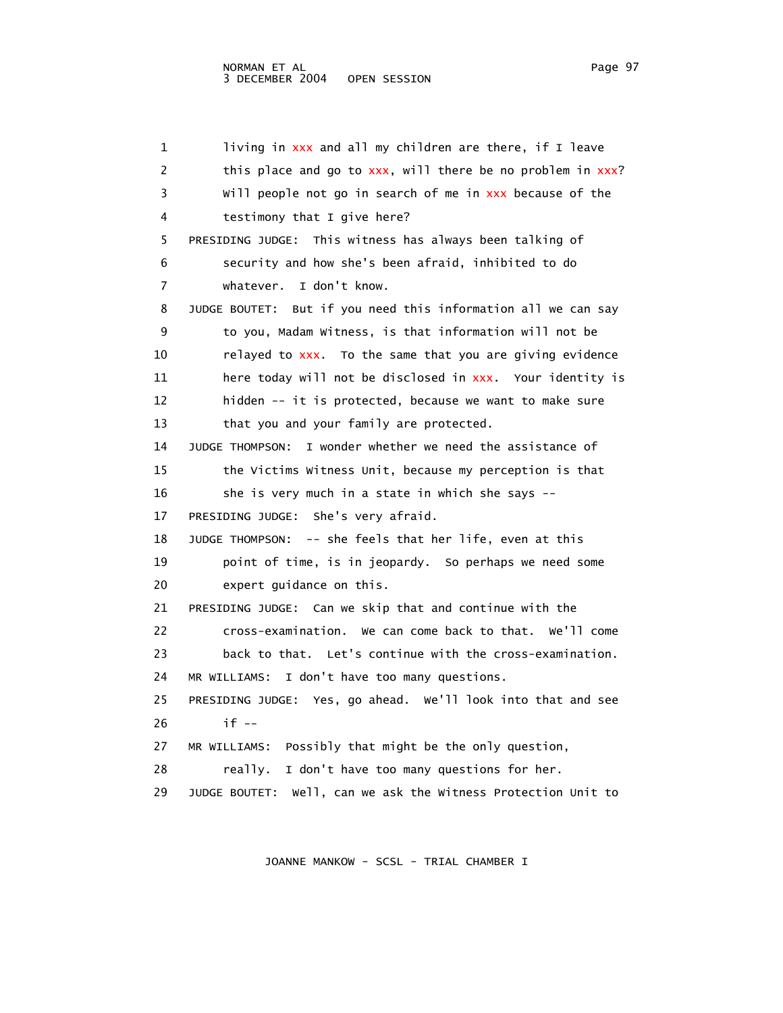$1$  living in xxx and all my children are there, if I leave 2 this place and go to xxx, will there be no problem in xxx? 3 Will people not go in search of me in cause of the xxx be 4 testimony that I give here? 5 PRESIDING JUDGE: This witness has always been talking of 6 security and how she's been afraid, inhibited to do 7 whatever. I don't know. 8 JUDGE BOUTET: But if you need this information all we can say 9 to you, Madam Witness, is that information will not be  $10$  relayed to  $xxx$ . To the same that you are giving evidence 11 there today will not be disclosed in xxx. Your identity is 12 hidden -- it is protected, because we want to make sure 13 that you and your family are protected. 14 JUDGE THOMPSON: I wonder whether we need the assistance of 15 the Victims Witness Unit, because my perception is that 16 she is very much in a state in which she says -- 17 PRESIDING JUDGE: She's very afraid. 18 JUDGE THOMPSON: -- she feels that her life, even at this 19 point of time, is in jeopardy. So perhaps we need some 20 expert guidance on this. 21 PRESIDING JUDGE: Can we skip that and continue with the 22 cross-examination. We can come back to that. We'll come 23 back to that. Let's continue with the cross-examination. 24 MR WILLIAMS: I don't have too many questions. 25 PRESIDING JUDGE: Yes, go ahead. We'll look into that and see 26 if -- 27 MR WILLIAMS: Possibly that might be the only question, 28 really. I don't have too many questions for her. 29 JUDGE BOUTET: Well, can we ask the Witness Protection Unit to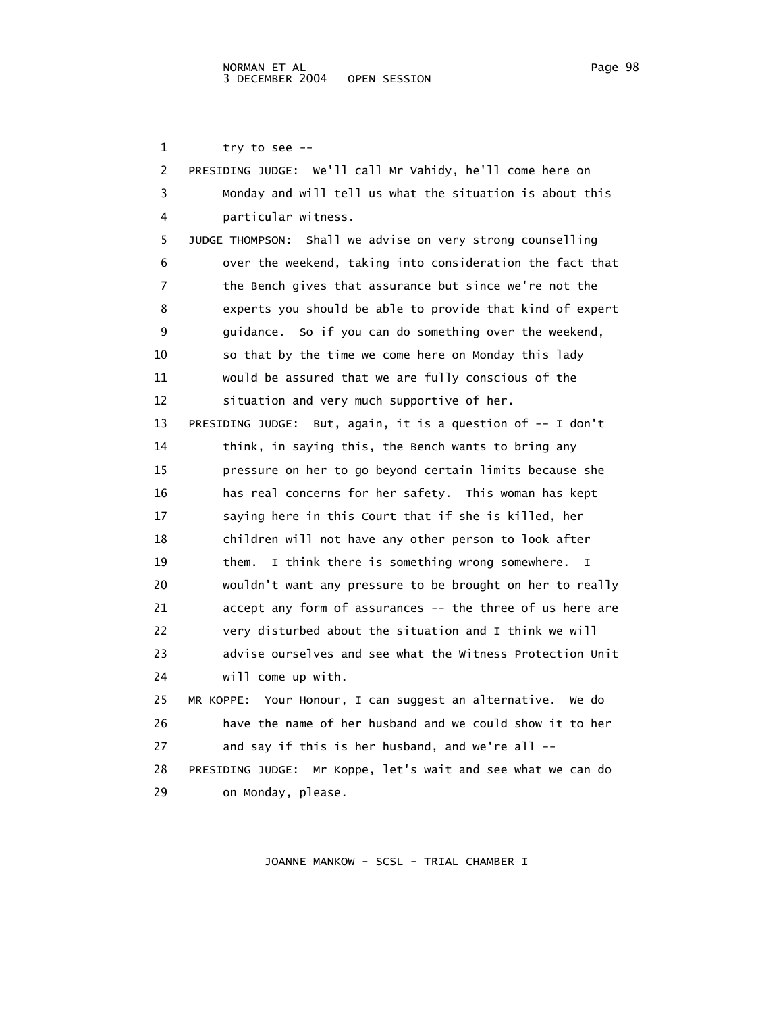1 try to see --

| 2  | PRESIDING JUDGE: We'll call Mr Vahidy, he'll come here on           |
|----|---------------------------------------------------------------------|
| 3  | Monday and will tell us what the situation is about this            |
| 4  | particular witness.                                                 |
| 5  | JUDGE THOMPSON: Shall we advise on very strong counselling          |
| 6  | over the weekend, taking into consideration the fact that           |
| 7  | the Bench gives that assurance but since we're not the              |
| 8  | experts you should be able to provide that kind of expert           |
| 9  | guidance. So if you can do something over the weekend,              |
| 10 | so that by the time we come here on Monday this lady                |
| 11 | would be assured that we are fully conscious of the                 |
| 12 | situation and very much supportive of her.                          |
| 13 | PRESIDING JUDGE: But, again, it is a question of -- I don't         |
| 14 | think, in saying this, the Bench wants to bring any                 |
| 15 | pressure on her to go beyond certain limits because she             |
| 16 | has real concerns for her safety. This woman has kept               |
| 17 | saying here in this Court that if she is killed, her                |
| 18 | children will not have any other person to look after               |
| 19 | them.<br>I think there is something wrong somewhere.<br>$\mathbf I$ |
| 20 | wouldn't want any pressure to be brought on her to really           |
| 21 | accept any form of assurances -- the three of us here are           |
| 22 | very disturbed about the situation and I think we will              |
| 23 | advise ourselves and see what the Witness Protection Unit           |
| 24 | will come up with.                                                  |
| 25 | MR KOPPE: Your Honour, I can suggest an alternative. We do          |
| 26 | have the name of her husband and we could show it to her            |
| 27 | and say if this is her husband, and we're all --                    |
| 28 | PRESIDING JUDGE: Mr Koppe, let's wait and see what we can do        |
| 29 | on Monday, please.                                                  |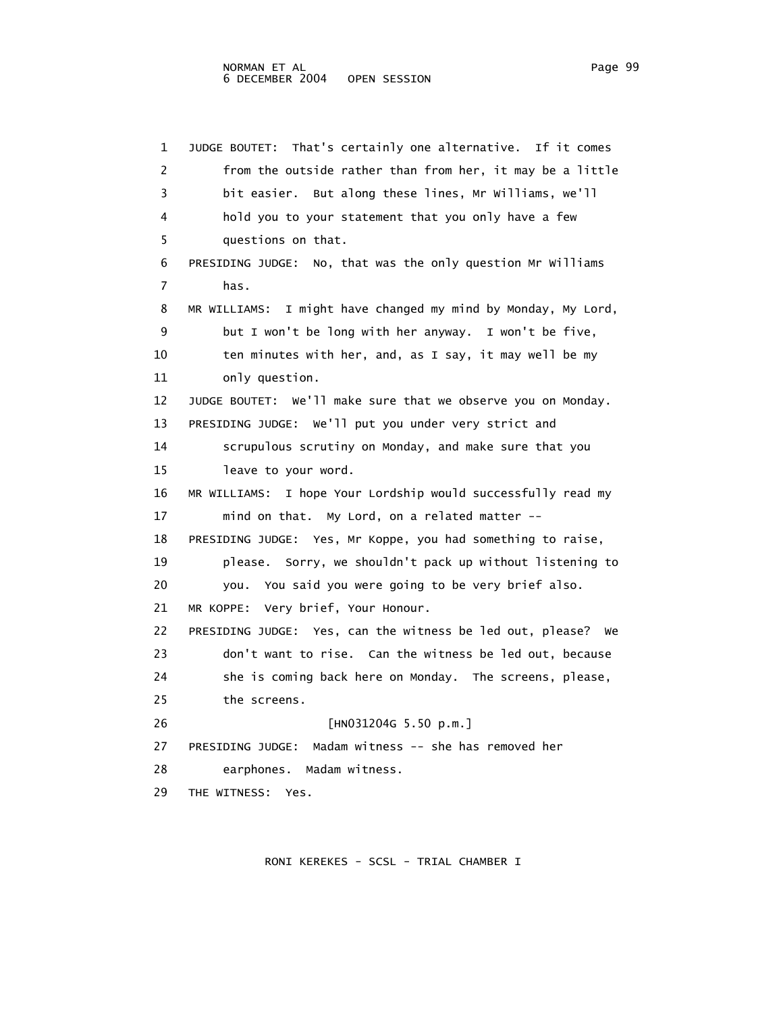1 JUDGE BOUTET: That's certainly one alternative. If it comes 2 from the outside rather than from her, it may be a little 3 bit easier. But along these lines, Mr Williams, we'll 4 hold you to your statement that you only have a few 5 questions on that. 6 PRESIDING JUDGE: No, that was the only question Mr Williams 7 has. 8 MR WILLIAMS: I might have changed my mind by Monday, My Lord, 9 but I won't be long with her anyway. I won't be five, 10 ten minutes with her, and, as I say, it may well be my 11 only question. 12 JUDGE BOUTET: We'll make sure that we observe you on Monday. 13 PRESIDING JUDGE: We'll put you under very strict and 14 scrupulous scrutiny on Monday, and make sure that you 15 leave to your word. 16 MR WILLIAMS: I hope Your Lordship would successfully read my 17 mind on that. My Lord, on a related matter -- 18 PRESIDING JUDGE: Yes, Mr Koppe, you had something to raise, 19 please. Sorry, we shouldn't pack up without listening to 20 you. You said you were going to be very brief also. 21 MR KOPPE: Very brief, Your Honour. 22 PRESIDING JUDGE: Yes, can the witness be led out, please? We 23 don't want to rise. Can the witness be led out, because 24 she is coming back here on Monday. The screens, please, 25 the screens. 26 [HN031204G 5.50 p.m.] 27 PRESIDING JUDGE: Madam witness -- she has removed her 28 earphones. Madam witness. 29 THE WITNESS: Yes.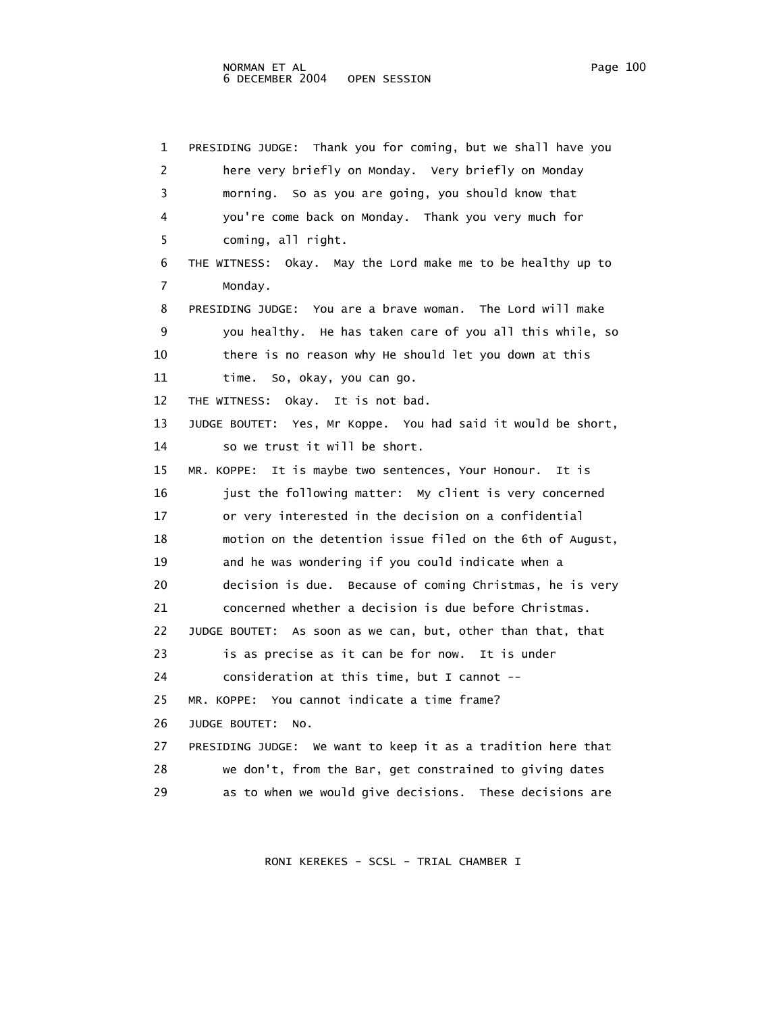1 PRESIDING JUDGE: Thank you for coming, but we shall have you 2 here very briefly on Monday. Very briefly on Monday 3 morning. So as you are going, you should know that 4 you're come back on Monday. Thank you very much for 5 coming, all right. 6 THE WITNESS: Okay. May the Lord make me to be healthy up to 7 Monday. 8 PRESIDING JUDGE: You are a brave woman. The Lord will make 9 you healthy. He has taken care of you all this while, so 10 there is no reason why He should let you down at this 11 time. So, okay, you can go. 12 THE WITNESS: Okay. It is not bad. 13 JUDGE BOUTET: Yes, Mr Koppe. You had said it would be short, 14 so we trust it will be short. 15 MR. KOPPE: It is maybe two sentences, Your Honour. It is 16 just the following matter: My client is very concerned 17 or very interested in the decision on a confidential 18 motion on the detention issue filed on the 6th of August, 19 and he was wondering if you could indicate when a 20 decision is due. Because of coming Christmas, he is very 21 concerned whether a decision is due before Christmas. 22 JUDGE BOUTET: As soon as we can, but, other than that, that 23 is as precise as it can be for now. It is under 24 consideration at this time, but I cannot -- 25 MR. KOPPE: You cannot indicate a time frame? 26 JUDGE BOUTET: No. 27 PRESIDING JUDGE: We want to keep it as a tradition here that 28 we don't, from the Bar, get constrained to giving dates 29 as to when we would give decisions. These decisions are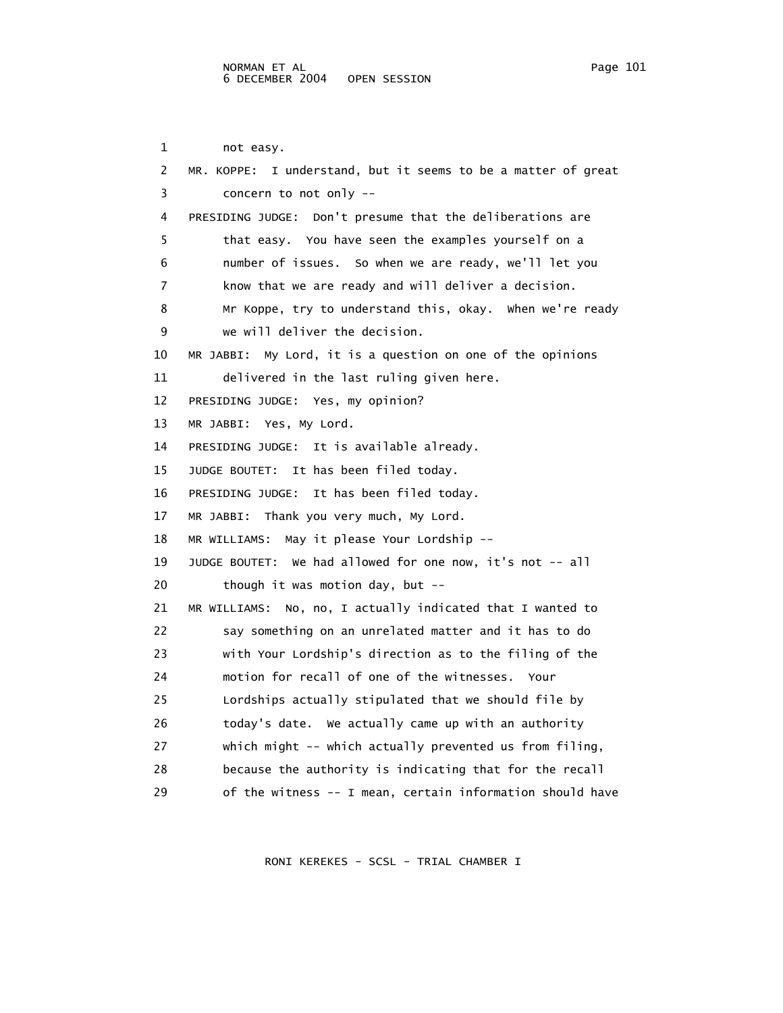1 not easy. 2 MR. KOPPE: I understand, but it seems to be a matter of great 3 concern to not only -- 4 PRESIDING JUDGE: Don't presume that the deliberations are 5 that easy. You have seen the examples yourself on a 6 number of issues. So when we are ready, we'll let you 7 know that we are ready and will deliver a decision. 8 Mr Koppe, try to understand this, okay. When we're ready 9 we will deliver the decision. 10 MR JABBI: My Lord, it is a question on one of the opinions 11 delivered in the last ruling given here. 12 PRESIDING JUDGE: Yes, my opinion? 13 MR JABBI: Yes, My Lord. 14 PRESIDING JUDGE: It is available already. 15 JUDGE BOUTET: It has been filed today. 16 PRESIDING JUDGE: It has been filed today. 17 MR JABBI: Thank you very much, My Lord. 18 MR WILLIAMS: May it please Your Lordship -- 19 JUDGE BOUTET: We had allowed for one now, it's not -- all 20 though it was motion day, but -- 21 MR WILLIAMS: No, no, I actually indicated that I wanted to 22 say something on an unrelated matter and it has to do 23 with Your Lordship's direction as to the filing of the 24 motion for recall of one of the witnesses. Your 25 Lordships actually stipulated that we should file by 26 today's date. We actually came up with an authority 27 which might -- which actually prevented us from filing, 28 because the authority is indicating that for the recall 29 of the witness -- I mean, certain information should have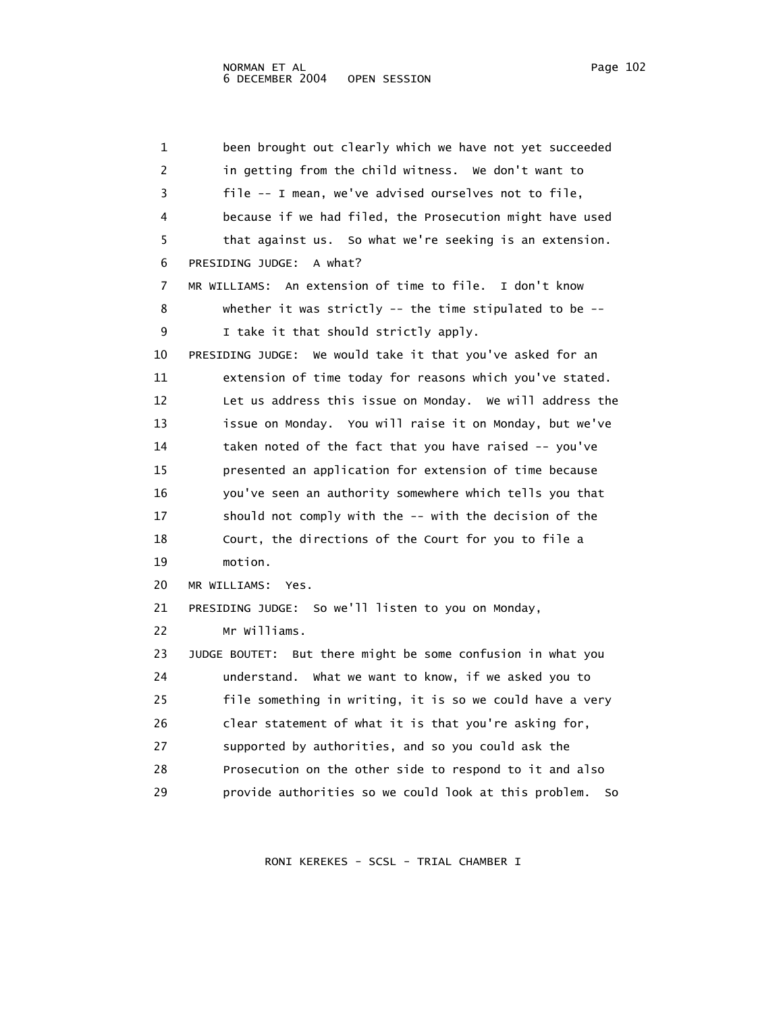1 been brought out clearly which we have not yet succeeded 2 in getting from the child witness. We don't want to 3 file -- I mean, we've advised ourselves not to file, 4 because if we had filed, the Prosecution might have used 5 that against us. So what we're seeking is an extension. 6 PRESIDING JUDGE: A what? 7 MR WILLIAMS: An extension of time to file. I don't know 8 whether it was strictly -- the time stipulated to be -- 9 I take it that should strictly apply. 10 PRESIDING JUDGE: We would take it that you've asked for an 11 extension of time today for reasons which you've stated. 12 Let us address this issue on Monday. We will address the 13 issue on Monday. You will raise it on Monday, but we've 14 taken noted of the fact that you have raised -- you've 15 presented an application for extension of time because 16 you've seen an authority somewhere which tells you that 17 should not comply with the -- with the decision of the 18 Court, the directions of the Court for you to file a 19 motion. 20 MR WILLIAMS: Yes. 21 PRESIDING JUDGE: So we'll listen to you on Monday, 22 Mr Williams. 23 JUDGE BOUTET: But there might be some confusion in what you 24 understand. What we want to know, if we asked you to 25 file something in writing, it is so we could have a very 26 clear statement of what it is that you're asking for, 27 supported by authorities, and so you could ask the 28 Prosecution on the other side to respond to it and also 29 provide authorities so we could look at this problem. So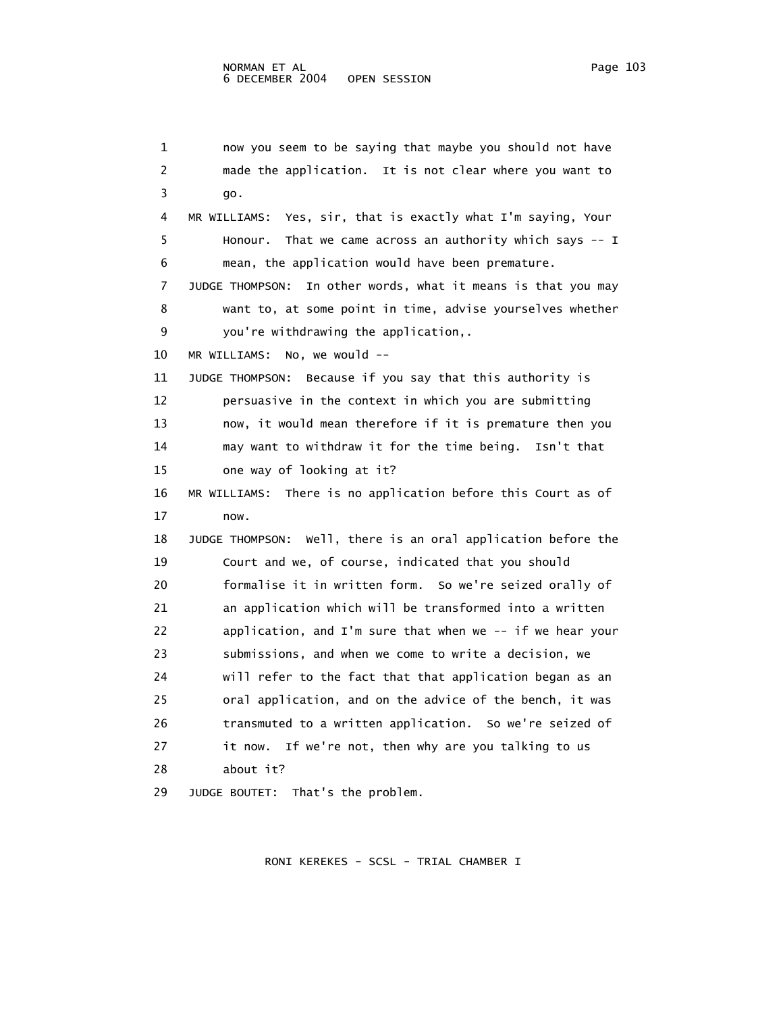```
 1 now you seem to be saying that maybe you should not have 
 2 made the application. It is not clear where you want to 
 3 go. 
 4 MR WILLIAMS: Yes, sir, that is exactly what I'm saying, Your 
  5 Honour. That we came across an authority which says -- I 
 6 mean, the application would have been premature. 
 7 JUDGE THOMPSON: In other words, what it means is that you may 
 8 want to, at some point in time, advise yourselves whether 
 9 you're withdrawing the application,. 
 10 MR WILLIAMS: No, we would -- 
 11 JUDGE THOMPSON: Because if you say that this authority is 
 12 persuasive in the context in which you are submitting 
 13 now, it would mean therefore if it is premature then you 
 14 may want to withdraw it for the time being. Isn't that 
 15 one way of looking at it? 
 16 MR WILLIAMS: There is no application before this Court as of 
 17 now. 
 18 JUDGE THOMPSON: Well, there is an oral application before the 
 19 Court and we, of course, indicated that you should 
 20 formalise it in written form. So we're seized orally of 
 21 an application which will be transformed into a written 
 22 application, and I'm sure that when we -- if we hear your 
 23 submissions, and when we come to write a decision, we 
 24 will refer to the fact that that application began as an 
 25 oral application, and on the advice of the bench, it was 
 26 transmuted to a written application. So we're seized of 
 27 it now. If we're not, then why are you talking to us 
 28 about it?
```
29 JUDGE BOUTET: That's the problem.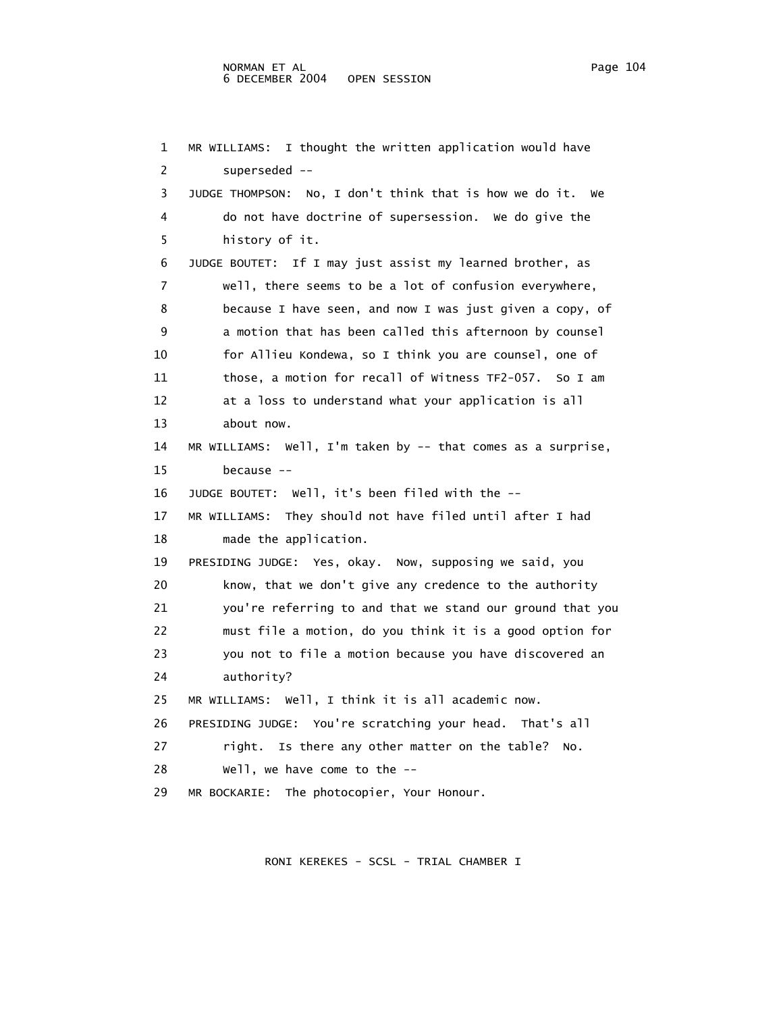1 MR WILLIAMS: I thought the written application would have 2 superseded -- 3 JUDGE THOMPSON: No, I don't think that is how we do it. We 4 do not have doctrine of supersession. We do give the 5 history of it. 6 JUDGE BOUTET: If I may just assist my learned brother, as 7 well, there seems to be a lot of confusion everywhere, 8 because I have seen, and now I was just given a copy, of 9 a motion that has been called this afternoon by counsel 10 for Allieu Kondewa, so I think you are counsel, one of 11 those, a motion for recall of Witness TF2-057. So I am 12 at a loss to understand what your application is all 13 about now. 14 MR WILLIAMS: Well, I'm taken by -- that comes as a surprise, 15 because -- 16 JUDGE BOUTET: Well, it's been filed with the -- 17 MR WILLIAMS: They should not have filed until after I had 18 made the application. 19 PRESIDING JUDGE: Yes, okay. Now, supposing we said, you 20 know, that we don't give any credence to the authority 21 you're referring to and that we stand our ground that you 22 must file a motion, do you think it is a good option for 23 you not to file a motion because you have discovered an 24 authority? 25 MR WILLIAMS: Well, I think it is all academic now. 26 PRESIDING JUDGE: You're scratching your head. That's all 27 right. Is there any other matter on the table? No. 28 Well, we have come to the --

29 MR BOCKARIE: The photocopier, Your Honour.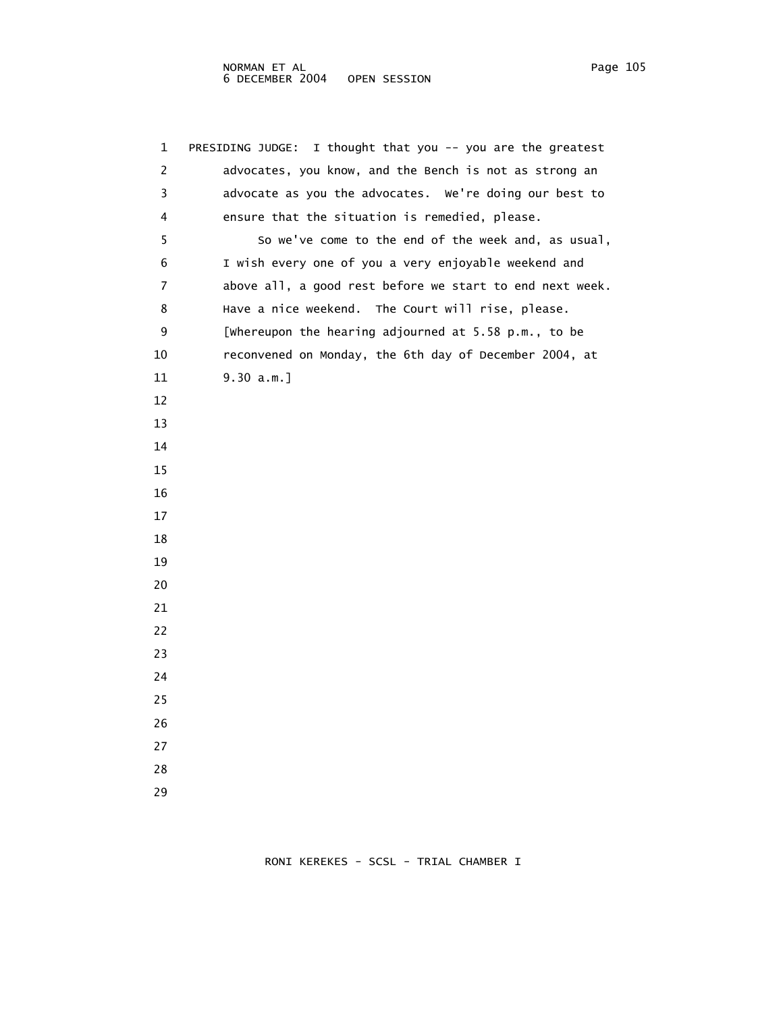1 PRESIDING JUDGE: I thought that you -- you are the greatest 2 advocates, you know, and the Bench is not as strong an 3 advocate as you the advocates. We're doing our best to 4 ensure that the situation is remedied, please. 5 So we've come to the end of the week and, as usual, 6 I wish every one of you a very enjoyable weekend and 7 above all, a good rest before we start to end next week. 8 Have a nice weekend. The Court will rise, please. 9 [Whereupon the hearing adjourned at 5.58 p.m., to be 10 reconvened on Monday, the 6th day of December 2004, at 11 9.30 a.m.] 12 13 14 15 16 17 18 19 20 21 22 23 24 25 26 27 28 29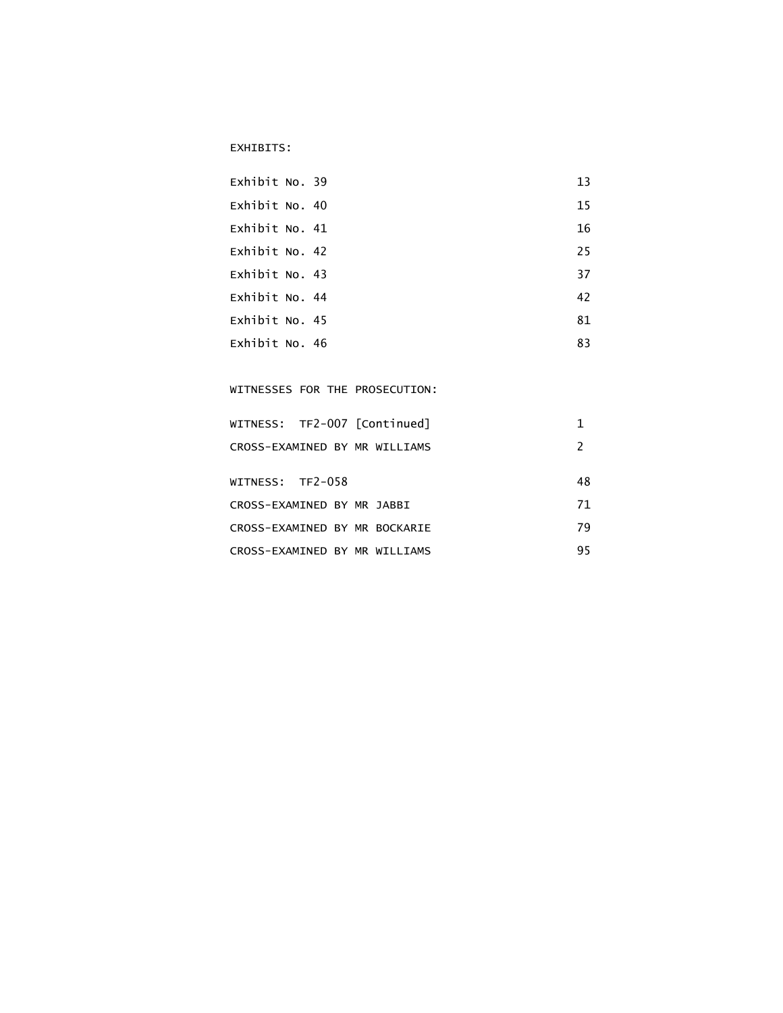## EXHIBITS:

| Exhibit No. 39 | 13 |
|----------------|----|
| Exhibit No. 40 | 15 |
| Exhibit No. 41 | 16 |
| Exhibit No. 42 | 25 |
| Exhibit No. 43 | 37 |
| Exhibit No. 44 | 42 |
| Exhibit No. 45 | 81 |
| Exhibit No. 46 | 83 |

WITNESSES FOR THE PROSECUTION:

| WITNESS: TF2-007 [Continued]  |  |    |
|-------------------------------|--|----|
| CROSS-EXAMINED BY MR WILLIAMS |  |    |
| WITNESS: TF2-058              |  | 48 |
| CROSS-EXAMINED BY MR JABBI    |  | 71 |
| CROSS-EXAMINED BY MR BOCKARIE |  | 79 |
| CROSS-EXAMINED BY MR WILLIAMS |  | 95 |